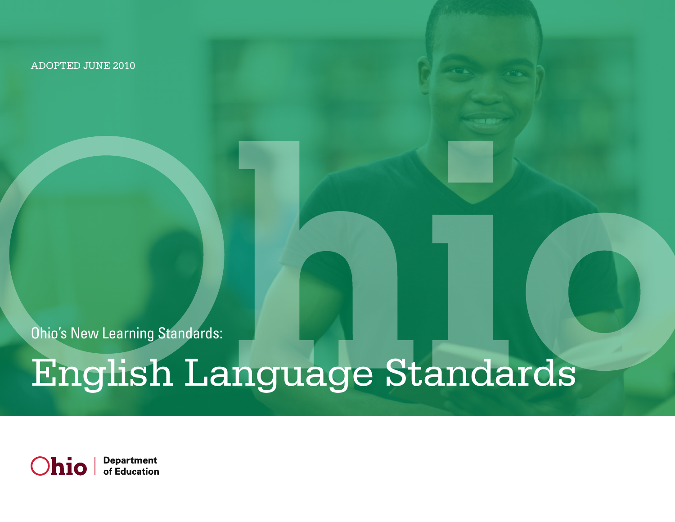ADOPTED JUNE 2010

english Language Standards: English Language Standards: Control of the Control of the Control of the Control of the Control of the Control of the Control of the Control of the Control of the Control of the Control of the C

OHIO'S NEW LEARNING STANDARDS:

# MAY 2014 English Language Standards

**Department** Ohio of Education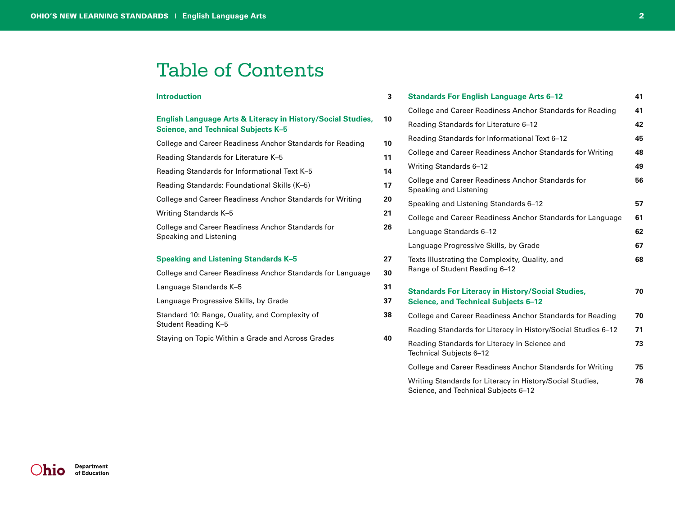# Table of Contents

| <b>Introduction</b>                                                                                                  | 3  | <b>Standards For English Language Arts 6-12</b>                             | 41 |
|----------------------------------------------------------------------------------------------------------------------|----|-----------------------------------------------------------------------------|----|
|                                                                                                                      |    | College and Career Readiness Anchor Standards for Reading                   | 41 |
| <b>English Language Arts &amp; Literacy in History/Social Studies,</b><br><b>Science, and Technical Subjects K-5</b> | 10 | Reading Standards for Literature 6-12                                       | 42 |
| College and Career Readiness Anchor Standards for Reading                                                            | 10 | Reading Standards for Informational Text 6-12                               | 45 |
| Reading Standards for Literature K-5                                                                                 | 11 | College and Career Readiness Anchor Standards for Writing                   | 48 |
| Reading Standards for Informational Text K-5                                                                         | 14 | Writing Standards 6-12                                                      | 49 |
| Reading Standards: Foundational Skills (K-5)                                                                         | 17 | College and Career Readiness Anchor Standards for<br>Speaking and Listening | 56 |
| College and Career Readiness Anchor Standards for Writing                                                            | 20 | Speaking and Listening Standards 6-12                                       | 57 |
| Writing Standards K-5                                                                                                | 21 | College and Career Readiness Anchor Standards for Language                  | 61 |
| College and Career Readiness Anchor Standards for<br>Speaking and Listening                                          | 26 | Language Standards 6-12                                                     | 62 |
|                                                                                                                      |    | Language Progressive Skills, by Grade                                       | 67 |
| <b>Speaking and Listening Standards K-5</b>                                                                          | 27 | Texts Illustrating the Complexity, Quality, and                             | 68 |
| College and Career Readiness Anchor Standards for Language                                                           | 30 | Range of Student Reading 6-12                                               |    |
| Language Standards K-5                                                                                               | 31 | <b>Standards For Literacy in History/Social Studies,</b>                    | 70 |
| Language Progressive Skills, by Grade                                                                                | 37 | <b>Science, and Technical Subjects 6-12</b>                                 |    |
| Standard 10: Range, Quality, and Complexity of                                                                       | 38 | College and Career Readiness Anchor Standards for Reading                   | 70 |
| Student Reading K-5                                                                                                  | 40 | Reading Standards for Literacy in History/Social Studies 6-12               | 71 |
| Staying on Topic Within a Grade and Across Grades                                                                    |    | Reading Standards for Literacy in Science and<br>Technical Subjects 6-12    | 73 |
|                                                                                                                      |    | College and Career Readiness Anchor Standards for Writing                   | 75 |
|                                                                                                                      |    |                                                                             |    |

[Writing Standards for Literacy in History/Social Studies,](#page-75-0) **76**  [Science, and Technical Subjects 6–12](#page-75-0)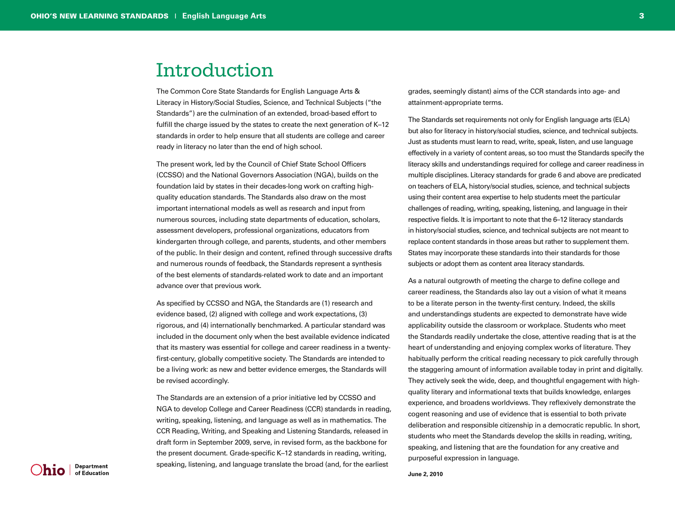# <span id="page-2-0"></span>Introduction

The Common Core State Standards for English Language Arts & Literacy in History/Social Studies, Science, and Technical Subjects ("the Standards") are the culmination of an extended, broad-based effort to fulfill the charge issued by the states to create the next generation of K–12 standards in order to help ensure that all students are college and career ready in literacy no later than the end of high school.

The present work, led by the Council of Chief State School Officers (CCSSO) and the National Governors Association (NGA), builds on the foundation laid by states in their decades-long work on crafting highquality education standards. The Standards also draw on the most important international models as well as research and input from numerous sources, including state departments of education, scholars, assessment developers, professional organizations, educators from kindergarten through college, and parents, students, and other members of the public. In their design and content, refined through successive drafts and numerous rounds of feedback, the Standards represent a synthesis of the best elements of standards-related work to date and an important advance over that previous work.

As specified by CCSSO and NGA, the Standards are (1) research and evidence based, (2) aligned with college and work expectations, (3) rigorous, and (4) internationally benchmarked. A particular standard was included in the document only when the best available evidence indicated that its mastery was essential for college and career readiness in a twentyfirst-century, globally competitive society. The Standards are intended to be a living work: as new and better evidence emerges, the Standards will be revised accordingly.

The Standards are an extension of a prior initiative led by CCSSO and NGA to develop College and Career Readiness (CCR) standards in reading, writing, speaking, listening, and language as well as in mathematics. The CCR Reading, Writing, and Speaking and Listening Standards, released in draft form in September 2009, serve, in revised form, as the backbone for the present document. Grade-specific K–12 standards in reading, writing, speaking, listening, and language translate the broad (and, for the earliest

grades, seemingly distant) aims of the CCR standards into age- and attainment-appropriate terms.

The Standards set requirements not only for English language arts (ELA) but also for literacy in history/social studies, science, and technical subjects. Just as students must learn to read, write, speak, listen, and use language effectively in a variety of content areas, so too must the Standards specify the literacy skills and understandings required for college and career readiness in multiple disciplines. Literacy standards for grade 6 and above are predicated on teachers of ELA, history/social studies, science, and technical subjects using their content area expertise to help students meet the particular challenges of reading, writing, speaking, listening, and language in their respective fields. It is important to note that the 6–12 literacy standards in history/social studies, science, and technical subjects are not meant to replace content standards in those areas but rather to supplement them. States may incorporate these standards into their standards for those subjects or adopt them as content area literacy standards.

As a natural outgrowth of meeting the charge to define college and career readiness, the Standards also lay out a vision of what it means to be a literate person in the twenty-first century. Indeed, the skills and understandings students are expected to demonstrate have wide applicability outside the classroom or workplace. Students who meet the Standards readily undertake the close, attentive reading that is at the heart of understanding and enjoying complex works of literature. They habitually perform the critical reading necessary to pick carefully through the staggering amount of information available today in print and digitally. They actively seek the wide, deep, and thoughtful engagement with highquality literary and informational texts that builds knowledge, enlarges experience, and broadens worldviews. They reflexively demonstrate the cogent reasoning and use of evidence that is essential to both private deliberation and responsible citizenship in a democratic republic. In short, students who meet the Standards develop the skills in reading, writing, speaking, and listening that are the foundation for any creative and purposeful expression in language.

**June 2, 2010**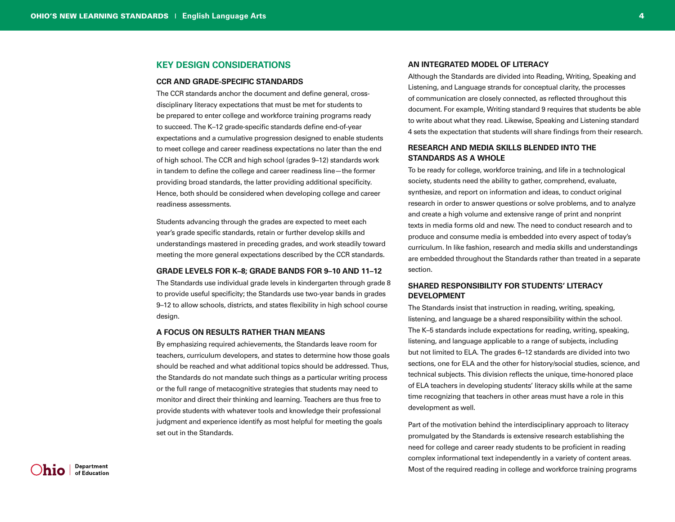#### **KEY DESIGN CONSIDERATIONS**

#### **CCR AND GRADE-SPECIFIC STANDARDS**

The CCR standards anchor the document and define general, crossdisciplinary literacy expectations that must be met for students to be prepared to enter college and workforce training programs ready to succeed. The K–12 grade-specific standards define end-of-year expectations and a cumulative progression designed to enable students to meet college and career readiness expectations no later than the end of high school. The CCR and high school (grades 9–12) standards work in tandem to define the college and career readiness line—the former providing broad standards, the latter providing additional specificity. Hence, both should be considered when developing college and career readiness assessments.

Students advancing through the grades are expected to meet each year's grade specific standards, retain or further develop skills and understandings mastered in preceding grades, and work steadily toward meeting the more general expectations described by the CCR standards.

#### **GRADE LEVELS FOR K–8; GRADE BANDS FOR 9–10 AND 11–12**

The Standards use individual grade levels in kindergarten through grade 8 to provide useful specificity; the Standards use two-year bands in grades 9–12 to allow schools, districts, and states flexibility in high school course design.

#### **A FOCUS ON RESULTS RATHER THAN MEANS**

By emphasizing required achievements, the Standards leave room for teachers, curriculum developers, and states to determine how those goals should be reached and what additional topics should be addressed. Thus, the Standards do not mandate such things as a particular writing process or the full range of metacognitive strategies that students may need to monitor and direct their thinking and learning. Teachers are thus free to provide students with whatever tools and knowledge their professional judgment and experience identify as most helpful for meeting the goals set out in the Standards.

#### **AN INTEGRATED MODEL OF LITERACY**

Although the Standards are divided into Reading, Writing, Speaking and Listening, and Language strands for conceptual clarity, the processes of communication are closely connected, as reflected throughout this document. For example, Writing standard 9 requires that students be able to write about what they read. Likewise, Speaking and Listening standard 4 sets the expectation that students will share findings from their research.

# **RESEARCH AND MEDIA SKILLS BLENDED INTO THE STANDARDS AS A WHOLE**

To be ready for college, workforce training, and life in a technological society, students need the ability to gather, comprehend, evaluate, synthesize, and report on information and ideas, to conduct original research in order to answer questions or solve problems, and to analyze and create a high volume and extensive range of print and nonprint texts in media forms old and new. The need to conduct research and to produce and consume media is embedded into every aspect of today's curriculum. In like fashion, research and media skills and understandings are embedded throughout the Standards rather than treated in a separate section.

# **SHARED RESPONSIBILITY FOR STUDENTS' LITERACY DEVELOPMENT**

The Standards insist that instruction in reading, writing, speaking, listening, and language be a shared responsibility within the school. The K–5 standards include expectations for reading, writing, speaking, listening, and language applicable to a range of subjects, including but not limited to ELA. The grades 6–12 standards are divided into two sections, one for ELA and the other for history/social studies, science, and technical subjects. This division reflects the unique, time-honored place of ELA teachers in developing students' literacy skills while at the same time recognizing that teachers in other areas must have a role in this development as well.

Part of the motivation behind the interdisciplinary approach to literacy promulgated by the Standards is extensive research establishing the need for college and career ready students to be proficient in reading complex informational text independently in a variety of content areas. Most of the required reading in college and workforce training programs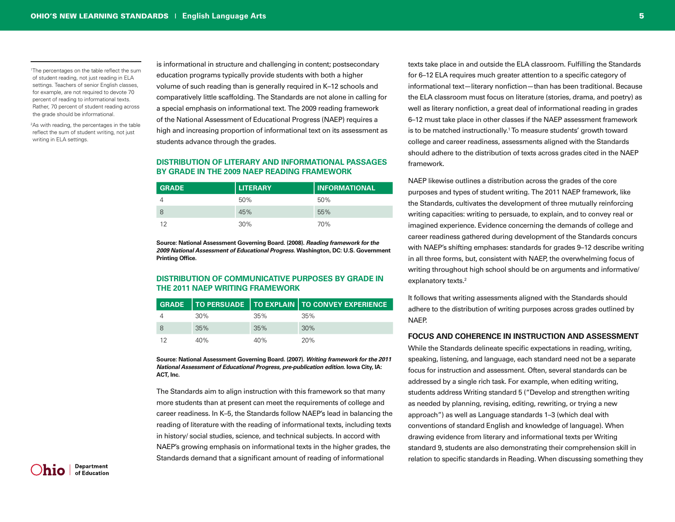1 The percentages on the table reflect the sum of student reading, not just reading in ELA settings. Teachers of senior English classes, for example, are not required to devote 70 percent of reading to informational texts. Rather, 70 percent of student reading across the grade should be informational.

2 As with reading, the percentages in the table reflect the sum of student writing, not just writing in ELA settings.

is informational in structure and challenging in content; postsecondary education programs typically provide students with both a higher volume of such reading than is generally required in K–12 schools and comparatively little scaffolding. The Standards are not alone in calling for a special emphasis on informational text. The 2009 reading framework of the National Assessment of Educational Progress (NAEP) requires a high and increasing proportion of informational text on its assessment as students advance through the grades.

# **DISTRIBUTION OF LITERARY AND INFORMATIONAL PASSAGES BY GRADE IN THE 2009 NAEP READING FRAMEWORK**

| <b>GRADE</b> | <b>LITERARY</b> | <b>INFORMATIONAL</b> |
|--------------|-----------------|----------------------|
|              | 50%             | 50%                  |
| 8            | 45%             | 55%                  |
| 12           | 30%             | 70%                  |

**Source: National Assessment Governing Board. (2008).** *Reading framework for the 2009 National Assessment of Educational Progress***. Washington, DC: U.S. Government Printing Office.**

# **DISTRIBUTION OF COMMUNICATIVE PURPOSES BY GRADE IN THE 2011 NAEP WRITING FRAMEWORK**

|     |     |     | GRADE   TO PERSUADE   TO EXPLAIN   TO CONVEY EXPERIENCE |
|-----|-----|-----|---------------------------------------------------------|
|     | 30% | 35% | 35%                                                     |
| - 8 | 35% | 35% | 30%                                                     |
| -12 | 40% | 40% | 20%                                                     |

**Source: National Assessment Governing Board. (2007).** *Writing framework for the 2011 National Assessment of Educational Progress, pre-publication edition***. Iowa City, IA: ACT, Inc.**

The Standards aim to align instruction with this framework so that many more students than at present can meet the requirements of college and career readiness. In K–5, the Standards follow NAEP's lead in balancing the reading of literature with the reading of informational texts, including texts in history/ social studies, science, and technical subjects. In accord with NAEP's growing emphasis on informational texts in the higher grades, the Standards demand that a significant amount of reading of informational

texts take place in and outside the ELA classroom. Fulfilling the Standards for 6–12 ELA requires much greater attention to a specific category of informational text—literary nonfiction—than has been traditional. Because the ELA classroom must focus on literature (stories, drama, and poetry) as well as literary nonfiction, a great deal of informational reading in grades 6–12 must take place in other classes if the NAEP assessment framework is to be matched instructionally.<sup>1</sup> To measure students' growth toward college and career readiness, assessments aligned with the Standards should adhere to the distribution of texts across grades cited in the NAEP framework.

NAEP likewise outlines a distribution across the grades of the core purposes and types of student writing. The 2011 NAEP framework, like the Standards, cultivates the development of three mutually reinforcing writing capacities: writing to persuade, to explain, and to convey real or imagined experience. Evidence concerning the demands of college and career readiness gathered during development of the Standards concurs with NAEP's shifting emphases: standards for grades 9–12 describe writing in all three forms, but, consistent with NAEP, the overwhelming focus of writing throughout high school should be on arguments and informative/ explanatory texts.<sup>2</sup>

It follows that writing assessments aligned with the Standards should adhere to the distribution of writing purposes across grades outlined by NAEP.

# **FOCUS AND COHERENCE IN INSTRUCTION AND ASSESSMENT**

While the Standards delineate specific expectations in reading, writing, speaking, listening, and language, each standard need not be a separate focus for instruction and assessment. Often, several standards can be addressed by a single rich task. For example, when editing writing, students address Writing standard 5 ("Develop and strengthen writing as needed by planning, revising, editing, rewriting, or trying a new approach") as well as Language standards 1–3 (which deal with conventions of standard English and knowledge of language). When drawing evidence from literary and informational texts per Writing standard 9, students are also demonstrating their comprehension skill in relation to specific standards in Reading. When discussing something they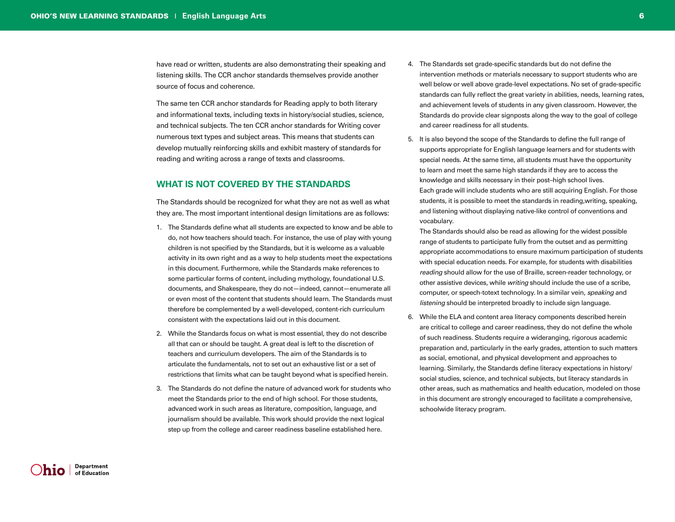have read or written, students are also demonstrating their speaking and listening skills. The CCR anchor standards themselves provide another source of focus and coherence.

The same ten CCR anchor standards for Reading apply to both literary and informational texts, including texts in history/social studies, science, and technical subjects. The ten CCR anchor standards for Writing cover numerous text types and subject areas. This means that students can develop mutually reinforcing skills and exhibit mastery of standards for reading and writing across a range of texts and classrooms.

# **WHAT IS NOT COVERED BY THE STANDARDS**

The Standards should be recognized for what they are not as well as what they are. The most important intentional design limitations are as follows:

- 1. The Standards define what all students are expected to know and be able to do, not how teachers should teach. For instance, the use of play with young children is not specified by the Standards, but it is welcome as a valuable activity in its own right and as a way to help students meet the expectations in this document. Furthermore, while the Standards make references to some particular forms of content, including mythology, foundational U.S. documents, and Shakespeare, they do not—indeed, cannot—enumerate all or even most of the content that students should learn. The Standards must therefore be complemented by a well-developed, content-rich curriculum consistent with the expectations laid out in this document.
- 2. While the Standards focus on what is most essential, they do not describe all that can or should be taught. A great deal is left to the discretion of teachers and curriculum developers. The aim of the Standards is to articulate the fundamentals, not to set out an exhaustive list or a set of restrictions that limits what can be taught beyond what is specified herein.
- 3. The Standards do not define the nature of advanced work for students who meet the Standards prior to the end of high school. For those students, advanced work in such areas as literature, composition, language, and journalism should be available. This work should provide the next logical step up from the college and career readiness baseline established here.
- 4. The Standards set grade-specific standards but do not define the intervention methods or materials necessary to support students who are well below or well above grade-level expectations. No set of grade-specific standards can fully reflect the great variety in abilities, needs, learning rates, and achievement levels of students in any given classroom. However, the Standards do provide clear signposts along the way to the goal of college and career readiness for all students.
- 5. It is also beyond the scope of the Standards to define the full range of supports appropriate for English language learners and for students with special needs. At the same time, all students must have the opportunity to learn and meet the same high standards if they are to access the knowledge and skills necessary in their post–high school lives. Each grade will include students who are still acquiring English. For those students, it is possible to meet the standards in reading,writing, speaking, and listening without displaying native-like control of conventions and vocabulary.
	- The Standards should also be read as allowing for the widest possible range of students to participate fully from the outset and as permitting appropriate accommodations to ensure maximum participation of students with special education needs. For example, for students with disabilities *reading* should allow for the use of Braille, screen-reader technology, or other assistive devices, while *writing* should include the use of a scribe, computer, or speech-totext technology. In a similar vein, *speaking* and *listening* should be interpreted broadly to include sign language.
- 6. While the ELA and content area literacy components described herein are critical to college and career readiness, they do not define the whole of such readiness. Students require a wideranging, rigorous academic preparation and, particularly in the early grades, attention to such matters as social, emotional, and physical development and approaches to learning. Similarly, the Standards define literacy expectations in history/ social studies, science, and technical subjects, but literacy standards in other areas, such as mathematics and health education, modeled on those in this document are strongly encouraged to facilitate a comprehensive, schoolwide literacy program.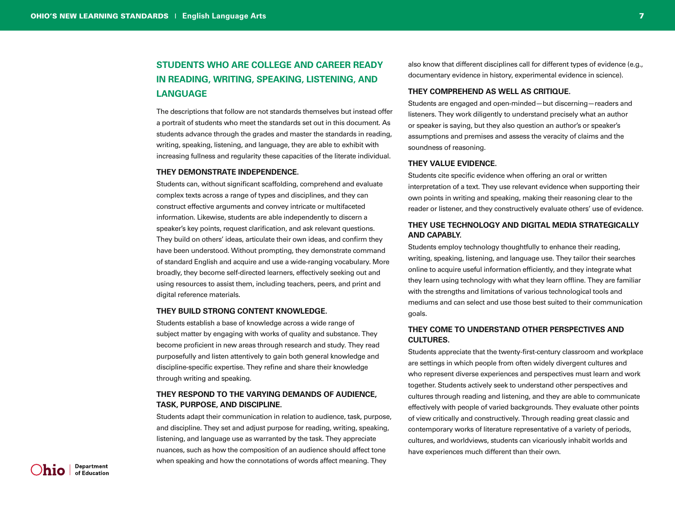# **STUDENTS WHO ARE COLLEGE AND CAREER READY IN READING, WRITING, SPEAKING, LISTENING, AND LANGUAGE**

The descriptions that follow are not standards themselves but instead offer a portrait of students who meet the standards set out in this document. As students advance through the grades and master the standards in reading, writing, speaking, listening, and language, they are able to exhibit with increasing fullness and regularity these capacities of the literate individual.

## **THEY DEMONSTRATE INDEPENDENCE.**

Students can, without significant scaffolding, comprehend and evaluate complex texts across a range of types and disciplines, and they can construct effective arguments and convey intricate or multifaceted information. Likewise, students are able independently to discern a speaker's key points, request clarification, and ask relevant questions. They build on others' ideas, articulate their own ideas, and confirm they have been understood. Without prompting, they demonstrate command of standard English and acquire and use a wide-ranging vocabulary. More broadly, they become self-directed learners, effectively seeking out and using resources to assist them, including teachers, peers, and print and digital reference materials.

#### **THEY BUILD STRONG CONTENT KNOWLEDGE.**

Students establish a base of knowledge across a wide range of subject matter by engaging with works of quality and substance. They become proficient in new areas through research and study. They read purposefully and listen attentively to gain both general knowledge and discipline-specific expertise. They refine and share their knowledge through writing and speaking.

# **THEY RESPOND TO THE VARYING DEMANDS OF AUDIENCE, TASK, PURPOSE, AND DISCIPLINE.**

Students adapt their communication in relation to audience, task, purpose, and discipline. They set and adjust purpose for reading, writing, speaking, listening, and language use as warranted by the task. They appreciate nuances, such as how the composition of an audience should affect tone when speaking and how the connotations of words affect meaning. They

also know that different disciplines call for different types of evidence (e.g., documentary evidence in history, experimental evidence in science).

#### **THEY COMPREHEND AS WELL AS CRITIQUE.**

Students are engaged and open-minded—but discerning—readers and listeners. They work diligently to understand precisely what an author or speaker is saying, but they also question an author's or speaker's assumptions and premises and assess the veracity of claims and the soundness of reasoning.

### **THEY VALUE EVIDENCE.**

Students cite specific evidence when offering an oral or written interpretation of a text. They use relevant evidence when supporting their own points in writing and speaking, making their reasoning clear to the reader or listener, and they constructively evaluate others' use of evidence.

# **THEY USE TECHNOLOGY AND DIGITAL MEDIA STRATEGICALLY AND CAPABLY.**

Students employ technology thoughtfully to enhance their reading, writing, speaking, listening, and language use. They tailor their searches online to acquire useful information efficiently, and they integrate what they learn using technology with what they learn offline. They are familiar with the strengths and limitations of various technological tools and mediums and can select and use those best suited to their communication goals.

# **THEY COME TO UNDERSTAND OTHER PERSPECTIVES AND CULTURES.**

Students appreciate that the twenty-first-century classroom and workplace are settings in which people from often widely divergent cultures and who represent diverse experiences and perspectives must learn and work together. Students actively seek to understand other perspectives and cultures through reading and listening, and they are able to communicate effectively with people of varied backgrounds. They evaluate other points of view critically and constructively. Through reading great classic and contemporary works of literature representative of a variety of periods, cultures, and worldviews, students can vicariously inhabit worlds and have experiences much different than their own.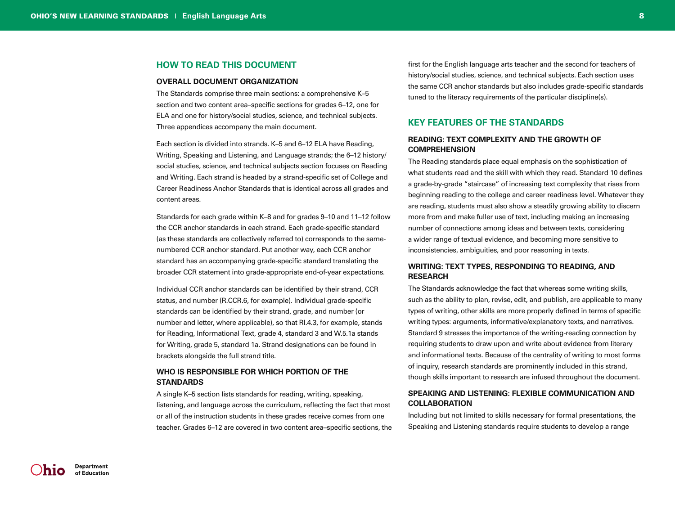#### **HOW TO READ THIS DOCUMENT**

#### **OVERALL DOCUMENT ORGANIZATION**

The Standards comprise three main sections: a comprehensive K–5 section and two content area–specific sections for grades 6–12, one for ELA and one for history/social studies, science, and technical subjects. Three appendices accompany the main document.

Each section is divided into strands. K–5 and 6–12 ELA have Reading, Writing, Speaking and Listening, and Language strands; the 6–12 history/ social studies, science, and technical subjects section focuses on Reading and Writing. Each strand is headed by a strand-specific set of College and Career Readiness Anchor Standards that is identical across all grades and content areas.

Standards for each grade within K–8 and for grades 9–10 and 11–12 follow the CCR anchor standards in each strand. Each grade-specific standard (as these standards are collectively referred to) corresponds to the samenumbered CCR anchor standard. Put another way, each CCR anchor standard has an accompanying grade-specific standard translating the broader CCR statement into grade-appropriate end-of-year expectations.

Individual CCR anchor standards can be identified by their strand, CCR status, and number (R.CCR.6, for example). Individual grade-specific standards can be identified by their strand, grade, and number (or number and letter, where applicable), so that RI.4.3, for example, stands for Reading, Informational Text, grade 4, standard 3 and W.5.1a stands for Writing, grade 5, standard 1a. Strand designations can be found in brackets alongside the full strand title.

# **WHO IS RESPONSIBLE FOR WHICH PORTION OF THE STANDARDS**

A single K–5 section lists standards for reading, writing, speaking, listening, and language across the curriculum, reflecting the fact that most or all of the instruction students in these grades receive comes from one teacher. Grades 6–12 are covered in two content area–specific sections, the first for the English language arts teacher and the second for teachers of history/social studies, science, and technical subjects. Each section uses the same CCR anchor standards but also includes grade-specific standards tuned to the literacy requirements of the particular discipline(s).

# **KEY FEATURES OF THE STANDARDS**

# **READING: TEXT COMPLEXITY AND THE GROWTH OF COMPREHENSION**

The Reading standards place equal emphasis on the sophistication of what students read and the skill with which they read. Standard 10 defines a grade-by-grade "staircase" of increasing text complexity that rises from beginning reading to the college and career readiness level. Whatever they are reading, students must also show a steadily growing ability to discern more from and make fuller use of text, including making an increasing number of connections among ideas and between texts, considering a wider range of textual evidence, and becoming more sensitive to inconsistencies, ambiguities, and poor reasoning in texts.

# **WRITING: TEXT TYPES, RESPONDING TO READING, AND RESEARCH**

The Standards acknowledge the fact that whereas some writing skills, such as the ability to plan, revise, edit, and publish, are applicable to many types of writing, other skills are more properly defined in terms of specific writing types: arguments, informative/explanatory texts, and narratives. Standard 9 stresses the importance of the writing-reading connection by requiring students to draw upon and write about evidence from literary and informational texts. Because of the centrality of writing to most forms of inquiry, research standards are prominently included in this strand, though skills important to research are infused throughout the document.

# **SPEAKING AND LISTENING: FLEXIBLE COMMUNICATION AND COLLABORATION**

Including but not limited to skills necessary for formal presentations, the Speaking and Listening standards require students to develop a range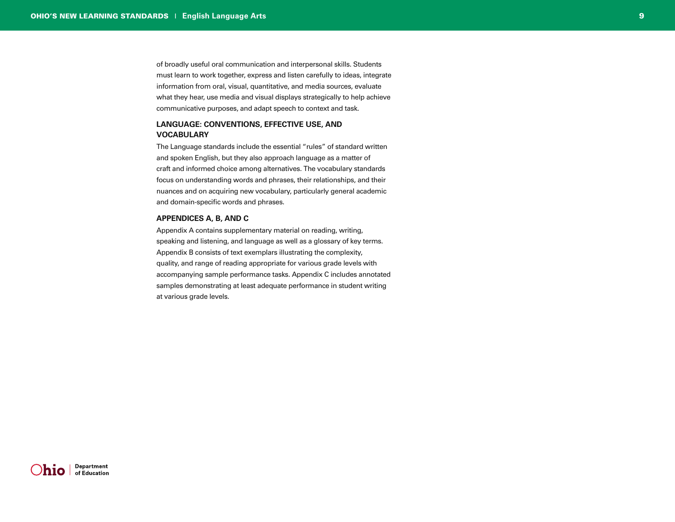of broadly useful oral communication and interpersonal skills. Students must learn to work together, express and listen carefully to ideas, integrate information from oral, visual, quantitative, and media sources, evaluate what they hear, use media and visual displays strategically to help achieve communicative purposes, and adapt speech to context and task.

# **LANGUAGE: CONVENTIONS, EFFECTIVE USE, AND VOCABULARY**

The Language standards include the essential "rules" of standard written and spoken English, but they also approach language as a matter of craft and informed choice among alternatives. The vocabulary standards focus on understanding words and phrases, their relationships, and their nuances and on acquiring new vocabulary, particularly general academic and domain-specific words and phrases.

#### **APPENDICES A, B, AND C**

Appendix A contains supplementary material on reading, writing, speaking and listening, and language as well as a glossary of key terms. Appendix B consists of text exemplars illustrating the complexity, quality, and range of reading appropriate for various grade levels with accompanying sample performance tasks. Appendix C includes annotated samples demonstrating at least adequate performance in student writing at various grade levels.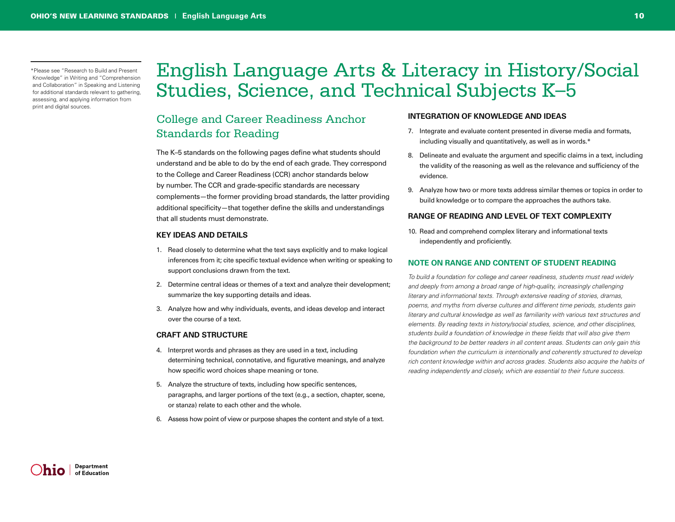<span id="page-9-0"></span>\*Please see "Research to Build and Present Knowledge" in Writing and "Comprehension and Collaboration" in Speaking and Listening for additional standards relevant to gathering, assessing, and applying information from print and digital sources.

# English Language Arts & Literacy in History/Social Studies, Science, and Technical Subjects K–5

# College and Career Readiness Anchor Standards for Reading

The K–5 standards on the following pages define what students should understand and be able to do by the end of each grade. They correspond to the College and Career Readiness (CCR) anchor standards below by number. The CCR and grade-specific standards are necessary complements—the former providing broad standards, the latter providing additional specificity—that together define the skills and understandings that all students must demonstrate.

### **KEY IDEAS AND DETAILS**

- 1. Read closely to determine what the text says explicitly and to make logical inferences from it; cite specific textual evidence when writing or speaking to support conclusions drawn from the text.
- 2. Determine central ideas or themes of a text and analyze their development; summarize the key supporting details and ideas.
- 3. Analyze how and why individuals, events, and ideas develop and interact over the course of a text.

## **CRAFT AND STRUCTURE**

- 4. Interpret words and phrases as they are used in a text, including determining technical, connotative, and figurative meanings, and analyze how specific word choices shape meaning or tone.
- 5. Analyze the structure of texts, including how specific sentences, paragraphs, and larger portions of the text (e.g., a section, chapter, scene, or stanza) relate to each other and the whole.
- 6. Assess how point of view or purpose shapes the content and style of a text.

# **INTEGRATION OF KNOWLEDGE AND IDEAS**

- 7. Integrate and evaluate content presented in diverse media and formats, including visually and quantitatively, as well as in words.\*
- 8. Delineate and evaluate the argument and specific claims in a text, including the validity of the reasoning as well as the relevance and sufficiency of the evidence.
- 9. Analyze how two or more texts address similar themes or topics in order to build knowledge or to compare the approaches the authors take.

# **RANGE OF READING AND LEVEL OF TEXT COMPLEXITY**

10. Read and comprehend complex literary and informational texts independently and proficiently.

# **NOTE ON RANGE AND CONTENT OF STUDENT READING**

*To build a foundation for college and career readiness, students must read widely and deeply from among a broad range of high-quality, increasingly challenging literary and informational texts. Through extensive reading of stories, dramas, poems, and myths from diverse cultures and different time periods, students gain literary and cultural knowledge as well as familiarity with various text structures and elements. By reading texts in history/social studies, science, and other disciplines, students build a foundation of knowledge in these fields that will also give them the background to be better readers in all content areas. Students can only gain this foundation when the curriculum is intentionally and coherently structured to develop rich content knowledge within and across grades. Students also acquire the habits of reading independently and closely, which are essential to their future success.*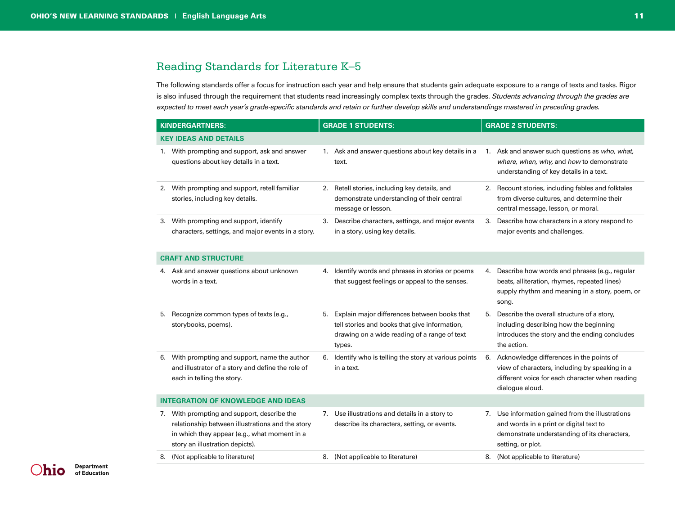# <span id="page-10-0"></span>Reading Standards for Literature K–5

The following standards offer a focus for instruction each year and help ensure that students gain adequate exposure to a range of texts and tasks. Rigor is also infused through the requirement that students read increasingly complex texts through the grades. *Students advancing through the grades are expected to meet each year's grade-specific standards and retain or further develop skills and understandings mastered in preceding grades.*

|    | <b>KINDERGARTNERS:</b>                                                                                                                                                             |    | <b>GRADE 1 STUDENTS:</b>                                                                                                                                | <b>GRADE 2 STUDENTS:</b> |                                                                                                                                                                  |
|----|------------------------------------------------------------------------------------------------------------------------------------------------------------------------------------|----|---------------------------------------------------------------------------------------------------------------------------------------------------------|--------------------------|------------------------------------------------------------------------------------------------------------------------------------------------------------------|
|    | <b>KEY IDEAS AND DETAILS</b>                                                                                                                                                       |    |                                                                                                                                                         |                          |                                                                                                                                                                  |
|    | 1. With prompting and support, ask and answer<br>questions about key details in a text.                                                                                            |    | 1. Ask and answer questions about key details in a<br>text.                                                                                             |                          | 1. Ask and answer such questions as who, what,<br>where, when, why, and how to demonstrate<br>understanding of key details in a text.                            |
|    | 2. With prompting and support, retell familiar<br>stories, including key details.                                                                                                  |    | 2. Retell stories, including key details, and<br>demonstrate understanding of their central<br>message or lesson.                                       |                          | 2. Recount stories, including fables and folktales<br>from diverse cultures, and determine their<br>central message, lesson, or moral.                           |
| 3. | With prompting and support, identify<br>characters, settings, and major events in a story.                                                                                         |    | 3. Describe characters, settings, and major events<br>in a story, using key details.                                                                    |                          | 3. Describe how characters in a story respond to<br>major events and challenges.                                                                                 |
|    | <b>CRAFT AND STRUCTURE</b>                                                                                                                                                         |    |                                                                                                                                                         |                          |                                                                                                                                                                  |
|    | 4. Ask and answer questions about unknown<br>words in a text.                                                                                                                      | 4. | Identify words and phrases in stories or poems<br>that suggest feelings or appeal to the senses.                                                        | 4.                       | Describe how words and phrases (e.g., regular<br>beats, alliteration, rhymes, repeated lines)<br>supply rhythm and meaning in a story, poem, or<br>song.         |
| 5. | Recognize common types of texts (e.g.,<br>storybooks, poems).                                                                                                                      | 5. | Explain major differences between books that<br>tell stories and books that give information,<br>drawing on a wide reading of a range of text<br>types. | 5.                       | Describe the overall structure of a story,<br>including describing how the beginning<br>introduces the story and the ending concludes<br>the action.             |
| 6. | With prompting and support, name the author<br>and illustrator of a story and define the role of<br>each in telling the story.                                                     | 6. | Identify who is telling the story at various points<br>in a text.                                                                                       | 6.                       | Acknowledge differences in the points of<br>view of characters, including by speaking in a<br>different voice for each character when reading<br>dialogue aloud. |
|    | <b>INTEGRATION OF KNOWLEDGE AND IDEAS</b>                                                                                                                                          |    |                                                                                                                                                         |                          |                                                                                                                                                                  |
|    | 7. With prompting and support, describe the<br>relationship between illustrations and the story<br>in which they appear (e.g., what moment in a<br>story an illustration depicts). |    | 7. Use illustrations and details in a story to<br>describe its characters, setting, or events.                                                          |                          | 7. Use information gained from the illustrations<br>and words in a print or digital text to<br>demonstrate understanding of its characters,<br>setting, or plot. |
|    | 8. (Not applicable to literature)                                                                                                                                                  | 8. | (Not applicable to literature)                                                                                                                          |                          | 8. (Not applicable to literature)                                                                                                                                |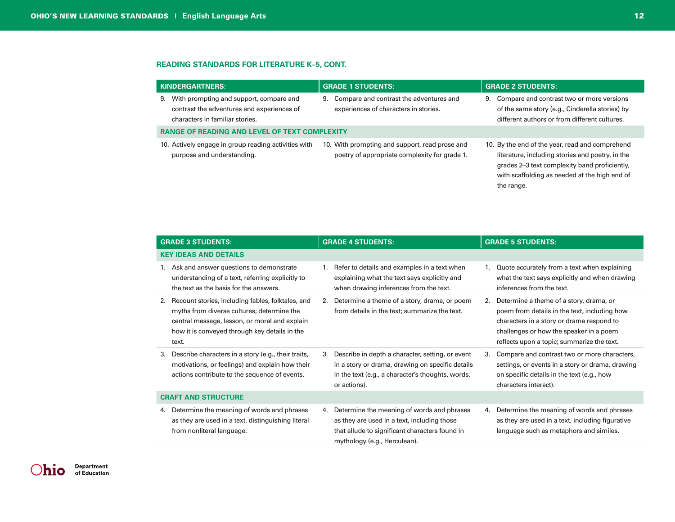# **READING STANDARDS FOR LITERATURE K–5, CONT.**

| <b>KINDERGARTNERS:</b>                                                                                                         | <b>GRADE 1 STUDENTS:</b>                                                                        | <b>GRADE 2 STUDENTS:</b>                                                                                                                                                                                            |  |  |
|--------------------------------------------------------------------------------------------------------------------------------|-------------------------------------------------------------------------------------------------|---------------------------------------------------------------------------------------------------------------------------------------------------------------------------------------------------------------------|--|--|
| With prompting and support, compare and<br>9.<br>contrast the adventures and experiences of<br>characters in familiar stories. | Compare and contrast the adventures and<br>9.<br>experiences of characters in stories.          | Compare and contrast two or more versions<br>9.<br>of the same story (e.g., Cinderella stories) by<br>different authors or from different cultures.                                                                 |  |  |
| <b>RANGE OF READING AND LEVEL OF TEXT COMPLEXITY</b>                                                                           |                                                                                                 |                                                                                                                                                                                                                     |  |  |
| 10. Actively engage in group reading activities with<br>purpose and understanding.                                             | 10. With prompting and support, read prose and<br>poetry of appropriate complexity for grade 1. | 10. By the end of the year, read and comprehend<br>literature, including stories and poetry, in the<br>grades 2-3 text complexity band proficiently,<br>with scaffolding as needed at the high end of<br>the range. |  |  |

| <b>GRADE 3 STUDENTS:</b>                                                                                                                                                                                         | <b>GRADE 4 STUDENTS:</b>                                                                                                                                                          | <b>GRADE 5 STUDENTS:</b>                                                                                                                                                                                                            |  |  |  |  |  |  |
|------------------------------------------------------------------------------------------------------------------------------------------------------------------------------------------------------------------|-----------------------------------------------------------------------------------------------------------------------------------------------------------------------------------|-------------------------------------------------------------------------------------------------------------------------------------------------------------------------------------------------------------------------------------|--|--|--|--|--|--|
| <b>KEY IDEAS AND DETAILS</b>                                                                                                                                                                                     |                                                                                                                                                                                   |                                                                                                                                                                                                                                     |  |  |  |  |  |  |
| Ask and answer questions to demonstrate<br>1.<br>understanding of a text, referring explicitly to<br>the text as the basis for the answers.                                                                      | Refer to details and examples in a text when<br>$\mathbf{1}$ .<br>explaining what the text says explicitly and<br>when drawing inferences from the text.                          | 1. Quote accurately from a text when explaining<br>what the text says explicitly and when drawing<br>inferences from the text.                                                                                                      |  |  |  |  |  |  |
| Recount stories, including fables, folktales, and<br>2.<br>myths from diverse cultures; determine the<br>central message, lesson, or moral and explain<br>how it is conveyed through key details in the<br>text. | Determine a theme of a story, drama, or poem<br>2.<br>from details in the text; summarize the text.                                                                               | Determine a theme of a story, drama, or<br>2.<br>poem from details in the text, including how<br>characters in a story or drama respond to<br>challenges or how the speaker in a poem<br>reflects upon a topic; summarize the text. |  |  |  |  |  |  |
| Describe characters in a story (e.g., their traits,<br>3.<br>motivations, or feelings) and explain how their<br>actions contribute to the sequence of events.                                                    | Describe in depth a character, setting, or event<br>3.<br>in a story or drama, drawing on specific details<br>in the text (e.g., a character's thoughts, words,<br>or actions).   | Compare and contrast two or more characters,<br>3.<br>settings, or events in a story or drama, drawing<br>on specific details in the text (e.g., how<br>characters interact).                                                       |  |  |  |  |  |  |
| <b>CRAFT AND STRUCTURE</b>                                                                                                                                                                                       |                                                                                                                                                                                   |                                                                                                                                                                                                                                     |  |  |  |  |  |  |
| Determine the meaning of words and phrases<br>4.<br>as they are used in a text, distinguishing literal<br>from nonliteral language.                                                                              | Determine the meaning of words and phrases<br>4.<br>as they are used in a text, including those<br>that allude to significant characters found in<br>mythology (e.g., Herculean). | Determine the meaning of words and phrases<br>4.<br>as they are used in a text, including figurative<br>language such as metaphors and similes.                                                                                     |  |  |  |  |  |  |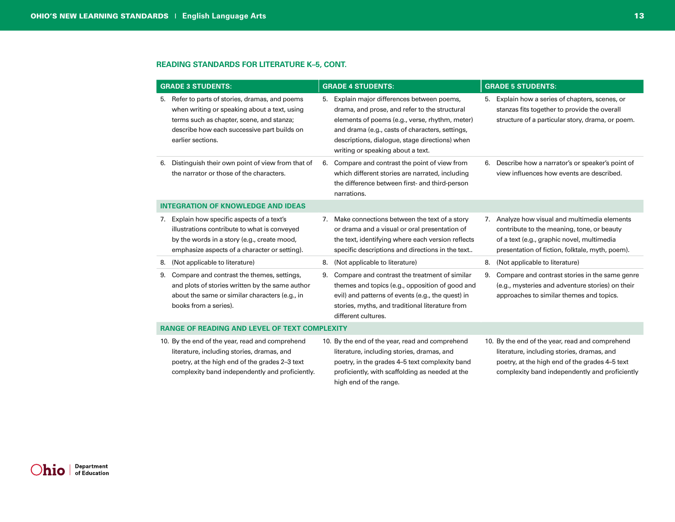# **READING STANDARDS FOR LITERATURE K–5, CONT.**

|    | <b>GRADE 3 STUDENTS:</b>                                                                                                                                                                                      |    | <b>GRADE 4 STUDENTS:</b>                                                                                                                                                                                                                                                              |    | <b>GRADE 5 STUDENTS:</b>                                                                                                                                                                  |  |  |
|----|---------------------------------------------------------------------------------------------------------------------------------------------------------------------------------------------------------------|----|---------------------------------------------------------------------------------------------------------------------------------------------------------------------------------------------------------------------------------------------------------------------------------------|----|-------------------------------------------------------------------------------------------------------------------------------------------------------------------------------------------|--|--|
| 5. | Refer to parts of stories, dramas, and poems<br>when writing or speaking about a text, using<br>terms such as chapter, scene, and stanza;<br>describe how each successive part builds on<br>earlier sections. | 5. | Explain major differences between poems,<br>drama, and prose, and refer to the structural<br>elements of poems (e.g., verse, rhythm, meter)<br>and drama (e.g., casts of characters, settings,<br>descriptions, dialogue, stage directions) when<br>writing or speaking about a text. | 5. | Explain how a series of chapters, scenes, or<br>stanzas fits together to provide the overall<br>structure of a particular story, drama, or poem.                                          |  |  |
| 6. | Distinguish their own point of view from that of<br>the narrator or those of the characters.                                                                                                                  | 6. | Compare and contrast the point of view from<br>which different stories are narrated, including<br>the difference between first- and third-person<br>narrations.                                                                                                                       | 6. | Describe how a narrator's or speaker's point of<br>view influences how events are described.                                                                                              |  |  |
|    | <b>INTEGRATION OF KNOWLEDGE AND IDEAS</b>                                                                                                                                                                     |    |                                                                                                                                                                                                                                                                                       |    |                                                                                                                                                                                           |  |  |
|    | 7. Explain how specific aspects of a text's<br>illustrations contribute to what is conveyed<br>by the words in a story (e.g., create mood,<br>emphasize aspects of a character or setting).                   |    | 7. Make connections between the text of a story<br>or drama and a visual or oral presentation of<br>the text, identifying where each version reflects<br>specific descriptions and directions in the text                                                                             | 7. | Analyze how visual and multimedia elements<br>contribute to the meaning, tone, or beauty<br>of a text (e.g., graphic novel, multimedia<br>presentation of fiction, folktale, myth, poem). |  |  |
| 8. | (Not applicable to literature)                                                                                                                                                                                | 8. | (Not applicable to literature)                                                                                                                                                                                                                                                        | 8. | (Not applicable to literature)                                                                                                                                                            |  |  |
| 9. | Compare and contrast the themes, settings,<br>and plots of stories written by the same author<br>about the same or similar characters (e.g., in<br>books from a series).                                      | 9. | Compare and contrast the treatment of similar<br>themes and topics (e.g., opposition of good and<br>evil) and patterns of events (e.g., the quest) in<br>stories, myths, and traditional literature from<br>different cultures.                                                       | 9. | Compare and contrast stories in the same genre<br>(e.g., mysteries and adventure stories) on their<br>approaches to similar themes and topics.                                            |  |  |
|    | <b>RANGE OF READING AND LEVEL OF TEXT COMPLEXITY</b>                                                                                                                                                          |    |                                                                                                                                                                                                                                                                                       |    |                                                                                                                                                                                           |  |  |

- 10. By the end of the year, read and comprehend literature, including stories, dramas, and poetry, at the high end of the grades 2–3 text complexity band independently and proficiently.
- 10. By the end of the year, read and comprehend literature, including stories, dramas, and poetry, in the grades 4–5 text complexity band proficiently, with scaffolding as needed at the high end of the range.
- 10. By the end of the year, read and comprehend literature, including stories, dramas, and poetry, at the high end of the grades 4–5 text complexity band independently and proficiently

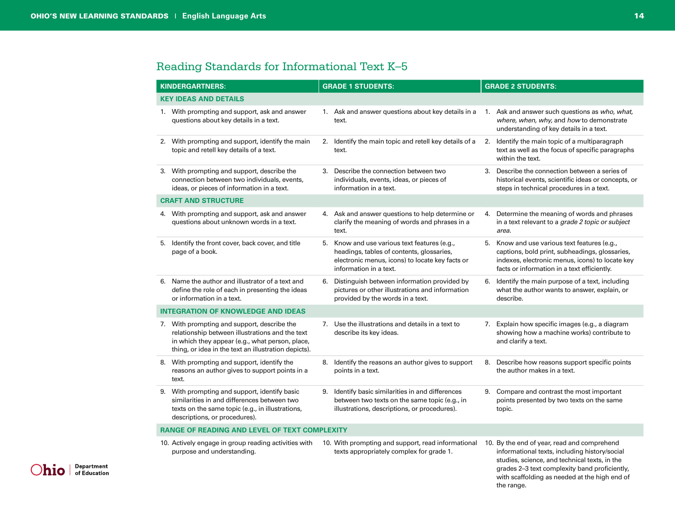<span id="page-13-0"></span>

|    | <b>KINDERGARTNERS:</b>                                                                                                                                                                                    |    | <b>GRADE 1 STUDENTS:</b>                                                                                                                                            |    | <b>GRADE 2 STUDENTS:</b>                                                                                                                                                                                                                        |  |  |  |
|----|-----------------------------------------------------------------------------------------------------------------------------------------------------------------------------------------------------------|----|---------------------------------------------------------------------------------------------------------------------------------------------------------------------|----|-------------------------------------------------------------------------------------------------------------------------------------------------------------------------------------------------------------------------------------------------|--|--|--|
|    | <b>KEY IDEAS AND DETAILS</b>                                                                                                                                                                              |    |                                                                                                                                                                     |    |                                                                                                                                                                                                                                                 |  |  |  |
|    | 1. With prompting and support, ask and answer<br>questions about key details in a text.                                                                                                                   |    | 1. Ask and answer questions about key details in a<br>text.                                                                                                         |    | 1. Ask and answer such questions as who, what,<br>where, when, why, and how to demonstrate<br>understanding of key details in a text.                                                                                                           |  |  |  |
|    | 2. With prompting and support, identify the main<br>topic and retell key details of a text.                                                                                                               | 2. | Identify the main topic and retell key details of a<br>text.                                                                                                        | 2. | Identify the main topic of a multiparagraph<br>text as well as the focus of specific paragraphs<br>within the text.                                                                                                                             |  |  |  |
|    | 3. With prompting and support, describe the<br>connection between two individuals, events,<br>ideas, or pieces of information in a text.                                                                  | 3. | Describe the connection between two<br>individuals, events, ideas, or pieces of<br>information in a text.                                                           | 3. | Describe the connection between a series of<br>historical events, scientific ideas or concepts, or<br>steps in technical procedures in a text.                                                                                                  |  |  |  |
|    | <b>CRAFT AND STRUCTURE</b>                                                                                                                                                                                |    |                                                                                                                                                                     |    |                                                                                                                                                                                                                                                 |  |  |  |
|    | 4. With prompting and support, ask and answer<br>questions about unknown words in a text.                                                                                                                 |    | 4. Ask and answer questions to help determine or<br>clarify the meaning of words and phrases in a<br>text.                                                          | 4. | Determine the meaning of words and phrases<br>in a text relevant to a grade 2 topic or subject<br>area.                                                                                                                                         |  |  |  |
|    | 5. Identify the front cover, back cover, and title<br>page of a book.                                                                                                                                     | 5. | Know and use various text features (e.g.,<br>headings, tables of contents, glossaries,<br>electronic menus, icons) to locate key facts or<br>information in a text. | 5. | Know and use various text features (e.g.,<br>captions, bold print, subheadings, glossaries,<br>indexes, electronic menus, icons) to locate key<br>facts or information in a text efficiently.                                                   |  |  |  |
| 6. | Name the author and illustrator of a text and<br>define the role of each in presenting the ideas<br>or information in a text.                                                                             | 6. | Distinguish between information provided by<br>pictures or other illustrations and information<br>provided by the words in a text.                                  | 6. | Identify the main purpose of a text, including<br>what the author wants to answer, explain, or<br>describe.                                                                                                                                     |  |  |  |
|    | <b>INTEGRATION OF KNOWLEDGE AND IDEAS</b>                                                                                                                                                                 |    |                                                                                                                                                                     |    |                                                                                                                                                                                                                                                 |  |  |  |
|    | 7. With prompting and support, describe the<br>relationship between illustrations and the text<br>in which they appear (e.g., what person, place,<br>thing, or idea in the text an illustration depicts). |    | 7. Use the illustrations and details in a text to<br>describe its key ideas.                                                                                        | 7. | Explain how specific images (e.g., a diagram<br>showing how a machine works) contribute to<br>and clarify a text.                                                                                                                               |  |  |  |
| 8. | With prompting and support, identify the<br>reasons an author gives to support points in a<br>text.                                                                                                       | 8. | Identify the reasons an author gives to support<br>points in a text.                                                                                                | 8. | Describe how reasons support specific points<br>the author makes in a text.                                                                                                                                                                     |  |  |  |
|    | 9. With prompting and support, identify basic<br>similarities in and differences between two<br>texts on the same topic (e.g., in illustrations,<br>descriptions, or procedures).                         | 9. | Identify basic similarities in and differences<br>between two texts on the same topic (e.g., in<br>illustrations, descriptions, or procedures).                     |    | 9. Compare and contrast the most important<br>points presented by two texts on the same<br>topic.                                                                                                                                               |  |  |  |
|    | <b>RANGE OF READING AND LEVEL OF TEXT COMPLEXITY</b>                                                                                                                                                      |    |                                                                                                                                                                     |    |                                                                                                                                                                                                                                                 |  |  |  |
|    | 10. Actively engage in group reading activities with<br>purpose and understanding.                                                                                                                        |    | 10. With prompting and support, read informational<br>texts appropriately complex for grade 1.                                                                      |    | 10. By the end of year, read and comprehend<br>informational texts, including history/social<br>studies, science, and technical texts, in the<br>grades 2-3 text complexity band proficiently,<br>with scaffolding as needed at the high end of |  |  |  |

the range.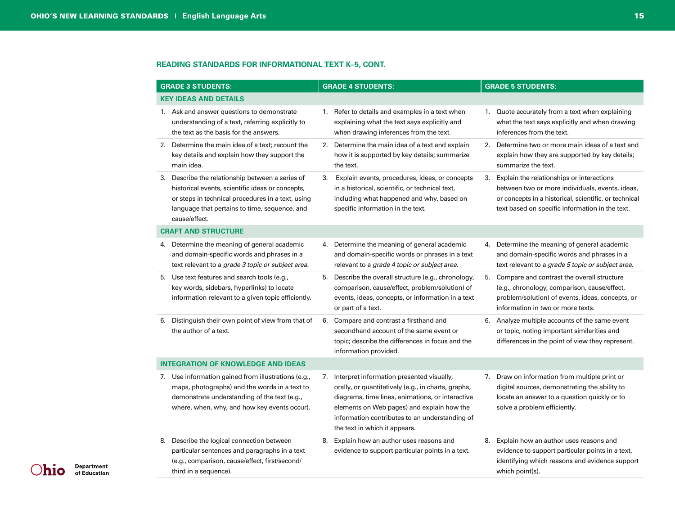# **READING STANDARDS FOR INFORMATIONAL TEXT K–5, CONT.**

|    | <b>GRADE 3 STUDENTS:</b>                                                                                                                                                                                                 |    | <b>GRADE 4 STUDENTS:</b>                                                                                                                                                                                                                                                                 |    | <b>GRADE 5 STUDENTS:</b>                                                                                                                                                                                    |  |  |  |
|----|--------------------------------------------------------------------------------------------------------------------------------------------------------------------------------------------------------------------------|----|------------------------------------------------------------------------------------------------------------------------------------------------------------------------------------------------------------------------------------------------------------------------------------------|----|-------------------------------------------------------------------------------------------------------------------------------------------------------------------------------------------------------------|--|--|--|
|    | <b>KEY IDEAS AND DETAILS</b>                                                                                                                                                                                             |    |                                                                                                                                                                                                                                                                                          |    |                                                                                                                                                                                                             |  |  |  |
|    | 1. Ask and answer questions to demonstrate<br>understanding of a text, referring explicitly to<br>the text as the basis for the answers.                                                                                 |    | 1. Refer to details and examples in a text when<br>explaining what the text says explicitly and<br>when drawing inferences from the text.                                                                                                                                                |    | 1. Quote accurately from a text when explaining<br>what the text says explicitly and when drawing<br>inferences from the text.                                                                              |  |  |  |
| 2. | Determine the main idea of a text; recount the<br>key details and explain how they support the<br>main idea.                                                                                                             | 2. | Determine the main idea of a text and explain<br>how it is supported by key details; summarize<br>the text.                                                                                                                                                                              | 2. | Determine two or more main ideas of a text and<br>explain how they are supported by key details;<br>summarize the text.                                                                                     |  |  |  |
| 3. | Describe the relationship between a series of<br>historical events, scientific ideas or concepts,<br>or steps in technical procedures in a text, using<br>language that pertains to time, sequence, and<br>cause/effect. | 3. | Explain events, procedures, ideas, or concepts<br>in a historical, scientific, or technical text,<br>including what happened and why, based on<br>specific information in the text.                                                                                                      |    | 3. Explain the relationships or interactions<br>between two or more individuals, events, ideas,<br>or concepts in a historical, scientific, or technical<br>text based on specific information in the text. |  |  |  |
|    | <b>CRAFT AND STRUCTURE</b>                                                                                                                                                                                               |    |                                                                                                                                                                                                                                                                                          |    |                                                                                                                                                                                                             |  |  |  |
|    | 4. Determine the meaning of general academic<br>and domain-specific words and phrases in a<br>text relevant to a grade 3 topic or subject area.                                                                          |    | 4. Determine the meaning of general academic<br>and domain-specific words or phrases in a text<br>relevant to a grade 4 topic or subject area.                                                                                                                                           | 4. | Determine the meaning of general academic<br>and domain-specific words and phrases in a<br>text relevant to a grade 5 topic or subject area.                                                                |  |  |  |
| 5. | Use text features and search tools (e.g.,<br>key words, sidebars, hyperlinks) to locate<br>information relevant to a given topic efficiently.                                                                            | 5. | Describe the overall structure (e.g., chronology,<br>comparison, cause/effect, problem/solution) of<br>events, ideas, concepts, or information in a text<br>or part of a text.                                                                                                           | 5. | Compare and contrast the overall structure<br>(e.g., chronology, comparison, cause/effect,<br>problem/solution) of events, ideas, concepts, or<br>information in two or more texts.                         |  |  |  |
| 6. | Distinguish their own point of view from that of<br>the author of a text.                                                                                                                                                | 6. | Compare and contrast a firsthand and<br>secondhand account of the same event or<br>topic; describe the differences in focus and the<br>information provided.                                                                                                                             |    | 6. Analyze multiple accounts of the same event<br>or topic, noting important similarities and<br>differences in the point of view they represent.                                                           |  |  |  |
|    | <b>INTEGRATION OF KNOWLEDGE AND IDEAS</b>                                                                                                                                                                                |    |                                                                                                                                                                                                                                                                                          |    |                                                                                                                                                                                                             |  |  |  |
|    | 7. Use information gained from illustrations (e.g.,<br>maps, photographs) and the words in a text to<br>demonstrate understanding of the text (e.g.,<br>where, when, why, and how key events occur).                     |    | 7. Interpret information presented visually,<br>orally, or quantitatively (e.g., in charts, graphs,<br>diagrams, time lines, animations, or interactive<br>elements on Web pages) and explain how the<br>information contributes to an understanding of<br>the text in which it appears. | 7. | Draw on information from multiple print or<br>digital sources, demonstrating the ability to<br>locate an answer to a question quickly or to<br>solve a problem efficiently.                                 |  |  |  |
| 8. | Describe the logical connection between<br>particular sentences and paragraphs in a text<br>(e.g., comparison, cause/effect, first/second/<br>third in a sequence).                                                      | 8. | Explain how an author uses reasons and<br>evidence to support particular points in a text.                                                                                                                                                                                               | 8. | Explain how an author uses reasons and<br>evidence to support particular points in a text,<br>identifying which reasons and evidence support<br>which point(s).                                             |  |  |  |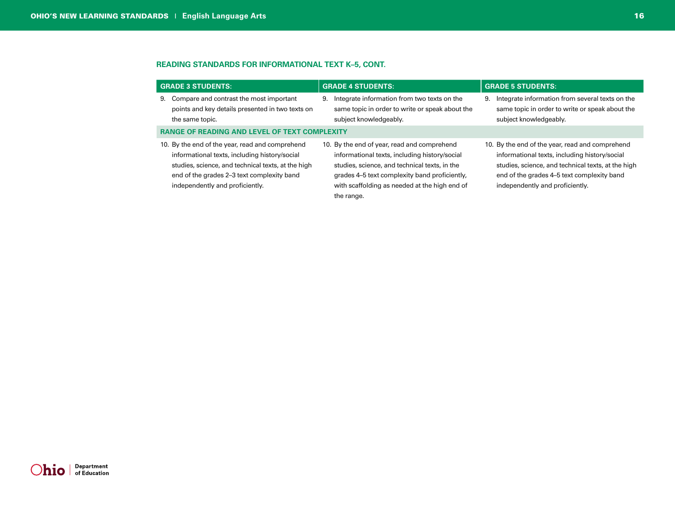# **READING STANDARDS FOR INFORMATIONAL TEXT K–5, CONT.**

| <b>GRADE 3 STUDENTS:</b>                                                                                                                                                                                                                | <b>GRADE 4 STUDENTS:</b>                                                                                                                                                                                                                                      | <b>GRADE 5 STUDENTS:</b>                                                                                                                                                                                                                |  |
|-----------------------------------------------------------------------------------------------------------------------------------------------------------------------------------------------------------------------------------------|---------------------------------------------------------------------------------------------------------------------------------------------------------------------------------------------------------------------------------------------------------------|-----------------------------------------------------------------------------------------------------------------------------------------------------------------------------------------------------------------------------------------|--|
| Compare and contrast the most important<br>9.<br>points and key details presented in two texts on<br>the same topic.                                                                                                                    | Integrate information from two texts on the<br>9.<br>same topic in order to write or speak about the<br>subject knowledgeably.                                                                                                                                | Integrate information from several texts on the<br>9.<br>same topic in order to write or speak about the<br>subject knowledgeably.                                                                                                      |  |
| <b>RANGE OF READING AND LEVEL OF TEXT COMPLEXITY</b>                                                                                                                                                                                    |                                                                                                                                                                                                                                                               |                                                                                                                                                                                                                                         |  |
| 10. By the end of the year, read and comprehend<br>informational texts, including history/social<br>studies, science, and technical texts, at the high<br>end of the grades 2-3 text complexity band<br>independently and proficiently. | 10. By the end of year, read and comprehend<br>informational texts, including history/social<br>studies, science, and technical texts, in the<br>grades 4-5 text complexity band proficiently,<br>with scaffolding as needed at the high end of<br>the range. | 10. By the end of the year, read and comprehend<br>informational texts, including history/social<br>studies, science, and technical texts, at the high<br>end of the grades 4-5 text complexity band<br>independently and proficiently. |  |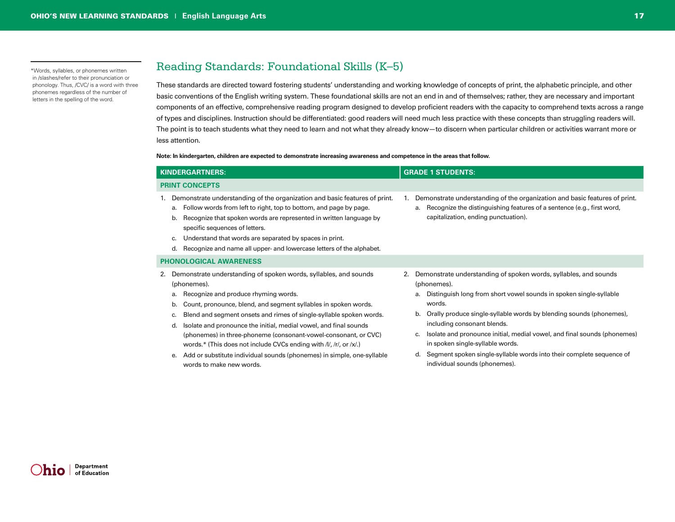<span id="page-16-0"></span>\*Words, syllables, or phonemes written in /slashes/refer to their pronunciation or phonology. Thus, /CVC/ is a word with three phonemes regardless of the number of letters in the spelling of the word.

# Reading Standards: Foundational Skills (K–5)

These standards are directed toward fostering students' understanding and working knowledge of concepts of print, the alphabetic principle, and other basic conventions of the English writing system. These foundational skills are not an end in and of themselves; rather, they are necessary and important components of an effective, comprehensive reading program designed to develop proficient readers with the capacity to comprehend texts across a range of types and disciplines. Instruction should be differentiated: good readers will need much less practice with these concepts than struggling readers will. The point is to teach students what they need to learn and not what they already know—to discern when particular children or activities warrant more or less attention.

#### **Note: In kindergarten, children are expected to demonstrate increasing awareness and competence in the areas that follow.**

| <b>KINDERGARTNERS:</b>                                                                                                                                                                                                                                                                                                                                                                                                                                                                                        | <b>GRADE 1 STUDENTS:</b>                                                                                                                                                                                                                                                                                                                                                                                   |  |  |  |
|---------------------------------------------------------------------------------------------------------------------------------------------------------------------------------------------------------------------------------------------------------------------------------------------------------------------------------------------------------------------------------------------------------------------------------------------------------------------------------------------------------------|------------------------------------------------------------------------------------------------------------------------------------------------------------------------------------------------------------------------------------------------------------------------------------------------------------------------------------------------------------------------------------------------------------|--|--|--|
| <b>PRINT CONCEPTS</b>                                                                                                                                                                                                                                                                                                                                                                                                                                                                                         |                                                                                                                                                                                                                                                                                                                                                                                                            |  |  |  |
| Demonstrate understanding of the organization and basic features of print.<br>1.<br>Follow words from left to right, top to bottom, and page by page.<br>a.<br>Recognize that spoken words are represented in written language by<br>b.<br>specific sequences of letters.<br>Understand that words are separated by spaces in print.<br>c.<br>Recognize and name all upper- and lowercase letters of the alphabet.<br>d.                                                                                      | Demonstrate understanding of the organization and basic features of print.<br>Recognize the distinguishing features of a sentence (e.g., first word,<br>a.<br>capitalization, ending punctuation).                                                                                                                                                                                                         |  |  |  |
| <b>PHONOLOGICAL AWARENESS</b>                                                                                                                                                                                                                                                                                                                                                                                                                                                                                 |                                                                                                                                                                                                                                                                                                                                                                                                            |  |  |  |
| Demonstrate understanding of spoken words, syllables, and sounds<br>2.<br>(phonemes).<br>Recognize and produce rhyming words.<br>a.<br>Count, pronounce, blend, and segment syllables in spoken words.<br>b.<br>Blend and segment onsets and rimes of single-syllable spoken words.<br>c.<br>Isolate and pronounce the initial, medial vowel, and final sounds<br>d.<br>(phonemes) in three-phoneme (consonant-vowel-consonant, or CVC)<br>words.* (This does not include CVCs ending with /l/, /r/, or /x/.) | Demonstrate understanding of spoken words, syllables, and sounds<br>2.<br>(phonemes).<br>Distinguish long from short vowel sounds in spoken single-syllable<br>a.<br>words.<br>b. Orally produce single-syllable words by blending sounds (phonemes),<br>including consonant blends.<br>Isolate and pronounce initial, medial vowel, and final sounds (phonemes)<br>c.<br>in spoken single-syllable words. |  |  |  |
| Add or substitute individual sounds (phonemes) in simple, one-syllable<br>$\sim$                                                                                                                                                                                                                                                                                                                                                                                                                              | d. Segment spoken single-syllable words into their complete sequence of                                                                                                                                                                                                                                                                                                                                    |  |  |  |

or substitute individual sounds (phonemes) in simple, one-syllable words to make new words.

d. Segment spoken single-syllable words into their complete sequence of individual sounds (phonemes).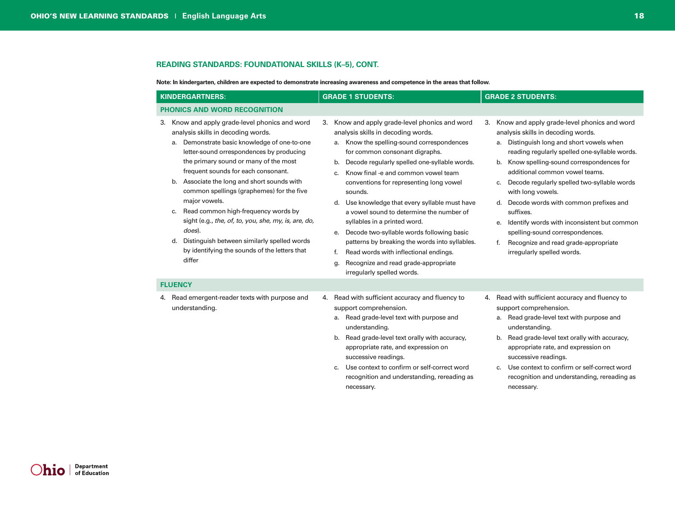# **READING STANDARDS: FOUNDATIONAL SKILLS (K–5), CONT.**

**Note: In kindergarten, children are expected to demonstrate increasing awareness and competence in the areas that follow.** 

| <b>KINDERGARTNERS:</b>                                                                                                                                                                                                                                                                                                                                                                                                                                                                                                                                                                                    | <b>GRADE 1 STUDENTS:</b>                                                                                                                                                                                                                                                                                                                                                                                                                                                                                                                                                                                                                                                                          | <b>GRADE 2 STUDENTS:</b>                                                                                                                                                                                                                                                                                                                                                                                                                                                                                                                                                           |
|-----------------------------------------------------------------------------------------------------------------------------------------------------------------------------------------------------------------------------------------------------------------------------------------------------------------------------------------------------------------------------------------------------------------------------------------------------------------------------------------------------------------------------------------------------------------------------------------------------------|---------------------------------------------------------------------------------------------------------------------------------------------------------------------------------------------------------------------------------------------------------------------------------------------------------------------------------------------------------------------------------------------------------------------------------------------------------------------------------------------------------------------------------------------------------------------------------------------------------------------------------------------------------------------------------------------------|------------------------------------------------------------------------------------------------------------------------------------------------------------------------------------------------------------------------------------------------------------------------------------------------------------------------------------------------------------------------------------------------------------------------------------------------------------------------------------------------------------------------------------------------------------------------------------|
| <b>PHONICS AND WORD RECOGNITION</b>                                                                                                                                                                                                                                                                                                                                                                                                                                                                                                                                                                       |                                                                                                                                                                                                                                                                                                                                                                                                                                                                                                                                                                                                                                                                                                   |                                                                                                                                                                                                                                                                                                                                                                                                                                                                                                                                                                                    |
| Know and apply grade-level phonics and word<br>3.<br>analysis skills in decoding words.<br>a. Demonstrate basic knowledge of one-to-one<br>letter-sound orrespondences by producing<br>the primary sound or many of the most<br>frequent sounds for each consonant.<br>b. Associate the long and short sounds with<br>common spellings (graphemes) for the five<br>major vowels.<br>Read common high-frequency words by<br>c.<br>sight (e.g., the, of, to, you, she, my, is, are, do,<br>does).<br>Distinguish between similarly spelled words<br>by identifying the sounds of the letters that<br>differ | Know and apply grade-level phonics and word<br>3.<br>analysis skills in decoding words.<br>a. Know the spelling-sound correspondences<br>for common consonant digraphs.<br>Decode regularly spelled one-syllable words.<br>b.<br>Know final -e and common yowel team<br>C.<br>conventions for representing long vowel<br>sounds.<br>Use knowledge that every syllable must have<br>d.<br>a vowel sound to determine the number of<br>syllables in a printed word.<br>Decode two-syllable words following basic<br>e.<br>patterns by breaking the words into syllables.<br>Read words with inflectional endings.<br>f.<br>Recognize and read grade-appropriate<br>g.<br>irregularly spelled words. | Know and apply grade-level phonics and word<br>3.<br>analysis skills in decoding words.<br>a. Distinguish long and short vowels when<br>reading regularly spelled one-syllable words.<br>Know spelling-sound correspondences for<br>b.<br>additional common vowel teams.<br>Decode regularly spelled two-syllable words<br>c.<br>with long vowels.<br>Decode words with common prefixes and<br>d.<br>suffixes.<br>Identify words with inconsistent but common<br>е.<br>spelling-sound correspondences.<br>Recognize and read grade-appropriate<br>f.<br>irregularly spelled words. |
| <b>FLUENCY</b>                                                                                                                                                                                                                                                                                                                                                                                                                                                                                                                                                                                            |                                                                                                                                                                                                                                                                                                                                                                                                                                                                                                                                                                                                                                                                                                   |                                                                                                                                                                                                                                                                                                                                                                                                                                                                                                                                                                                    |
| Read emergent-reader texts with purpose and<br>4.<br>understanding.                                                                                                                                                                                                                                                                                                                                                                                                                                                                                                                                       | Read with sufficient accuracy and fluency to<br>4.<br>support comprehension.<br>a. Read grade-level text with purpose and<br>understanding.<br>b. Read grade-level text orally with accuracy,<br>appropriate rate, and expression on<br>successive readings.<br>Use context to confirm or self-correct word<br>c.<br>recognition and understanding, rereading as<br>necessary.                                                                                                                                                                                                                                                                                                                    | Read with sufficient accuracy and fluency to<br>4.<br>support comprehension.<br>Read grade-level text with purpose and<br>а.<br>understanding.<br>Read grade-level text orally with accuracy,<br>b.<br>appropriate rate, and expression on<br>successive readings.<br>Use context to confirm or self-correct word<br>C.<br>recognition and understanding, rereading as<br>necessary.                                                                                                                                                                                               |

 $$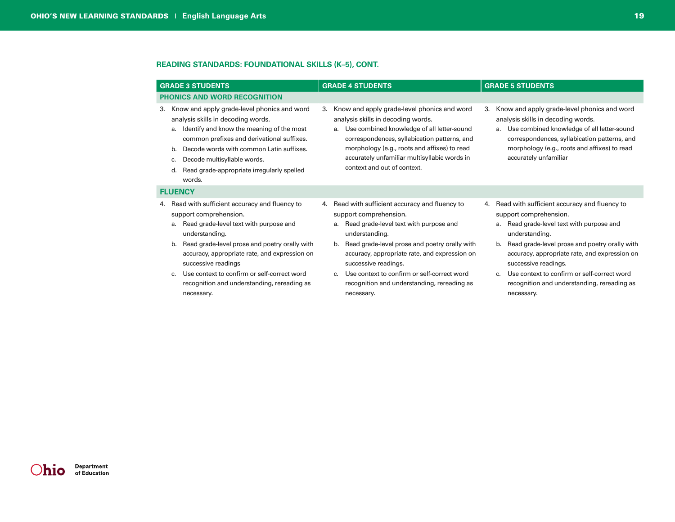# **READING STANDARDS: FOUNDATIONAL SKILLS (K–5), CONT.**

| <b>GRADE 3 STUDENTS</b>                                                                                                                                                                                                                                                                                                                                                                         | <b>GRADE 4 STUDENTS</b>                                                                                                                                                                                                                                                                                                                                                                       | <b>GRADE 5 STUDENTS</b>                                                                                                                                                                                                                                                                                                                                                                                 |
|-------------------------------------------------------------------------------------------------------------------------------------------------------------------------------------------------------------------------------------------------------------------------------------------------------------------------------------------------------------------------------------------------|-----------------------------------------------------------------------------------------------------------------------------------------------------------------------------------------------------------------------------------------------------------------------------------------------------------------------------------------------------------------------------------------------|---------------------------------------------------------------------------------------------------------------------------------------------------------------------------------------------------------------------------------------------------------------------------------------------------------------------------------------------------------------------------------------------------------|
| <b>PHONICS AND WORD RECOGNITION</b>                                                                                                                                                                                                                                                                                                                                                             |                                                                                                                                                                                                                                                                                                                                                                                               |                                                                                                                                                                                                                                                                                                                                                                                                         |
| Know and apply grade-level phonics and word<br>3.<br>analysis skills in decoding words.<br>Identify and know the meaning of the most<br>a.<br>common prefixes and derivational suffixes.<br>Decode words with common Latin suffixes.<br>b.<br>Decode multisyllable words.<br>c.<br>Read grade-appropriate irregularly spelled<br>d.<br>words.                                                   | Know and apply grade-level phonics and word<br>3.<br>analysis skills in decoding words.<br>Use combined knowledge of all letter-sound<br>a.<br>correspondences, syllabication patterns, and<br>morphology (e.g., roots and affixes) to read<br>accurately unfamiliar multisyllabic words in<br>context and out of context.                                                                    | Know and apply grade-level phonics and word<br>3.<br>analysis skills in decoding words.<br>a. Use combined knowledge of all letter-sound<br>correspondences, syllabication patterns, and<br>morphology (e.g., roots and affixes) to read<br>accurately unfamiliar                                                                                                                                       |
| <b>FLUENCY</b>                                                                                                                                                                                                                                                                                                                                                                                  |                                                                                                                                                                                                                                                                                                                                                                                               |                                                                                                                                                                                                                                                                                                                                                                                                         |
| Read with sufficient accuracy and fluency to<br>4.<br>support comprehension.<br>Read grade-level text with purpose and<br>a.<br>understanding.<br>Read grade-level prose and poetry orally with<br>b.<br>accuracy, appropriate rate, and expression on<br>successive readings<br>Use context to confirm or self-correct word<br>c.<br>recognition and understanding, rereading as<br>necessary. | 4. Read with sufficient accuracy and fluency to<br>support comprehension.<br>Read grade-level text with purpose and<br>a.<br>understanding.<br>Read grade-level prose and poetry orally with<br>b.<br>accuracy, appropriate rate, and expression on<br>successive readings.<br>Use context to confirm or self-correct word<br>C.<br>recognition and understanding, rereading as<br>necessary. | Read with sufficient accuracy and fluency to<br>4.<br>support comprehension.<br>Read grade-level text with purpose and<br>a.<br>understanding.<br>b. Read grade-level prose and poetry orally with<br>accuracy, appropriate rate, and expression on<br>successive readings.<br>Use context to confirm or self-correct word<br>$\mathbf{c}$<br>recognition and understanding, rereading as<br>necessary. |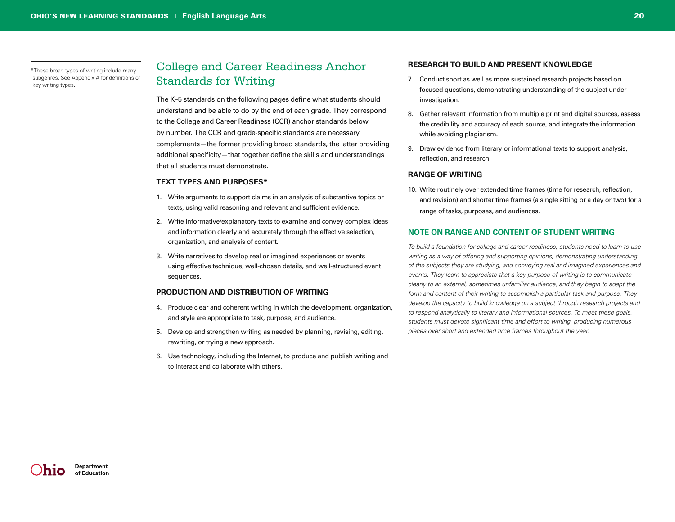<span id="page-19-0"></span>\*These broad types of writing include many subgenres. See Appendix A for definitions of key writing types.

# College and Career Readiness Anchor Standards for Writing

The K–5 standards on the following pages define what students should understand and be able to do by the end of each grade. They correspond to the College and Career Readiness (CCR) anchor standards below by number. The CCR and grade-specific standards are necessary complements—the former providing broad standards, the latter providing additional specificity—that together define the skills and understandings that all students must demonstrate.

## **TEXT TYPES AND PURPOSES\***

- 1. Write arguments to support claims in an analysis of substantive topics or texts, using valid reasoning and relevant and sufficient evidence.
- 2. Write informative/explanatory texts to examine and convey complex ideas and information clearly and accurately through the effective selection, organization, and analysis of content.
- 3. Write narratives to develop real or imagined experiences or events using effective technique, well-chosen details, and well-structured event sequences.

### **PRODUCTION AND DISTRIBUTION OF WRITING**

- 4. Produce clear and coherent writing in which the development, organization, and style are appropriate to task, purpose, and audience.
- 5. Develop and strengthen writing as needed by planning, revising, editing, rewriting, or trying a new approach.
- 6. Use technology, including the Internet, to produce and publish writing and to interact and collaborate with others.

# **RESEARCH TO BUILD AND PRESENT KNOWLEDGE**

- 7. Conduct short as well as more sustained research projects based on focused questions, demonstrating understanding of the subject under investigation.
- 8. Gather relevant information from multiple print and digital sources, assess the credibility and accuracy of each source, and integrate the information while avoiding plagiarism.
- 9. Draw evidence from literary or informational texts to support analysis, reflection, and research.

# **RANGE OF WRITING**

10. Write routinely over extended time frames (time for research, reflection, and revision) and shorter time frames (a single sitting or a day or two) for a range of tasks, purposes, and audiences.

# **NOTE ON RANGE AND CONTENT OF STUDENT WRITING**

*To build a foundation for college and career readiness, students need to learn to use writing as a way of offering and supporting opinions, demonstrating understanding of the subjects they are studying, and conveying real and imagined experiences and events. They learn to appreciate that a key purpose of writing is to communicate clearly to an external, sometimes unfamiliar audience, and they begin to adapt the form and content of their writing to accomplish a particular task and purpose. They develop the capacity to build knowledge on a subject through research projects and to respond analytically to literary and informational sources. To meet these goals, students must devote significant time and effort to writing, producing numerous pieces over short and extended time frames throughout the year.* 

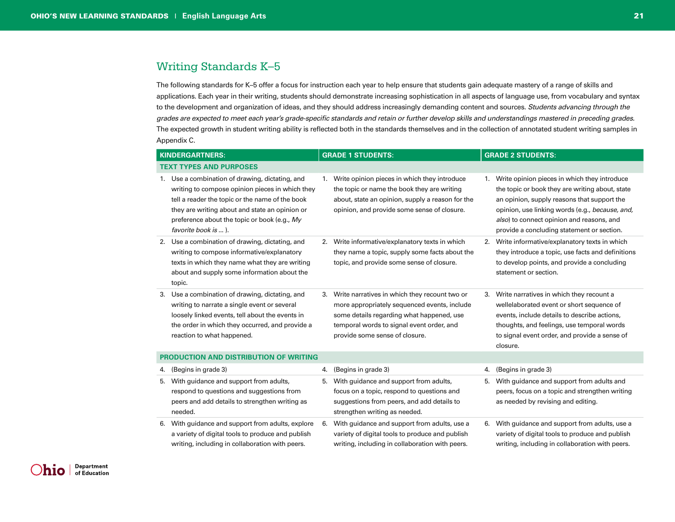# <span id="page-20-0"></span>Writing Standards K–5

The following standards for K–5 offer a focus for instruction each year to help ensure that students gain adequate mastery of a range of skills and applications. Each year in their writing, students should demonstrate increasing sophistication in all aspects of language use, from vocabulary and syntax to the development and organization of ideas, and they should address increasingly demanding content and sources. *Students advancing through the grades are expected to meet each year's grade-specific standards and retain or further develop skills and understandings mastered in preceding grades.* The expected growth in student writing ability is reflected both in the standards themselves and in the collection of annotated student writing samples in Appendix C.

| <b>KINDERGARTNERS:</b>                                                                                                                                                                                                                                                         | <b>GRADE 1 STUDENTS:</b>                                                                                                                                                                                                        | <b>GRADE 2 STUDENTS:</b>                                                                                                                                                                                                                                                                        |  |
|--------------------------------------------------------------------------------------------------------------------------------------------------------------------------------------------------------------------------------------------------------------------------------|---------------------------------------------------------------------------------------------------------------------------------------------------------------------------------------------------------------------------------|-------------------------------------------------------------------------------------------------------------------------------------------------------------------------------------------------------------------------------------------------------------------------------------------------|--|
| <b>TEXT TYPES AND PURPOSES</b>                                                                                                                                                                                                                                                 |                                                                                                                                                                                                                                 |                                                                                                                                                                                                                                                                                                 |  |
| 1. Use a combination of drawing, dictating, and<br>writing to compose opinion pieces in which they<br>tell a reader the topic or the name of the book<br>they are writing about and state an opinion or<br>preference about the topic or book (e.g., My<br>favorite book is ). | Write opinion pieces in which they introduce<br>1.<br>the topic or name the book they are writing<br>about, state an opinion, supply a reason for the<br>opinion, and provide some sense of closure.                            | 1. Write opinion pieces in which they introduce<br>the topic or book they are writing about, state<br>an opinion, supply reasons that support the<br>opinion, use linking words (e.g., because, and,<br>also) to connect opinion and reasons, and<br>provide a concluding statement or section. |  |
| Use a combination of drawing, dictating, and<br>2.<br>writing to compose informative/explanatory<br>texts in which they name what they are writing<br>about and supply some information about the<br>topic.                                                                    | Write informative/explanatory texts in which<br>2.<br>they name a topic, supply some facts about the<br>topic, and provide some sense of closure.                                                                               | Write informative/explanatory texts in which<br>2.<br>they introduce a topic, use facts and definitions<br>to develop points, and provide a concluding<br>statement or section.                                                                                                                 |  |
| Use a combination of drawing, dictating, and<br>3.<br>writing to narrate a single event or several<br>loosely linked events, tell about the events in<br>the order in which they occurred, and provide a<br>reaction to what happened.                                         | Write narratives in which they recount two or<br>3.<br>more appropriately sequenced events, include<br>some details regarding what happened, use<br>temporal words to signal event order, and<br>provide some sense of closure. | Write narratives in which they recount a<br>3.<br>wellelaborated event or short sequence of<br>events, include details to describe actions,<br>thoughts, and feelings, use temporal words<br>to signal event order, and provide a sense of<br>closure.                                          |  |
| <b>PRODUCTION AND DISTRIBUTION OF WRITING</b>                                                                                                                                                                                                                                  |                                                                                                                                                                                                                                 |                                                                                                                                                                                                                                                                                                 |  |
| (Begins in grade 3)<br>4.                                                                                                                                                                                                                                                      | (Begins in grade 3)<br>4.                                                                                                                                                                                                       | (Begins in grade 3)<br>4.                                                                                                                                                                                                                                                                       |  |
| With guidance and support from adults,<br>5.<br>respond to questions and suggestions from<br>peers and add details to strengthen writing as<br>needed.                                                                                                                         | With guidance and support from adults,<br>5.<br>focus on a topic, respond to questions and<br>suggestions from peers, and add details to<br>strengthen writing as needed.                                                       | With guidance and support from adults and<br>5.<br>peers, focus on a topic and strengthen writing<br>as needed by revising and editing.                                                                                                                                                         |  |
| With guidance and support from adults, explore<br>6.<br>a variety of digital tools to produce and publish<br>writing, including in collaboration with peers.                                                                                                                   | With guidance and support from adults, use a<br>6.<br>variety of digital tools to produce and publish<br>writing, including in collaboration with peers.                                                                        | 6. With quidance and support from adults, use a<br>variety of digital tools to produce and publish<br>writing, including in collaboration with peers.                                                                                                                                           |  |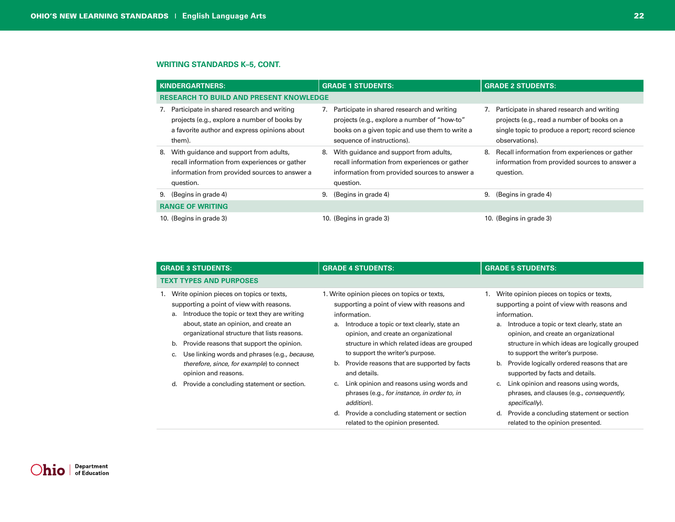| <b>KINDERGARTNERS:</b>                                                                                                                                   |    | <b>GRADE 1 STUDENTS:</b>                                                                                                                                                   |    | <b>GRADE 2 STUDENTS:</b>                                                                                                                                        |
|----------------------------------------------------------------------------------------------------------------------------------------------------------|----|----------------------------------------------------------------------------------------------------------------------------------------------------------------------------|----|-----------------------------------------------------------------------------------------------------------------------------------------------------------------|
| <b>RESEARCH TO BUILD AND PRESENT KNOWLEDGE</b>                                                                                                           |    |                                                                                                                                                                            |    |                                                                                                                                                                 |
| 7. Participate in shared research and writing<br>projects (e.g., explore a number of books by<br>a favorite author and express opinions about<br>them).  |    | Participate in shared research and writing<br>projects (e.g., explore a number of "how-to"<br>books on a given topic and use them to write a<br>sequence of instructions). | 7. | Participate in shared research and writing<br>projects (e.g., read a number of books on a<br>single topic to produce a report; record science<br>observations). |
| 8. With guidance and support from adults,<br>recall information from experiences or gather<br>information from provided sources to answer a<br>question. | 8. | With guidance and support from adults,<br>recall information from experiences or gather<br>information from provided sources to answer a<br>question.                      | 8. | Recall information from experiences or gather<br>information from provided sources to answer a<br>question.                                                     |
| 9. (Begins in grade 4)                                                                                                                                   | 9. | (Begins in grade 4)                                                                                                                                                        | 9. | (Begins in grade 4)                                                                                                                                             |
| <b>RANGE OF WRITING</b>                                                                                                                                  |    |                                                                                                                                                                            |    |                                                                                                                                                                 |
| 10. (Begins in grade 3)                                                                                                                                  |    | 10. (Begins in grade 3)                                                                                                                                                    |    | 10. (Begins in grade 3)                                                                                                                                         |

| <b>GRADE 3 STUDENTS:</b>                                                                                                                                                                                                                                                                                                                                                                                               | <b>GRADE 4 STUDENTS:</b>                                                                                                                                                                                                                                                                                                                                          | <b>GRADE 5 STUDENTS:</b>                                                                                                                                                                                                                                                                                                                                                           |  |  |
|------------------------------------------------------------------------------------------------------------------------------------------------------------------------------------------------------------------------------------------------------------------------------------------------------------------------------------------------------------------------------------------------------------------------|-------------------------------------------------------------------------------------------------------------------------------------------------------------------------------------------------------------------------------------------------------------------------------------------------------------------------------------------------------------------|------------------------------------------------------------------------------------------------------------------------------------------------------------------------------------------------------------------------------------------------------------------------------------------------------------------------------------------------------------------------------------|--|--|
| <b>TEXT TYPES AND PURPOSES</b>                                                                                                                                                                                                                                                                                                                                                                                         |                                                                                                                                                                                                                                                                                                                                                                   |                                                                                                                                                                                                                                                                                                                                                                                    |  |  |
| Write opinion pieces on topics or texts,<br>1.<br>supporting a point of view with reasons.<br>a. Introduce the topic or text they are writing<br>about, state an opinion, and create an<br>organizational structure that lists reasons.<br>Provide reasons that support the opinion.<br>b.<br>Use linking words and phrases (e.g., because,<br>c.<br>therefore, since, for example) to connect<br>opinion and reasons. | 1. Write opinion pieces on topics or texts,<br>supporting a point of view with reasons and<br>information.<br>Introduce a topic or text clearly, state an<br>a.<br>opinion, and create an organizational<br>structure in which related ideas are grouped<br>to support the writer's purpose.<br>Provide reasons that are supported by facts<br>b.<br>and details. | Write opinion pieces on topics or texts,<br>supporting a point of view with reasons and<br>information.<br>Introduce a topic or text clearly, state an<br>а.<br>opinion, and create an organizational<br>structure in which ideas are logically grouped<br>to support the writer's purpose.<br>Provide logically ordered reasons that are<br>b.<br>supported by facts and details. |  |  |
| Provide a concluding statement or section.<br>d.                                                                                                                                                                                                                                                                                                                                                                       | Link opinion and reasons using words and<br>c.<br>phrases (e.g., for instance, in order to, in<br>addition).<br>Provide a concluding statement or section<br>d.<br>related to the opinion presented.                                                                                                                                                              | Link opinion and reasons using words,<br>C.<br>phrases, and clauses (e.g., consequently,<br>specifically).<br>Provide a concluding statement or section<br>d.<br>related to the opinion presented.                                                                                                                                                                                 |  |  |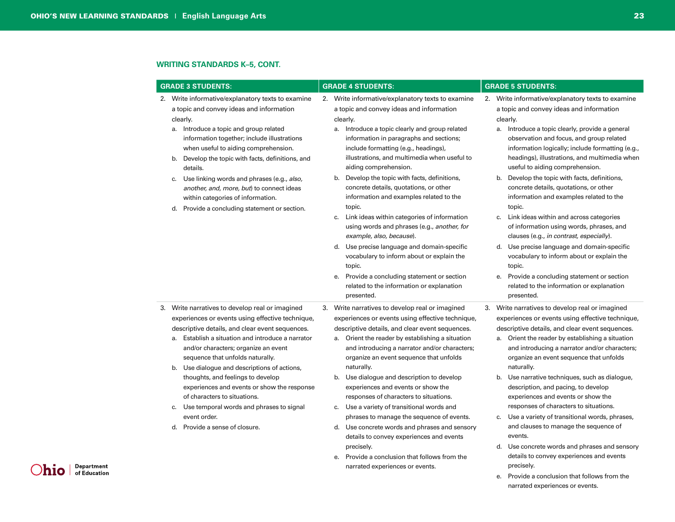| <b>GRADE 3 STUDENTS:</b>                                                                                                                                               |                                                                                                                                                                                                                                                                                                                                                                                             | <b>GRADE 4 STUDENTS:</b> |                                                                                                                                                                                                                                                                                                                                                                                                                                                                                                                                                                                                                                                                                                                                                                                                                    | <b>GRADE 5 STUDENTS:</b> |                                                                                                                                                                                                                                                                                                                                                                                                                                                                                                                                                                                                                                                                                                                                                                                                                                                            |  |
|------------------------------------------------------------------------------------------------------------------------------------------------------------------------|---------------------------------------------------------------------------------------------------------------------------------------------------------------------------------------------------------------------------------------------------------------------------------------------------------------------------------------------------------------------------------------------|--------------------------|--------------------------------------------------------------------------------------------------------------------------------------------------------------------------------------------------------------------------------------------------------------------------------------------------------------------------------------------------------------------------------------------------------------------------------------------------------------------------------------------------------------------------------------------------------------------------------------------------------------------------------------------------------------------------------------------------------------------------------------------------------------------------------------------------------------------|--------------------------|------------------------------------------------------------------------------------------------------------------------------------------------------------------------------------------------------------------------------------------------------------------------------------------------------------------------------------------------------------------------------------------------------------------------------------------------------------------------------------------------------------------------------------------------------------------------------------------------------------------------------------------------------------------------------------------------------------------------------------------------------------------------------------------------------------------------------------------------------------|--|
| a topic and convey ideas and information<br>clearly.<br>a. Introduce a topic and group related<br>b.<br>details.<br>c.<br>within categories of information.<br>d.      | 2. Write informative/explanatory texts to examine<br>information together; include illustrations<br>when useful to aiding comprehension.<br>Develop the topic with facts, definitions, and<br>Use linking words and phrases (e.g., also,<br>another, and, more, but) to connect ideas<br>Provide a concluding statement or section.                                                         | b.                       | 2. Write informative/explanatory texts to examine<br>a topic and convey ideas and information<br>clearly.<br>a. Introduce a topic clearly and group related<br>information in paragraphs and sections;<br>include formatting (e.g., headings),<br>illustrations, and multimedia when useful to<br>aiding comprehension.<br>Develop the topic with facts, definitions,<br>concrete details, quotations, or other<br>information and examples related to the<br>topic.<br>c. Link ideas within categories of information<br>using words and phrases (e.g., another, for<br>example, also, because).<br>d. Use precise language and domain-specific<br>vocabulary to inform about or explain the<br>topic.<br>e. Provide a concluding statement or section<br>related to the information or explanation<br>presented. |                          | 2. Write informative/explanatory texts to examine<br>a topic and convey ideas and information<br>clearly.<br>a. Introduce a topic clearly, provide a general<br>observation and focus, and group related<br>information logically; include formatting (e.g.,<br>headings), illustrations, and multimedia when<br>useful to aiding comprehension.<br>b. Develop the topic with facts, definitions,<br>concrete details, quotations, or other<br>information and examples related to the<br>topic.<br>Link ideas within and across categories<br>c.<br>of information using words, phrases, and<br>clauses (e.g., in contrast, especially).<br>d. Use precise language and domain-specific<br>vocabulary to inform about or explain the<br>topic.<br>e. Provide a concluding statement or section<br>related to the information or explanation<br>presented. |  |
| 3.<br>sequence that unfolds naturally.<br>thoughts, and feelings to develop<br>of characters to situations.<br>c.<br>event order.<br>Provide a sense of closure.<br>d. | Write narratives to develop real or imagined<br>experiences or events using effective technique,<br>descriptive details, and clear event sequences.<br>a. Establish a situation and introduce a narrator<br>and/or characters; organize an event<br>b. Use dialogue and descriptions of actions,<br>experiences and events or show the response<br>Use temporal words and phrases to signal | 3.<br>c.<br>е.           | Write narratives to develop real or imagined<br>experiences or events using effective technique,<br>descriptive details, and clear event sequences.<br>a. Orient the reader by establishing a situation<br>and introducing a narrator and/or characters;<br>organize an event sequence that unfolds<br>naturally.<br>b. Use dialogue and description to develop<br>experiences and events or show the<br>responses of characters to situations.<br>Use a variety of transitional words and<br>phrases to manage the sequence of events.<br>d. Use concrete words and phrases and sensory<br>details to convey experiences and events<br>precisely.<br>Provide a conclusion that follows from the<br>narrated experiences or events.                                                                                |                          | 3. Write narratives to develop real or imagined<br>experiences or events using effective technique,<br>descriptive details, and clear event sequences.<br>a. Orient the reader by establishing a situation<br>and introducing a narrator and/or characters;<br>organize an event sequence that unfolds<br>naturally.<br>b. Use narrative techniques, such as dialogue,<br>description, and pacing, to develop<br>experiences and events or show the<br>responses of characters to situations.<br>Use a variety of transitional words, phrases,<br>c.<br>and clauses to manage the sequence of<br>events.<br>Use concrete words and phrases and sensory<br>d.<br>details to convey experiences and events<br>precisely.<br>e Provide a conclusion that follows from the                                                                                     |  |

ovide a conclusion that follo narrated experiences or events.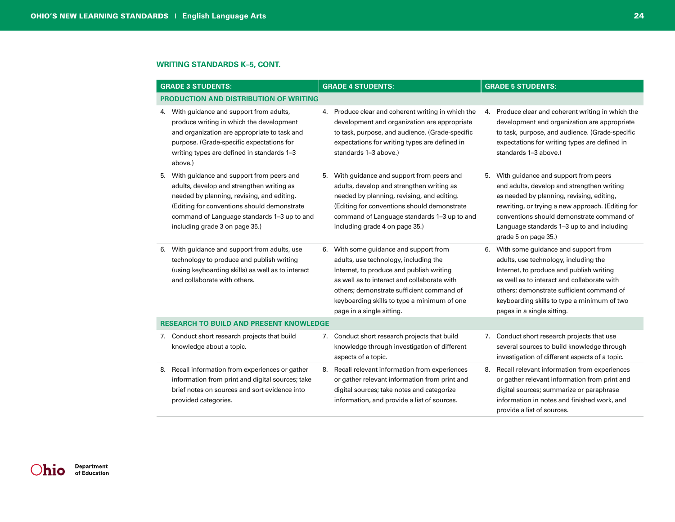|    | <b>GRADE 3 STUDENTS:</b>                                                                                                                                                                                                                                            |    | <b>GRADE 4 STUDENTS:</b>                                                                                                                                                                                                                                                                         |    | <b>GRADE 5 STUDENTS:</b>                                                                                                                                                                                                                                                                                |
|----|---------------------------------------------------------------------------------------------------------------------------------------------------------------------------------------------------------------------------------------------------------------------|----|--------------------------------------------------------------------------------------------------------------------------------------------------------------------------------------------------------------------------------------------------------------------------------------------------|----|---------------------------------------------------------------------------------------------------------------------------------------------------------------------------------------------------------------------------------------------------------------------------------------------------------|
|    | PRODUCTION AND DISTRIBUTION OF WRITING                                                                                                                                                                                                                              |    |                                                                                                                                                                                                                                                                                                  |    |                                                                                                                                                                                                                                                                                                         |
|    | 4. With guidance and support from adults,<br>produce writing in which the development<br>and organization are appropriate to task and<br>purpose. (Grade-specific expectations for<br>writing types are defined in standards 1-3<br>above.)                         |    | 4. Produce clear and coherent writing in which the<br>development and organization are appropriate<br>to task, purpose, and audience. (Grade-specific<br>expectations for writing types are defined in<br>standards 1-3 above.)                                                                  | 4. | Produce clear and coherent writing in which the<br>development and organization are appropriate<br>to task, purpose, and audience. (Grade-specific<br>expectations for writing types are defined in<br>standards 1-3 above.)                                                                            |
| 5. | With guidance and support from peers and<br>adults, develop and strengthen writing as<br>needed by planning, revising, and editing.<br>(Editing for conventions should demonstrate<br>command of Language standards 1-3 up to and<br>including grade 3 on page 35.) | 5. | With guidance and support from peers and<br>adults, develop and strengthen writing as<br>needed by planning, revising, and editing.<br>(Editing for conventions should demonstrate<br>command of Language standards 1-3 up to and<br>including grade 4 on page 35.)                              | 5. | With guidance and support from peers<br>and adults, develop and strengthen writing<br>as needed by planning, revising, editing,<br>rewriting, or trying a new approach. (Editing for<br>conventions should demonstrate command of<br>Language standards 1-3 up to and including<br>grade 5 on page 35.) |
| 6. | With guidance and support from adults, use<br>technology to produce and publish writing<br>(using keyboarding skills) as well as to interact<br>and collaborate with others.                                                                                        | 6. | With some guidance and support from<br>adults, use technology, including the<br>Internet, to produce and publish writing<br>as well as to interact and collaborate with<br>others; demonstrate sufficient command of<br>keyboarding skills to type a minimum of one<br>page in a single sitting. |    | 6. With some guidance and support from<br>adults, use technology, including the<br>Internet, to produce and publish writing<br>as well as to interact and collaborate with<br>others; demonstrate sufficient command of<br>keyboarding skills to type a minimum of two<br>pages in a single sitting.    |
|    | <b>RESEARCH TO BUILD AND PRESENT KNOWLEDGE</b>                                                                                                                                                                                                                      |    |                                                                                                                                                                                                                                                                                                  |    |                                                                                                                                                                                                                                                                                                         |
|    | 7. Conduct short research projects that build<br>knowledge about a topic.                                                                                                                                                                                           | 7. | Conduct short research projects that build<br>knowledge through investigation of different<br>aspects of a topic.                                                                                                                                                                                | 7. | Conduct short research projects that use<br>several sources to build knowledge through<br>investigation of different aspects of a topic.                                                                                                                                                                |
|    | 8. Recall information from experiences or gather<br>information from print and digital sources; take<br>brief notes on sources and sort evidence into<br>provided categories.                                                                                       |    | 8. Recall relevant information from experiences<br>or gather relevant information from print and<br>digital sources; take notes and categorize<br>information, and provide a list of sources.                                                                                                    |    | 8. Recall relevant information from experiences<br>or gather relevant information from print and<br>digital sources; summarize or paraphrase<br>information in notes and finished work, and<br>provide a list of sources.                                                                               |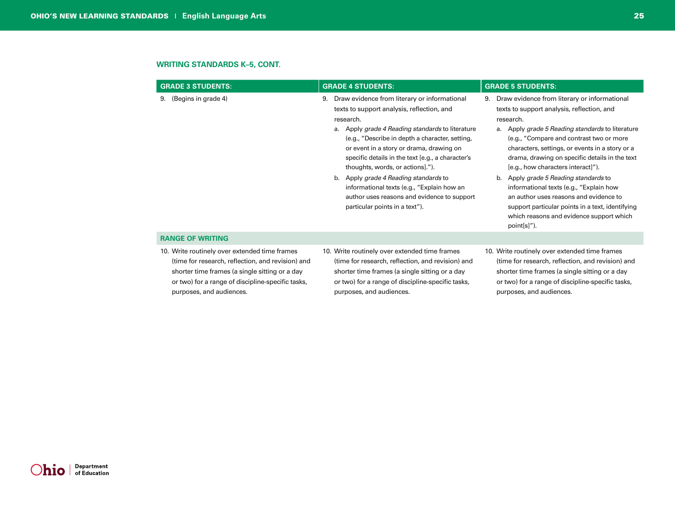| <b>GRADE 3 STUDENTS:</b>                                                                           | <b>GRADE 4 STUDENTS:</b>                                                                                                                                                                                                                                                                                                                                                                                                                                                                                                       | <b>GRADE 5 STUDENTS:</b>                                                                                                                                                                                                                                                                                                                                                                                                                                                                                                                                                                                       |
|----------------------------------------------------------------------------------------------------|--------------------------------------------------------------------------------------------------------------------------------------------------------------------------------------------------------------------------------------------------------------------------------------------------------------------------------------------------------------------------------------------------------------------------------------------------------------------------------------------------------------------------------|----------------------------------------------------------------------------------------------------------------------------------------------------------------------------------------------------------------------------------------------------------------------------------------------------------------------------------------------------------------------------------------------------------------------------------------------------------------------------------------------------------------------------------------------------------------------------------------------------------------|
| (Begins in grade 4)<br>9.                                                                          | Draw evidence from literary or informational<br>9.<br>texts to support analysis, reflection, and<br>research.<br>Apply grade 4 Reading standards to literature<br>(e.g., "Describe in depth a character, setting,<br>or event in a story or drama, drawing on<br>specific details in the text [e.g., a character's<br>thoughts, words, or actions].").<br>b. Apply grade 4 Reading standards to<br>informational texts (e.g., "Explain how an<br>author uses reasons and evidence to support<br>particular points in a text"). | Draw evidence from literary or informational<br>9.<br>texts to support analysis, reflection, and<br>research.<br>Apply grade 5 Reading standards to literature<br>а.<br>(e.g., "Compare and contrast two or more<br>characters, settings, or events in a story or a<br>drama, drawing on specific details in the text<br>[e.g., how characters interact]").<br>Apply grade 5 Reading standards to<br>b.<br>informational texts (e.g., "Explain how<br>an author uses reasons and evidence to<br>support particular points in a text, identifying<br>which reasons and evidence support which<br>$point[s]'$ ). |
| <b>RANGE OF WRITING</b>                                                                            |                                                                                                                                                                                                                                                                                                                                                                                                                                                                                                                                |                                                                                                                                                                                                                                                                                                                                                                                                                                                                                                                                                                                                                |
| 10. Write routinely over extended time frames<br>(time for research, reflection, and revision) and | 10. Write routinely over extended time frames<br>(time for research, reflection, and revision) and                                                                                                                                                                                                                                                                                                                                                                                                                             | 10. Write routinely over extended time frames<br>(time for research, reflection, and revision) and                                                                                                                                                                                                                                                                                                                                                                                                                                                                                                             |

- shorter time frames (a single sitting or a day or two) for a range of discipline-specific tasks, purposes, and audiences.
- shorter time frames (a single sitting or a day or two) for a range of discipline-specific tasks, purposes, and audiences.
- shorter time frames (a single sitting or a day or two) for a range of discipline-specific tasks, purposes, and audiences.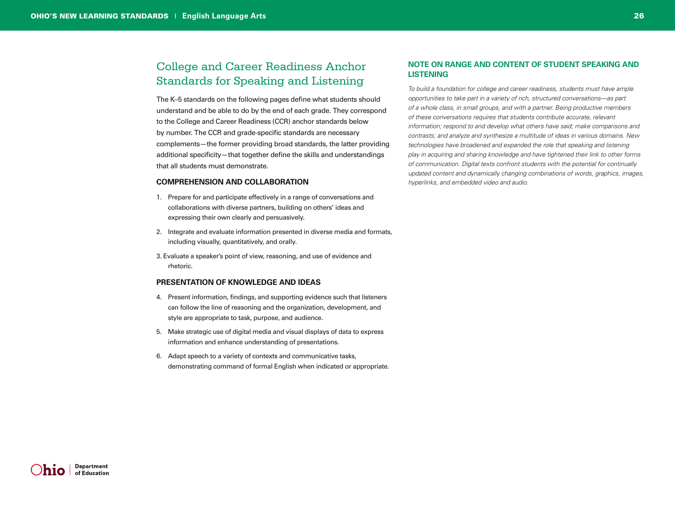# <span id="page-25-0"></span>College and Career Readiness Anchor Standards for Speaking and Listening

The K–5 standards on the following pages define what students should understand and be able to do by the end of each grade. They correspond to the College and Career Readiness (CCR) anchor standards below by number. The CCR and grade-specific standards are necessary complements—the former providing broad standards, the latter providing additional specificity—that together define the skills and understandings that all students must demonstrate.

#### **COMPREHENSION AND COLLABORATION**

- 1. Prepare for and participate effectively in a range of conversations and collaborations with diverse partners, building on others' ideas and expressing their own clearly and persuasively.
- 2. Integrate and evaluate information presented in diverse media and formats, including visually, quantitatively, and orally.
- 3. Evaluate a speaker's point of view, reasoning, and use of evidence and rhetoric.

## **PRESENTATION OF KNOWLEDGE AND IDEAS**

- 4. Present information, findings, and supporting evidence such that listeners can follow the line of reasoning and the organization, development, and style are appropriate to task, purpose, and audience.
- 5. Make strategic use of digital media and visual displays of data to express information and enhance understanding of presentations.
- 6. Adapt speech to a variety of contexts and communicative tasks, demonstrating command of formal English when indicated or appropriate.

# **NOTE ON RANGE AND CONTENT OF STUDENT SPEAKING AND LISTENING**

*To build a foundation for college and career readiness, students must have ample opportunities to take part in a variety of rich, structured conversations—as part of a whole class, in small groups, and with a partner. Being productive members of these conversations requires that students contribute accurate, relevant information; respond to and develop what others have said; make comparisons and contrasts; and analyze and synthesize a multitude of ideas in various domains. New technologies have broadened and expanded the role that speaking and listening play in acquiring and sharing knowledge and have tightened their link to other forms of communication. Digital texts confront students with the potential for continually updated content and dynamically changing combinations of words, graphics, images, hyperlinks, and embedded video and audio.*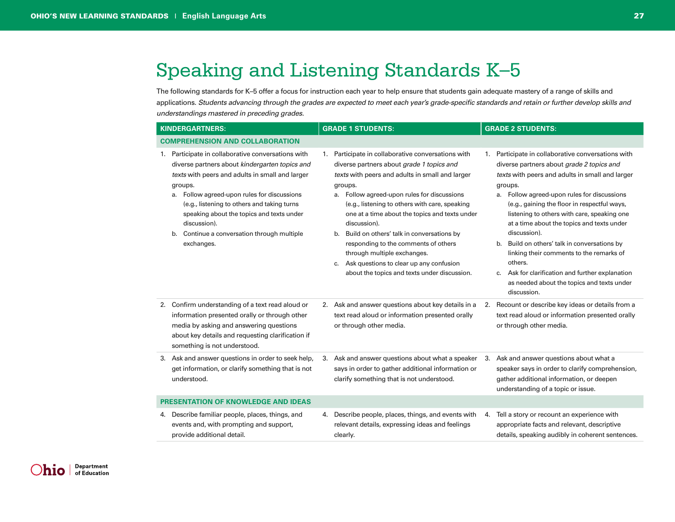# <span id="page-26-0"></span>Speaking and Listening Standards K–5

The following standards for K–5 offer a focus for instruction each year to help ensure that students gain adequate mastery of a range of skills and applications. *Students advancing through the grades are expected to meet each year's grade-specific standards and retain or further develop skills and understandings mastered in preceding grades.* 

| <b>KINDERGARTNERS:</b>                                                                                                                                                                                                                                                                                                                                                                        | <b>GRADE 1 STUDENTS:</b>                                                                                                                                                                                                                                                                                                                                                                                                                                                                                                                                       | <b>GRADE 2 STUDENTS:</b>                                                                                                                                                                                                                                                                                                                                                                                                                                                                                                                                                                                        |
|-----------------------------------------------------------------------------------------------------------------------------------------------------------------------------------------------------------------------------------------------------------------------------------------------------------------------------------------------------------------------------------------------|----------------------------------------------------------------------------------------------------------------------------------------------------------------------------------------------------------------------------------------------------------------------------------------------------------------------------------------------------------------------------------------------------------------------------------------------------------------------------------------------------------------------------------------------------------------|-----------------------------------------------------------------------------------------------------------------------------------------------------------------------------------------------------------------------------------------------------------------------------------------------------------------------------------------------------------------------------------------------------------------------------------------------------------------------------------------------------------------------------------------------------------------------------------------------------------------|
| <b>COMPREHENSION AND COLLABORATION</b>                                                                                                                                                                                                                                                                                                                                                        |                                                                                                                                                                                                                                                                                                                                                                                                                                                                                                                                                                |                                                                                                                                                                                                                                                                                                                                                                                                                                                                                                                                                                                                                 |
| 1. Participate in collaborative conversations with<br>diverse partners about kindergarten topics and<br>texts with peers and adults in small and larger<br>groups.<br>a. Follow agreed-upon rules for discussions<br>(e.g., listening to others and taking turns<br>speaking about the topics and texts under<br>discussion).<br>Continue a conversation through multiple<br>b.<br>exchanges. | Participate in collaborative conversations with<br>1.<br>diverse partners about grade 1 topics and<br>texts with peers and adults in small and larger<br>groups.<br>a. Follow agreed-upon rules for discussions<br>(e.g., listening to others with care, speaking<br>one at a time about the topics and texts under<br>discussion).<br>Build on others' talk in conversations by<br>b.<br>responding to the comments of others<br>through multiple exchanges.<br>Ask questions to clear up any confusion<br>c.<br>about the topics and texts under discussion. | 1. Participate in collaborative conversations with<br>diverse partners about grade 2 topics and<br>texts with peers and adults in small and larger<br>groups.<br>Follow agreed-upon rules for discussions<br>а.<br>(e.g., gaining the floor in respectful ways,<br>listening to others with care, speaking one<br>at a time about the topics and texts under<br>discussion).<br>Build on others' talk in conversations by<br>b.<br>linking their comments to the remarks of<br>others.<br>Ask for clarification and further explanation<br>$C_{1}$<br>as needed about the topics and texts under<br>discussion. |
| 2. Confirm understanding of a text read aloud or<br>information presented orally or through other<br>media by asking and answering questions<br>about key details and requesting clarification if<br>something is not understood.                                                                                                                                                             | 2. Ask and answer questions about key details in a<br>text read aloud or information presented orally<br>or through other media.                                                                                                                                                                                                                                                                                                                                                                                                                               | Recount or describe key ideas or details from a<br>2.<br>text read aloud or information presented orally<br>or through other media.                                                                                                                                                                                                                                                                                                                                                                                                                                                                             |
| 3. Ask and answer questions in order to seek help,<br>get information, or clarify something that is not<br>understood.                                                                                                                                                                                                                                                                        | 3. Ask and answer questions about what a speaker<br>says in order to gather additional information or<br>clarify something that is not understood.                                                                                                                                                                                                                                                                                                                                                                                                             | Ask and answer questions about what a<br>3.<br>speaker says in order to clarify comprehension,<br>gather additional information, or deepen<br>understanding of a topic or issue.                                                                                                                                                                                                                                                                                                                                                                                                                                |
| <b>PRESENTATION OF KNOWLEDGE AND IDEAS</b>                                                                                                                                                                                                                                                                                                                                                    |                                                                                                                                                                                                                                                                                                                                                                                                                                                                                                                                                                |                                                                                                                                                                                                                                                                                                                                                                                                                                                                                                                                                                                                                 |
| Describe familiar people, places, things, and<br>4.<br>events and, with prompting and support,<br>provide additional detail.                                                                                                                                                                                                                                                                  | Describe people, places, things, and events with<br>4.<br>relevant details, expressing ideas and feelings<br>clearly.                                                                                                                                                                                                                                                                                                                                                                                                                                          | Tell a story or recount an experience with<br>4.<br>appropriate facts and relevant, descriptive<br>details, speaking audibly in coherent sentences.                                                                                                                                                                                                                                                                                                                                                                                                                                                             |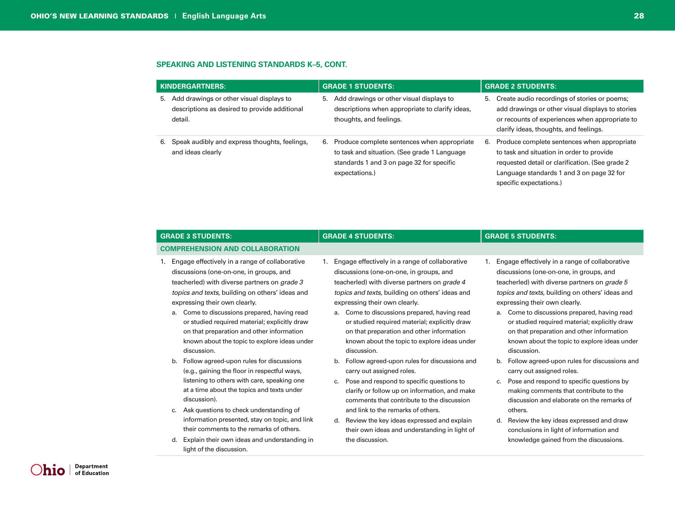#### **SPEAKING AND LISTENING STANDARDS K–5, CONT.**

| <b>KINDERGARTNERS:</b>                                                                                  | <b>GRADE 1 STUDENTS:</b>                                                                                                                                         | <b>GRADE 2 STUDENTS:</b>                                                                                                                                                                                                  |
|---------------------------------------------------------------------------------------------------------|------------------------------------------------------------------------------------------------------------------------------------------------------------------|---------------------------------------------------------------------------------------------------------------------------------------------------------------------------------------------------------------------------|
| 5. Add drawings or other visual displays to<br>descriptions as desired to provide additional<br>detail. | Add drawings or other visual displays to<br>5.<br>descriptions when appropriate to clarify ideas,<br>thoughts, and feelings.                                     | Create audio recordings of stories or poems;<br>5.<br>add drawings or other visual displays to stories<br>or recounts of experiences when appropriate to<br>clarify ideas, thoughts, and feelings.                        |
| 6. Speak audibly and express thoughts, feelings,<br>and ideas clearly                                   | Produce complete sentences when appropriate<br>6.<br>to task and situation. (See grade 1 Language<br>standards 1 and 3 on page 32 for specific<br>expectations.) | Produce complete sentences when appropriate<br>6.<br>to task and situation in order to provide<br>requested detail or clarification. (See grade 2<br>Language standards 1 and 3 on page 32 for<br>specific expectations.) |

| <b>GRADE 3 STUDENTS:</b> | <b>GRADE 5 STUDENTS:</b> |
|--------------------------|--------------------------|
|                          |                          |

- **COMPREHENSION AND COLLABORATION**
- 1. Engage effectively in a range of collaborative discussions (one-on-one, in groups, and teacherled) with diverse partners on *grade 3 topics and texts*, building on others' ideas and expressing their own clearly.
	- a. Come to discussions prepared, having read or studied required material; explicitly draw on that preparation and other information known about the topic to explore ideas under discussion.
	- b. Follow agreed-upon rules for discussions (e.g., gaining the floor in respectful ways, listening to others with care, speaking one at a time about the topics and texts under discussion).
	- c. Ask questions to check understanding of information presented, stay on topic, and link their comments to the remarks of others.
	- d. Explain their own ideas and understanding in light of the discussion.
- 1. Engage effectively in a range of collaborative discussions (one-on-one, in groups, and teacherled) with diverse partners on *grade 4 topics and texts,* building on others' ideas and expressing their own clearly.
	- a. Come to discussions prepared, having read or studied required material; explicitly draw on that preparation and other information known about the topic to explore ideas under discussion.
	- b. Follow agreed-upon rules for discussions and carry out assigned roles.
	- c. Pose and respond to specific questions to clarify or follow up on information, and make comments that contribute to the discussion and link to the remarks of others.
	- d. Review the key ideas expressed and explain their own ideas and understanding in light of the discussion.

# 1. Engage effectively in a range of collaborative discussions (one-on-one, in groups, and teacherled) with diverse partners on *grade 5 topics and texts*, building on others' ideas and expressing their own clearly.

- a. Come to discussions prepared, having read or studied required material; explicitly draw on that preparation and other information known about the topic to explore ideas under discussion.
- b. Follow agreed-upon rules for discussions and carry out assigned roles.
- c. Pose and respond to specific questions by making comments that contribute to the discussion and elaborate on the remarks of others.
- d. Review the key ideas expressed and draw conclusions in light of information and knowledge gained from the discussions.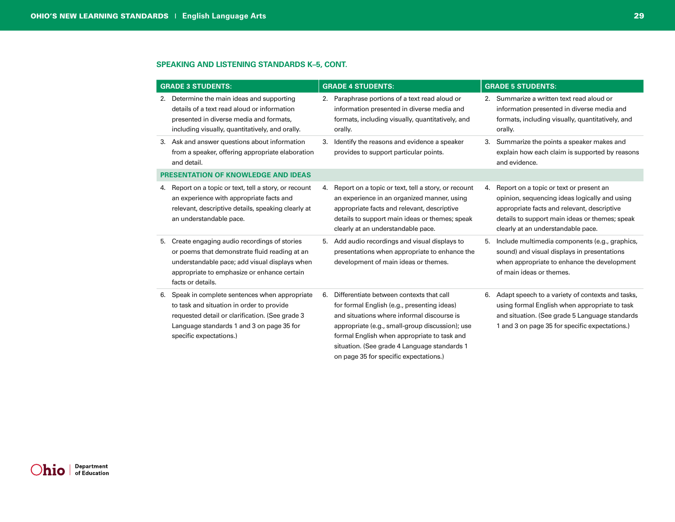# **SPEAKING AND LISTENING STANDARDS K–5, CONT.**

|    | <b>GRADE 3 STUDENTS:</b>                                                                                                                                                                                             |    | <b>GRADE 4 STUDENTS:</b>                                                                                                                                                                                                                                                                                                          |    | <b>GRADE 5 STUDENTS:</b>                                                                                                                                                                                                        |
|----|----------------------------------------------------------------------------------------------------------------------------------------------------------------------------------------------------------------------|----|-----------------------------------------------------------------------------------------------------------------------------------------------------------------------------------------------------------------------------------------------------------------------------------------------------------------------------------|----|---------------------------------------------------------------------------------------------------------------------------------------------------------------------------------------------------------------------------------|
| 2. | Determine the main ideas and supporting<br>details of a text read aloud or information<br>presented in diverse media and formats,<br>including visually, quantitatively, and orally.                                 |    | 2. Paraphrase portions of a text read aloud or<br>information presented in diverse media and<br>formats, including visually, quantitatively, and<br>orally.                                                                                                                                                                       | 2. | Summarize a written text read aloud or<br>information presented in diverse media and<br>formats, including visually, quantitatively, and<br>orally.                                                                             |
| 3. | Ask and answer questions about information<br>from a speaker, offering appropriate elaboration<br>and detail.                                                                                                        | 3. | Identify the reasons and evidence a speaker<br>provides to support particular points.                                                                                                                                                                                                                                             | 3. | Summarize the points a speaker makes and<br>explain how each claim is supported by reasons<br>and evidence.                                                                                                                     |
|    | <b>PRESENTATION OF KNOWLEDGE AND IDEAS</b>                                                                                                                                                                           |    |                                                                                                                                                                                                                                                                                                                                   |    |                                                                                                                                                                                                                                 |
| 4. | Report on a topic or text, tell a story, or recount<br>an experience with appropriate facts and<br>relevant, descriptive details, speaking clearly at<br>an understandable pace.                                     |    | 4. Report on a topic or text, tell a story, or recount<br>an experience in an organized manner, using<br>appropriate facts and relevant, descriptive<br>details to support main ideas or themes; speak<br>clearly at an understandable pace.                                                                                      | 4. | Report on a topic or text or present an<br>opinion, sequencing ideas logically and using<br>appropriate facts and relevant, descriptive<br>details to support main ideas or themes; speak<br>clearly at an understandable pace. |
| 5. | Create engaging audio recordings of stories<br>or poems that demonstrate fluid reading at an<br>understandable pace; add visual displays when<br>appropriate to emphasize or enhance certain<br>facts or details.    |    | 5. Add audio recordings and visual displays to<br>presentations when appropriate to enhance the<br>development of main ideas or themes.                                                                                                                                                                                           | 5. | Include multimedia components (e.g., graphics,<br>sound) and visual displays in presentations<br>when appropriate to enhance the development<br>of main ideas or themes.                                                        |
| 6. | Speak in complete sentences when appropriate<br>to task and situation in order to provide<br>requested detail or clarification. (See grade 3<br>Language standards 1 and 3 on page 35 for<br>specific expectations.) | 6. | Differentiate between contexts that call<br>for formal English (e.g., presenting ideas)<br>and situations where informal discourse is<br>appropriate (e.g., small-group discussion); use<br>formal English when appropriate to task and<br>situation. (See grade 4 Language standards 1<br>on page 35 for specific expectations.) | 6. | Adapt speech to a variety of contexts and tasks,<br>using formal English when appropriate to task<br>and situation. (See grade 5 Language standards<br>1 and 3 on page 35 for specific expectations.)                           |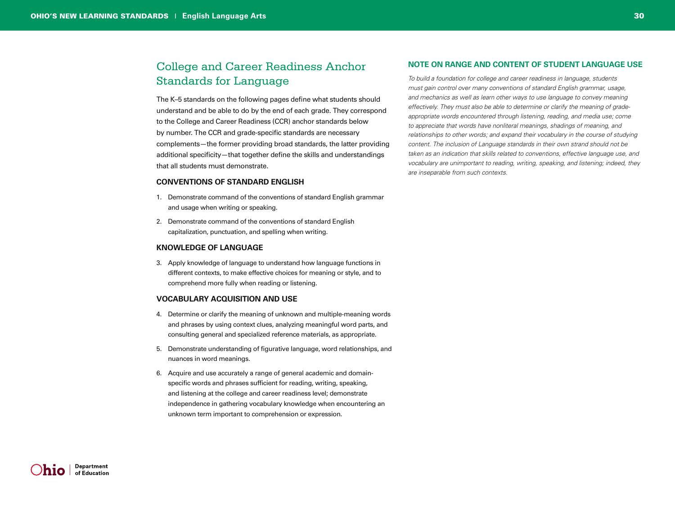<span id="page-29-0"></span>The K–5 standards on the following pages define what students should understand and be able to do by the end of each grade. They correspond to the College and Career Readiness (CCR) anchor standards below by number. The CCR and grade-specific standards are necessary complements—the former providing broad standards, the latter providing additional specificity—that together define the skills and understandings that all students must demonstrate.

### **CONVENTIONS OF STANDARD ENGLISH**

- 1. Demonstrate command of the conventions of standard English grammar and usage when writing or speaking.
- 2. Demonstrate command of the conventions of standard English capitalization, punctuation, and spelling when writing.

## **KNOWLEDGE OF LANGUAGE**

3. Apply knowledge of language to understand how language functions in different contexts, to make effective choices for meaning or style, and to comprehend more fully when reading or listening.

### **VOCABULARY ACQUISITION AND USE**

- 4. Determine or clarify the meaning of unknown and multiple-meaning words and phrases by using context clues, analyzing meaningful word parts, and consulting general and specialized reference materials, as appropriate.
- 5. Demonstrate understanding of figurative language, word relationships, and nuances in word meanings.
- 6. Acquire and use accurately a range of general academic and domainspecific words and phrases sufficient for reading, writing, speaking, and listening at the college and career readiness level; demonstrate independence in gathering vocabulary knowledge when encountering an unknown term important to comprehension or expression.

# **NOTE ON RANGE AND CONTENT OF STUDENT LANGUAGE USE**

*To build a foundation for college and career readiness in language, students must gain control over many conventions of standard English grammar, usage, and mechanics as well as learn other ways to use language to convey meaning effectively. They must also be able to determine or clarify the meaning of gradeappropriate words encountered through listening, reading, and media use; come to appreciate that words have nonliteral meanings, shadings of meaning, and relationships to other words; and expand their vocabulary in the course of studying content. The inclusion of Language standards in their own strand should not be taken as an indication that skills related to conventions, effective language use, and vocabulary are unimportant to reading, writing, speaking, and listening; indeed, they are inseparable from such contexts.*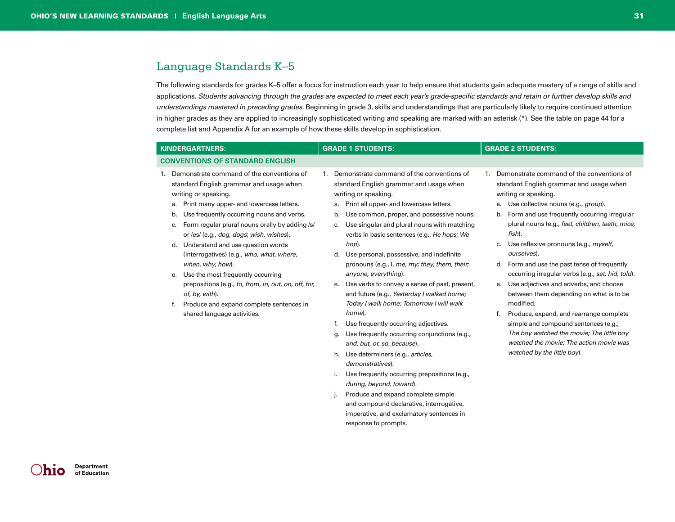# <span id="page-30-0"></span>Language Standards K–5

The following standards for grades K–5 offer a focus for instruction each year to help ensure that students gain adequate mastery of a range of skills and applications. *Students advancing through the grades are expected to meet each year's grade-specific standards and retain or further develop skills and understandings mastered in preceding grades.* Beginning in grade 3, skills and understandings that are particularly likely to require continued attention in higher grades as they are applied to increasingly sophisticated writing and speaking are marked with an asterisk (\*). See the table on page 44 for a complete list and Appendix A for an example of how these skills develop in sophistication.

| <b>KINDERGARTNERS:</b>                                                                                                                                                                                                                                                                                                                                                                                                                                                                                                                                                                                                               | <b>GRADE 1 STUDENTS:</b>                                                                                                                                                                                                                                                                                                                                                                                                                                                                                                                                                                                                                                                                                                                                                                                                                                                                                                                                                                                                                                                     | <b>GRADE 2 STUDENTS:</b>                                                                                                                                                                                                                                                                                                                                                                                                                                                                                                                                                                                                                                                                                                                                                   |
|--------------------------------------------------------------------------------------------------------------------------------------------------------------------------------------------------------------------------------------------------------------------------------------------------------------------------------------------------------------------------------------------------------------------------------------------------------------------------------------------------------------------------------------------------------------------------------------------------------------------------------------|------------------------------------------------------------------------------------------------------------------------------------------------------------------------------------------------------------------------------------------------------------------------------------------------------------------------------------------------------------------------------------------------------------------------------------------------------------------------------------------------------------------------------------------------------------------------------------------------------------------------------------------------------------------------------------------------------------------------------------------------------------------------------------------------------------------------------------------------------------------------------------------------------------------------------------------------------------------------------------------------------------------------------------------------------------------------------|----------------------------------------------------------------------------------------------------------------------------------------------------------------------------------------------------------------------------------------------------------------------------------------------------------------------------------------------------------------------------------------------------------------------------------------------------------------------------------------------------------------------------------------------------------------------------------------------------------------------------------------------------------------------------------------------------------------------------------------------------------------------------|
| <b>CONVENTIONS OF STANDARD ENGLISH</b>                                                                                                                                                                                                                                                                                                                                                                                                                                                                                                                                                                                               |                                                                                                                                                                                                                                                                                                                                                                                                                                                                                                                                                                                                                                                                                                                                                                                                                                                                                                                                                                                                                                                                              |                                                                                                                                                                                                                                                                                                                                                                                                                                                                                                                                                                                                                                                                                                                                                                            |
| 1. Demonstrate command of the conventions of<br>standard English grammar and usage when<br>writing or speaking.<br>Print many upper- and lowercase letters.<br>a.<br>Use frequently occurring nouns and verbs.<br>b.<br>Form regular plural nouns orally by adding /s/<br>c.<br>or /es/ (e.g., dog, dogs; wish, wishes).<br>Understand and use question words<br>d.<br>(interrogatives) (e.g., who, what, where,<br>when, why, how).<br>Use the most frequently occurring<br>е.<br>prepositions (e.g., to, from, in, out, on, off, for,<br>of, by, with).<br>Produce and expand complete sentences in<br>shared language activities. | Demonstrate command of the conventions of<br>$1_{-}$<br>standard English grammar and usage when<br>writing or speaking.<br>Print all upper- and lowercase letters.<br>а.<br>Use common, proper, and possessive nouns.<br>b.<br>Use singular and plural nouns with matching<br>c.<br>verbs in basic sentences (e.g., He hops; We<br>hop).<br>Use personal, possessive, and indefinite<br>d.<br>pronouns (e.g., I, me, my; they, them, their;<br>anyone, everything).<br>Use verbs to convey a sense of past, present,<br>e.<br>and future (e.g., Yesterday I walked home;<br>Today I walk home; Tomorrow I will walk<br>home).<br>Use frequently occurring adjectives.<br>f.<br>Use frequently occurring conjunctions (e.g.,<br>g.<br>and, but, or, so, because).<br>Use determiners (e.g., articles,<br>h.<br>demonstratives).<br>Use frequently occurring prepositions (e.g.,<br>i.<br>during, beyond, toward).<br>Produce and expand complete simple<br>j.<br>and compound declarative, interrogative,<br>imperative, and exclamatory sentences in<br>response to prompts. | Demonstrate command of the conventions of<br>1.<br>standard English grammar and usage when<br>writing or speaking.<br>a. Use collective nouns (e.g., group).<br>Form and use frequently occurring irregular<br>b.<br>plural nouns (e.g., feet, children, teeth, mice,<br>fish).<br>Use reflexive pronouns (e.g., myself,<br>c.<br>ourselves).<br>d. Form and use the past tense of frequently<br>occurring irregular verbs (e.g., sat, hid, told).<br>Use adjectives and adverbs, and choose<br>e.<br>between them depending on what is to be<br>modified.<br>Produce, expand, and rearrange complete<br>f.<br>simple and compound sentences (e.g.,<br>The boy watched the movie; The little boy<br>watched the movie; The action movie was<br>watched by the little boy). |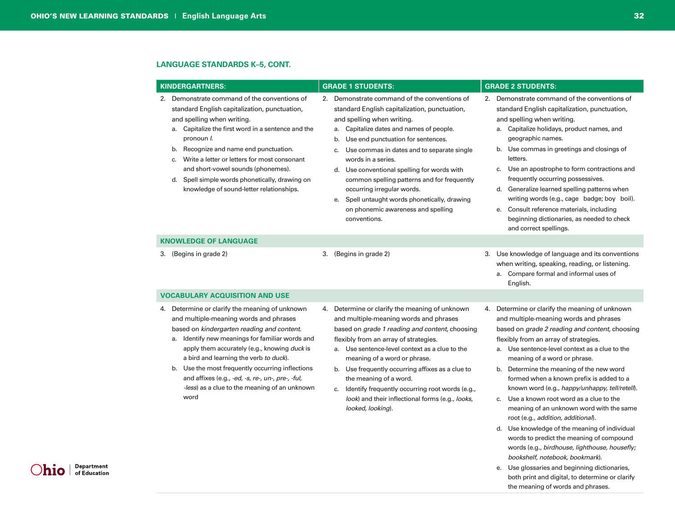| <b>KINDERGARTNERS:</b>                                                                                                                                                                                                                                                                                                                                                                                                                                       | <b>GRADE 1 STUDENTS:</b>                                                                                                                                                                                                                                                                                                                                                                                                                                                                                                                  | <b>GRADE 2 STUDENTS:</b>                                                                                                                                                                                                                                                                                                                                                                                                                                                                                                                                                                                                                                                                           |
|--------------------------------------------------------------------------------------------------------------------------------------------------------------------------------------------------------------------------------------------------------------------------------------------------------------------------------------------------------------------------------------------------------------------------------------------------------------|-------------------------------------------------------------------------------------------------------------------------------------------------------------------------------------------------------------------------------------------------------------------------------------------------------------------------------------------------------------------------------------------------------------------------------------------------------------------------------------------------------------------------------------------|----------------------------------------------------------------------------------------------------------------------------------------------------------------------------------------------------------------------------------------------------------------------------------------------------------------------------------------------------------------------------------------------------------------------------------------------------------------------------------------------------------------------------------------------------------------------------------------------------------------------------------------------------------------------------------------------------|
| Demonstrate command of the conventions of<br>standard English capitalization, punctuation,<br>and spelling when writing.<br>Capitalize the first word in a sentence and the<br>а.<br>pronoun l.<br>Recognize and name end punctuation.<br>b.<br>Write a letter or letters for most consonant<br>c.<br>and short-vowel sounds (phonemes).<br>d. Spell simple words phonetically, drawing on<br>knowledge of sound-letter relationships.                       | 2. Demonstrate command of the conventions of<br>standard English capitalization, punctuation,<br>and spelling when writing.<br>Capitalize dates and names of people.<br>а.<br>Use end punctuation for sentences.<br>b.<br>Use commas in dates and to separate single<br>c.<br>words in a series.<br>Use conventional spelling for words with<br>d.<br>common spelling patterns and for frequently<br>occurring irregular words.<br>Spell untaught words phonetically, drawing<br>е.<br>on phonemic awareness and spelling<br>conventions. | 2. Demonstrate command of the conventions of<br>standard English capitalization, punctuation,<br>and spelling when writing.<br>a. Capitalize holidays, product names, and<br>geographic names.<br>b. Use commas in greetings and closings of<br>letters.<br>Use an apostrophe to form contractions and<br>c.<br>frequently occurring possessives.<br>d. Generalize learned spelling patterns when<br>writing words (e.g., cage badge; boy boil).<br>Consult reference materials, including<br>e.<br>beginning dictionaries, as needed to check<br>and correct spellings.                                                                                                                           |
| <b>KNOWLEDGE OF LANGUAGE</b>                                                                                                                                                                                                                                                                                                                                                                                                                                 |                                                                                                                                                                                                                                                                                                                                                                                                                                                                                                                                           |                                                                                                                                                                                                                                                                                                                                                                                                                                                                                                                                                                                                                                                                                                    |
| 3. (Begins in grade 2)                                                                                                                                                                                                                                                                                                                                                                                                                                       | (Begins in grade 2)<br>3.                                                                                                                                                                                                                                                                                                                                                                                                                                                                                                                 | Use knowledge of language and its conventions<br>3.<br>when writing, speaking, reading, or listening.<br>a. Compare formal and informal uses of<br>English.                                                                                                                                                                                                                                                                                                                                                                                                                                                                                                                                        |
| <b>VOCABULARY ACQUISITION AND USE</b>                                                                                                                                                                                                                                                                                                                                                                                                                        |                                                                                                                                                                                                                                                                                                                                                                                                                                                                                                                                           |                                                                                                                                                                                                                                                                                                                                                                                                                                                                                                                                                                                                                                                                                                    |
| 4. Determine or clarify the meaning of unknown<br>and multiple-meaning words and phrases<br>based on kindergarten reading and content.<br>a. Identify new meanings for familiar words and<br>apply them accurately (e.g., knowing <i>duck</i> is<br>a bird and learning the verb to duck).<br>b. Use the most frequently occurring inflections<br>and affixes (e.g., -ed, -s, re-, un-, pre-, -ful,<br>-less) as a clue to the meaning of an unknown<br>word | Determine or clarify the meaning of unknown<br>4.<br>and multiple-meaning words and phrases<br>based on grade 1 reading and content, choosing<br>flexibly from an array of strategies.<br>a. Use sentence-level context as a clue to the<br>meaning of a word or phrase.<br>b. Use frequently occurring affixes as a clue to<br>the meaning of a word.<br>Identify frequently occurring root words (e.g.,<br>c.<br>look) and their inflectional forms (e.g., looks,<br>looked, looking).                                                  | Determine or clarify the meaning of unknown<br>4.<br>and multiple-meaning words and phrases<br>based on grade 2 reading and content, choosing<br>flexibly from an array of strategies.<br>a. Use sentence-level context as a clue to the<br>meaning of a word or phrase.<br>b. Determine the meaning of the new word<br>formed when a known prefix is added to a<br>known word (e.g., happy/unhappy, tell/retell).<br>Use a known root word as a clue to the<br>C.<br>meaning of an unknown word with the same<br>root (e.g., addition, additional).<br>d. Use knowledge of the meaning of individual<br>words to predict the meaning of compound<br>words (e.g., birdhouse, lighthouse, housefly; |

*bookshelf, notebook, bookmark*). e. Use glossaries and beginning dictionaries, both print and digital, to determine or clarify the meaning of words and phrases.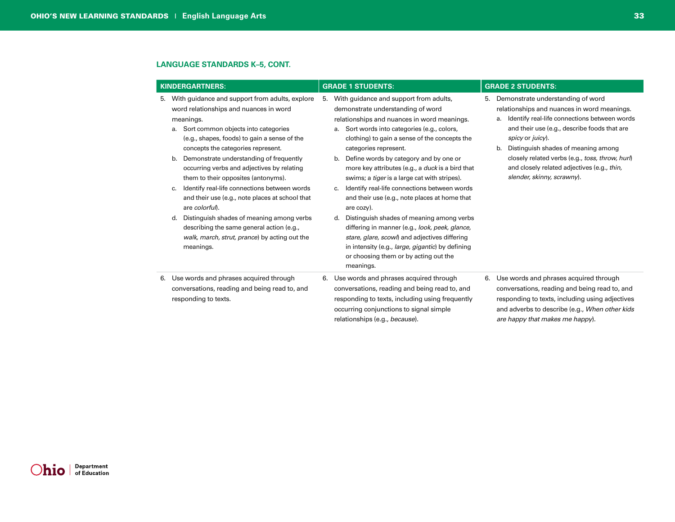| <b>KINDERGARTNERS:</b>                                                                                                                                                                                                                                                                                                                                                                                                                                                                                                                                                                                                                                                        | <b>GRADE 1 STUDENTS:</b>                                                                                                                                                                                                                                                                                                                                                                                                                                                                                                                                                                                                                                                                                                                                                                                          | <b>GRADE 2 STUDENTS:</b>                                                                                                                                                                                                                                                                                                                                                                      |
|-------------------------------------------------------------------------------------------------------------------------------------------------------------------------------------------------------------------------------------------------------------------------------------------------------------------------------------------------------------------------------------------------------------------------------------------------------------------------------------------------------------------------------------------------------------------------------------------------------------------------------------------------------------------------------|-------------------------------------------------------------------------------------------------------------------------------------------------------------------------------------------------------------------------------------------------------------------------------------------------------------------------------------------------------------------------------------------------------------------------------------------------------------------------------------------------------------------------------------------------------------------------------------------------------------------------------------------------------------------------------------------------------------------------------------------------------------------------------------------------------------------|-----------------------------------------------------------------------------------------------------------------------------------------------------------------------------------------------------------------------------------------------------------------------------------------------------------------------------------------------------------------------------------------------|
| With guidance and support from adults, explore<br>5.<br>word relationships and nuances in word<br>meanings.<br>Sort common objects into categories<br>а.<br>(e.g., shapes, foods) to gain a sense of the<br>concepts the categories represent.<br>Demonstrate understanding of frequently<br>b.<br>occurring verbs and adjectives by relating<br>them to their opposites (antonyms).<br>Identify real-life connections between words<br>c.<br>and their use (e.g., note places at school that<br>are colorful).<br>Distinguish shades of meaning among verbs<br>d.<br>describing the same general action (e.g.,<br>walk, march, strut, prance) by acting out the<br>meanings. | With guidance and support from adults,<br>5.<br>demonstrate understanding of word<br>relationships and nuances in word meanings.<br>a. Sort words into categories (e.g., colors,<br>clothing) to gain a sense of the concepts the<br>categories represent.<br>Define words by category and by one or<br>b.<br>more key attributes (e.g., a <i>duck</i> is a bird that<br>swims; a <i>tiger</i> is a large cat with stripes).<br>Identify real-life connections between words<br>c.<br>and their use (e.g., note places at home that<br>are cozy).<br>Distinguish shades of meaning among verbs<br>d.<br>differing in manner (e.g., look, peek, glance,<br>stare, glare, scowl) and adjectives differing<br>in intensity (e.g., large, gigantic) by defining<br>or choosing them or by acting out the<br>meanings. | Demonstrate understanding of word<br>5.<br>relationships and nuances in word meanings.<br>Identify real-life connections between words<br>a.<br>and their use (e.g., describe foods that are<br>spicy or juicy).<br>Distinguish shades of meaning among<br>b.<br>closely related verbs (e.g., toss, throw, hurl)<br>and closely related adjectives (e.g., thin,<br>slender, skinny, scrawny). |
| Use words and phrases acquired through<br>6.<br>conversations, reading and being read to, and<br>responding to texts.                                                                                                                                                                                                                                                                                                                                                                                                                                                                                                                                                         | Use words and phrases acquired through<br>6.<br>conversations, reading and being read to, and<br>responding to texts, including using frequently<br>occurring conjunctions to signal simple<br>relationships (e.g., because).                                                                                                                                                                                                                                                                                                                                                                                                                                                                                                                                                                                     | Use words and phrases acquired through<br>6.<br>conversations, reading and being read to, and<br>responding to texts, including using adjectives<br>and adverbs to describe (e.g., When other kids<br>are happy that makes me happy).                                                                                                                                                         |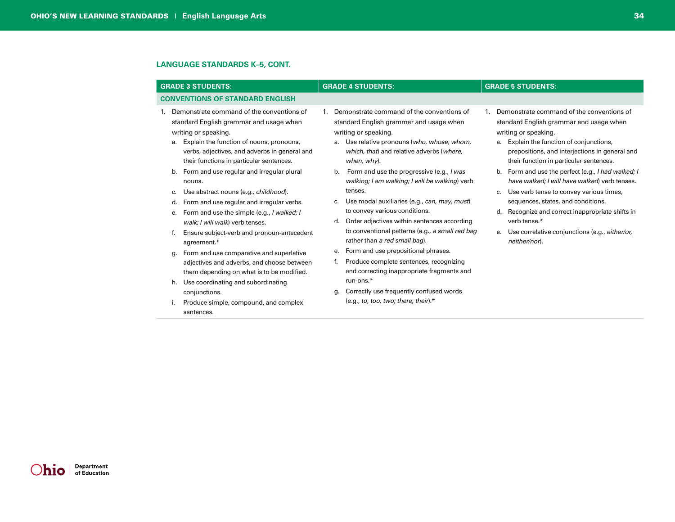| <b>GRADE 3 STUDENTS:</b>                                                                                                                                                                                                                                          | <b>GRADE 4 STUDENTS:</b>                                                                                                                                                                                                   | <b>GRADE 5 STUDENTS:</b>                                                                                                                                                                                                                              |  |  |  |
|-------------------------------------------------------------------------------------------------------------------------------------------------------------------------------------------------------------------------------------------------------------------|----------------------------------------------------------------------------------------------------------------------------------------------------------------------------------------------------------------------------|-------------------------------------------------------------------------------------------------------------------------------------------------------------------------------------------------------------------------------------------------------|--|--|--|
| <b>CONVENTIONS OF STANDARD ENGLISH</b>                                                                                                                                                                                                                            |                                                                                                                                                                                                                            |                                                                                                                                                                                                                                                       |  |  |  |
| Demonstrate command of the conventions of<br>1.<br>standard English grammar and usage when<br>writing or speaking.<br>Explain the function of nouns, pronouns,<br>a.<br>verbs, adjectives, and adverbs in general and<br>their functions in particular sentences. | Demonstrate command of the conventions of<br>standard English grammar and usage when<br>writing or speaking.<br>Use relative pronouns (who, whose, whom,<br>а.<br>which, that) and relative adverbs (where,<br>when, why). | Demonstrate command of the conventions of<br>standard English grammar and usage when<br>writing or speaking.<br>a. Explain the function of conjunctions,<br>prepositions, and interjections in general and<br>their function in particular sentences. |  |  |  |
| Form and use regular and irregular plural<br>b.<br>nouns.                                                                                                                                                                                                         | Form and use the progressive (e.g., I was<br>b.<br>walking; I am walking; I will be walking) verb                                                                                                                          | b. Form and use the perfect (e.g., I had walked; I<br>have walked; I will have walked) verb tenses.                                                                                                                                                   |  |  |  |
| Use abstract nouns (e.g., childhood).<br>c.                                                                                                                                                                                                                       | tenses.                                                                                                                                                                                                                    | Use verb tense to convey various times,<br>c.                                                                                                                                                                                                         |  |  |  |
| Form and use regular and irregular verbs.<br>d.                                                                                                                                                                                                                   | Use modal auxiliaries (e.g., can, may, must)<br>c.                                                                                                                                                                         | sequences, states, and conditions.                                                                                                                                                                                                                    |  |  |  |
| Form and use the simple (e.g., I walked; I<br>е.<br>walk; I will walk) verb tenses.                                                                                                                                                                               | to convey various conditions.<br>Order adjectives within sentences according<br>d.                                                                                                                                         | Recognize and correct inappropriate shifts in<br>d.<br>verb tense.*                                                                                                                                                                                   |  |  |  |
| Ensure subject-verb and pronoun-antecedent<br>agreement.*                                                                                                                                                                                                         | to conventional patterns (e.g., a small red bag<br>rather than a red small bag).                                                                                                                                           | Use correlative conjunctions (e.g., either/or,<br>e.<br>neither/nor).                                                                                                                                                                                 |  |  |  |
| Form and use comparative and superlative<br>g.                                                                                                                                                                                                                    | Form and use prepositional phrases.<br>е.                                                                                                                                                                                  |                                                                                                                                                                                                                                                       |  |  |  |
| adjectives and adverbs, and choose between                                                                                                                                                                                                                        | Produce complete sentences, recognizing                                                                                                                                                                                    |                                                                                                                                                                                                                                                       |  |  |  |
| them depending on what is to be modified.                                                                                                                                                                                                                         | and correcting inappropriate fragments and                                                                                                                                                                                 |                                                                                                                                                                                                                                                       |  |  |  |
| Use coordinating and subordinating<br>h.                                                                                                                                                                                                                          | run-ons.*                                                                                                                                                                                                                  |                                                                                                                                                                                                                                                       |  |  |  |
| conjunctions.                                                                                                                                                                                                                                                     | Correctly use frequently confused words<br>g.                                                                                                                                                                              |                                                                                                                                                                                                                                                       |  |  |  |

(e.g., *to, too, two; there, their*).\*

i. Produce simple, compound, and complex sentences.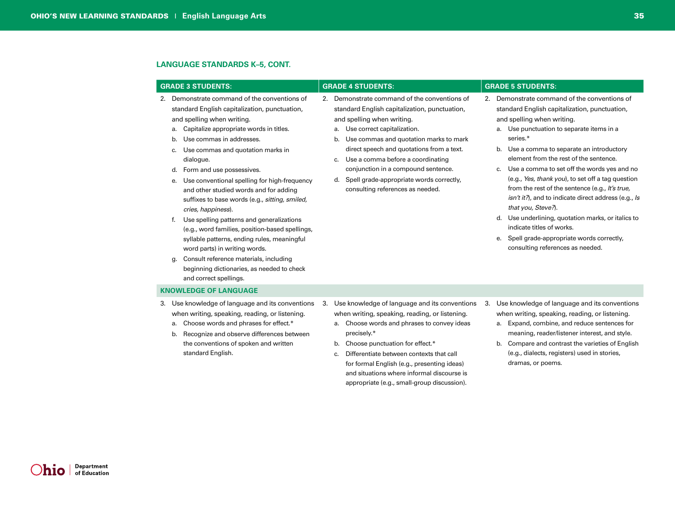|                              | <b>GRADE 3 STUDENTS:</b>                                                                                                                                                                                                                                                                                                                                                                                                                                                                                                                                                                                                                                                                                                                                                               |    | <b>GRADE 4 STUDENTS:</b>                                                                                                                                                                                                                                                                                                                                                                                                           |    | <b>GRADE 5 STUDENTS:</b>                                                                                                                                                                                                                                                                                                                                                                                                                                                                                                                                                                                                                                                                               |
|------------------------------|----------------------------------------------------------------------------------------------------------------------------------------------------------------------------------------------------------------------------------------------------------------------------------------------------------------------------------------------------------------------------------------------------------------------------------------------------------------------------------------------------------------------------------------------------------------------------------------------------------------------------------------------------------------------------------------------------------------------------------------------------------------------------------------|----|------------------------------------------------------------------------------------------------------------------------------------------------------------------------------------------------------------------------------------------------------------------------------------------------------------------------------------------------------------------------------------------------------------------------------------|----|--------------------------------------------------------------------------------------------------------------------------------------------------------------------------------------------------------------------------------------------------------------------------------------------------------------------------------------------------------------------------------------------------------------------------------------------------------------------------------------------------------------------------------------------------------------------------------------------------------------------------------------------------------------------------------------------------------|
| 2.<br>f.                     | Demonstrate command of the conventions of<br>standard English capitalization, punctuation,<br>and spelling when writing.<br>Capitalize appropriate words in titles.<br>a.<br>Use commas in addresses.<br>b.<br>Use commas and quotation marks in<br>c.<br>dialogue.<br>Form and use possessives.<br>d.<br>Use conventional spelling for high-frequency<br>е.<br>and other studied words and for adding<br>suffixes to base words (e.g., sitting, smiled,<br>cries, happiness).<br>Use spelling patterns and generalizations<br>(e.g., word families, position-based spellings,<br>syllable patterns, ending rules, meaningful<br>word parts) in writing words.<br>Consult reference materials, including<br>g.<br>beginning dictionaries, as needed to check<br>and correct spellings. | 2. | Demonstrate command of the conventions of<br>standard English capitalization, punctuation,<br>and spelling when writing.<br>Use correct capitalization.<br>а.<br>Use commas and quotation marks to mark<br>b.<br>direct speech and quotations from a text.<br>Use a comma before a coordinating<br>c.<br>conjunction in a compound sentence.<br>Spell grade-appropriate words correctly,<br>d.<br>consulting references as needed. | 2. | Demonstrate command of the conventions of<br>standard English capitalization, punctuation,<br>and spelling when writing.<br>Use punctuation to separate items in a<br>a.<br>series.*<br>Use a comma to separate an introductory<br>b.<br>element from the rest of the sentence.<br>Use a comma to set off the words yes and no<br>C.<br>(e.g., Yes, thank you), to set off a tag question<br>from the rest of the sentence (e.g., It's true,<br>isn't it?), and to indicate direct address (e.g., Is<br>that you, Steve?).<br>Use underlining, quotation marks, or italics to<br>d.<br>indicate titles of works.<br>Spell grade-appropriate words correctly,<br>е.<br>consulting references as needed. |
| <b>KNOWLEDGE OF LANGUAGE</b> |                                                                                                                                                                                                                                                                                                                                                                                                                                                                                                                                                                                                                                                                                                                                                                                        |    |                                                                                                                                                                                                                                                                                                                                                                                                                                    |    |                                                                                                                                                                                                                                                                                                                                                                                                                                                                                                                                                                                                                                                                                                        |
|                              | 3. Use knowledge of language and its conventions<br>when writing, speaking, reading, or listening.<br>a. Choose words and phrases for effect.*                                                                                                                                                                                                                                                                                                                                                                                                                                                                                                                                                                                                                                         | 3. | Use knowledge of language and its conventions<br>when writing, speaking, reading, or listening.<br>a. Choose words and phrases to convey ideas                                                                                                                                                                                                                                                                                     | 3. | Use knowledge of language and its conventions<br>when writing, speaking, reading, or listening.<br>a. Expand, combine, and reduce sentences for                                                                                                                                                                                                                                                                                                                                                                                                                                                                                                                                                        |

- b. Recognize and observe differences between the conventions of spoken and written standard English.
- precisely.\*
- b. Choose punctuation for effect.\*
- c. Differentiate between contexts that call for formal English (e.g., presenting ideas) and situations where informal discourse is appropriate (e.g., small-group discussion).
- meaning, reader/listener interest, and style.
- b. Compare and contrast the varieties of English (e.g., dialects, registers) used in stories, dramas, or poems.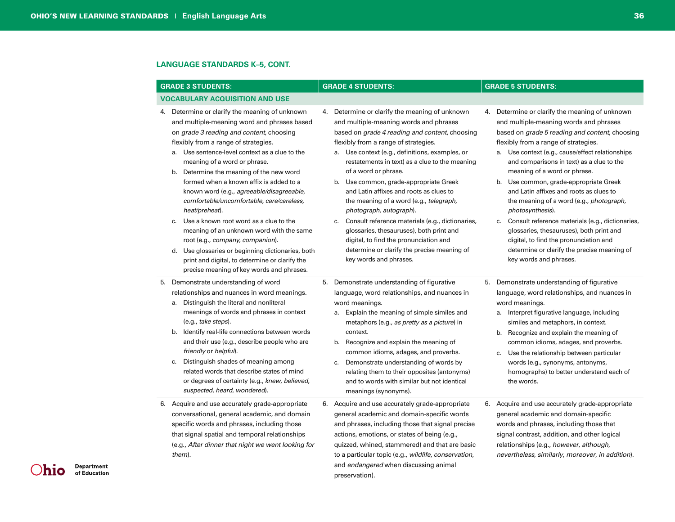|    | <b>GRADE 3 STUDENTS:</b>                                                                                                                                                                                                                                                                                                                                                                                                                                                                                                                                                                                                                                                                                                                                   | <b>GRADE 4 STUDENTS:</b>                                                                                                                                                                                                                                                                                                                                                                                                                                                                                                                                                                                                                                                                         | <b>GRADE 5 STUDENTS:</b>                                                                                                                                                                                                                                                                                                                                                                                                                                                                                                                                                                                                                                                                          |
|----|------------------------------------------------------------------------------------------------------------------------------------------------------------------------------------------------------------------------------------------------------------------------------------------------------------------------------------------------------------------------------------------------------------------------------------------------------------------------------------------------------------------------------------------------------------------------------------------------------------------------------------------------------------------------------------------------------------------------------------------------------------|--------------------------------------------------------------------------------------------------------------------------------------------------------------------------------------------------------------------------------------------------------------------------------------------------------------------------------------------------------------------------------------------------------------------------------------------------------------------------------------------------------------------------------------------------------------------------------------------------------------------------------------------------------------------------------------------------|---------------------------------------------------------------------------------------------------------------------------------------------------------------------------------------------------------------------------------------------------------------------------------------------------------------------------------------------------------------------------------------------------------------------------------------------------------------------------------------------------------------------------------------------------------------------------------------------------------------------------------------------------------------------------------------------------|
|    | <b>VOCABULARY ACQUISITION AND USE</b>                                                                                                                                                                                                                                                                                                                                                                                                                                                                                                                                                                                                                                                                                                                      |                                                                                                                                                                                                                                                                                                                                                                                                                                                                                                                                                                                                                                                                                                  |                                                                                                                                                                                                                                                                                                                                                                                                                                                                                                                                                                                                                                                                                                   |
| 4. | Determine or clarify the meaning of unknown<br>and multiple-meaning word and phrases based<br>on grade 3 reading and content, choosing<br>flexibly from a range of strategies.<br>a. Use sentence-level context as a clue to the<br>meaning of a word or phrase.<br>Determine the meaning of the new word<br>b.<br>formed when a known affix is added to a<br>known word (e.g., agreeable/disagreeable,<br>comfortable/uncomfortable, care/careless,<br>heat/preheat).<br>Use a known root word as a clue to the<br>c.<br>meaning of an unknown word with the same<br>root (e.g., company, companion).<br>d. Use glossaries or beginning dictionaries, both<br>print and digital, to determine or clarify the<br>precise meaning of key words and phrases. | 4. Determine or clarify the meaning of unknown<br>and multiple-meaning words and phrases<br>based on grade 4 reading and content, choosing<br>flexibly from a range of strategies.<br>a. Use context (e.g., definitions, examples, or<br>restatements in text) as a clue to the meaning<br>of a word or phrase.<br>b. Use common, grade-appropriate Greek<br>and Latin affixes and roots as clues to<br>the meaning of a word (e.g., telegraph,<br>photograph, autograph).<br>c. Consult reference materials (e.g., dictionaries,<br>glossaries, thesauruses), both print and<br>digital, to find the pronunciation and<br>determine or clarify the precise meaning of<br>key words and phrases. | 4. Determine or clarify the meaning of unknown<br>and multiple-meaning words and phrases<br>based on grade 5 reading and content, choosing<br>flexibly from a range of strategies.<br>a. Use context (e.g., cause/effect relationships<br>and comparisons in text) as a clue to the<br>meaning of a word or phrase.<br>b. Use common, grade-appropriate Greek<br>and Latin affixes and roots as clues to<br>the meaning of a word (e.g., photograph,<br>photosynthesis).<br>Consult reference materials (e.g., dictionaries,<br>c.<br>glossaries, thesauruses), both print and<br>digital, to find the pronunciation and<br>determine or clarify the precise meaning of<br>key words and phrases. |
| 5. | Demonstrate understanding of word<br>relationships and nuances in word meanings.<br>Distinguish the literal and nonliteral<br>a.<br>meanings of words and phrases in context<br>(e.g., take steps).<br>Identify real-life connections between words<br>b.<br>and their use (e.g., describe people who are<br>friendly or helpful).<br>Distinguish shades of meaning among<br>c.<br>related words that describe states of mind<br>or degrees of certainty (e.g., knew, believed,<br>suspected, heard, wondered).                                                                                                                                                                                                                                            | Demonstrate understanding of figurative<br>5.<br>language, word relationships, and nuances in<br>word meanings.<br>a. Explain the meaning of simple similes and<br>metaphors (e.g., as pretty as a picture) in<br>context.<br>b. Recognize and explain the meaning of<br>common idioms, adages, and proverbs.<br>Demonstrate understanding of words by<br>c.<br>relating them to their opposites (antonyms)<br>and to words with similar but not identical<br>meanings (synonyms).                                                                                                                                                                                                               | 5. Demonstrate understanding of figurative<br>language, word relationships, and nuances in<br>word meanings.<br>a. Interpret figurative language, including<br>similes and metaphors, in context.<br>b. Recognize and explain the meaning of<br>common idioms, adages, and proverbs.<br>c. Use the relationship between particular<br>words (e.g., synonyms, antonyms,<br>homographs) to better understand each of<br>the words.                                                                                                                                                                                                                                                                  |
|    | 6. Acquire and use accurately grade-appropriate<br>conversational, general academic, and domain<br>specific words and phrases, including those<br>that signal spatial and temporal relationships<br>(e.g., After dinner that night we went looking for<br>them).                                                                                                                                                                                                                                                                                                                                                                                                                                                                                           | 6. Acquire and use accurately grade-appropriate<br>general academic and domain-specific words<br>and phrases, including those that signal precise<br>actions, emotions, or states of being (e.g.,<br>quizzed, whined, stammered) and that are basic<br>to a particular topic (e.g., wildlife, conservation,<br>and endangered when discussing animal<br>preservation).                                                                                                                                                                                                                                                                                                                           | 6. Acquire and use accurately grade-appropriate<br>general academic and domain-specific<br>words and phrases, including those that<br>signal contrast, addition, and other logical<br>relationships (e.g., however, although,<br>nevertheless, similarly, moreover, in addition).                                                                                                                                                                                                                                                                                                                                                                                                                 |

 $$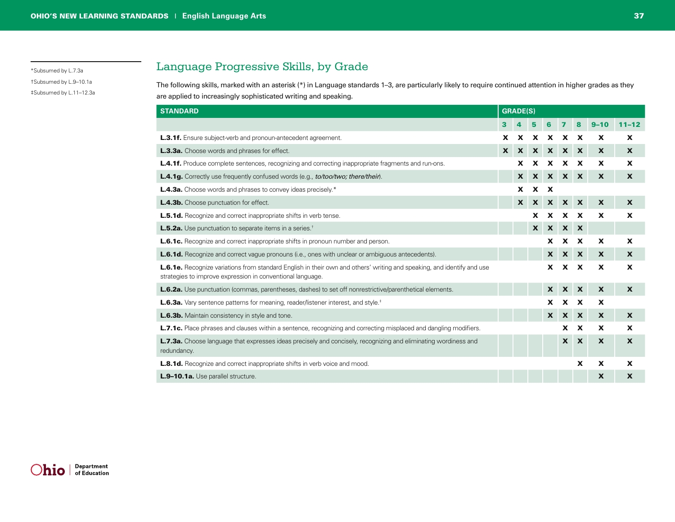\*Subsumed by L.7.3a †Subsumed by L.9–10.1a ‡Subsumed by L.11–12.3a

### Language Progressive Skills, by Grade

The following skills, marked with an asterisk (\*) in Language standards 1–3, are particularly likely to require continued attention in higher grades as they are applied to increasingly sophisticated writing and speaking.

| <b>STANDARD</b>                                                                                                                                                                             |                           |             | <b>GRADE(S)</b> |                           |              |                           |                  |              |  |
|---------------------------------------------------------------------------------------------------------------------------------------------------------------------------------------------|---------------------------|-------------|-----------------|---------------------------|--------------|---------------------------|------------------|--------------|--|
|                                                                                                                                                                                             | 3                         | 4           | 5               | 6                         | 7            | 8                         | $9 - 10$         | $11 - 12$    |  |
| <b>L.3.1f.</b> Ensure subject-verb and pronoun-antecedent agreement.                                                                                                                        | x                         | X           | $\mathbf x$     | $\mathbf x$               | X            | $\boldsymbol{\mathsf{x}}$ | X                | X            |  |
| L.3.3a. Choose words and phrases for effect.                                                                                                                                                | $\boldsymbol{\mathsf{x}}$ | X           | X               | X                         | X            | X                         | $\mathbf x$      | $\mathbf x$  |  |
| <b>L.4.1f.</b> Produce complete sentences, recognizing and correcting inappropriate fragments and run-ons.                                                                                  |                           |             |                 | X                         | X            | $\mathbf x$               | X                | X            |  |
| <b>L.4.1g.</b> Correctly use frequently confused words (e.g., <i>to/too/two; there/their</i> ).                                                                                             |                           | X           | X               | X                         | $\mathbf{x}$ | $\mathbf{x}$              | $\mathbf x$      | $\mathbf x$  |  |
| <b>L.4.3a.</b> Choose words and phrases to convey ideas precisely.*                                                                                                                         |                           | <b>X</b>    | $\mathbf{x}$    | $\boldsymbol{\mathsf{x}}$ |              |                           |                  |              |  |
| <b>L.4.3b.</b> Choose punctuation for effect.                                                                                                                                               |                           | $\mathbf x$ | X               | X                         | $\mathbf{x}$ | $\mathbf{x}$              | $\mathbf x$      | $\mathbf{x}$ |  |
| <b>L.5.1d.</b> Recognize and correct inappropriate shifts in verb tense.                                                                                                                    |                           |             | <b>X</b>        | X                         | $\mathbf{x}$ | $\mathbf x$               | X                | $\mathbf x$  |  |
| <b>L.5.2a.</b> Use punctuation to separate items in a series. <sup>†</sup>                                                                                                                  |                           |             | $\mathbf{x}$    | $\mathbf x$               | $\mathbf{x}$ | $\mathbf{x}$              |                  |              |  |
| <b>L.6.1c.</b> Recognize and correct inappropriate shifts in pronoun number and person.                                                                                                     |                           |             |                 | x                         | X            | $\boldsymbol{\mathsf{x}}$ | X                | X            |  |
| <b>L.6.1d.</b> Recognize and correct vague pronouns (i.e., ones with unclear or ambiguous antecedents).                                                                                     |                           |             |                 | X                         | $\mathbf{x}$ | $\mathbf{x}$              | $\mathbf x$      | $\mathbf{x}$ |  |
| <b>L.6.1e.</b> Recognize variations from standard English in their own and others' writing and speaking, and identify and use<br>strategies to improve expression in conventional language. |                           |             |                 | X                         | X            | $\boldsymbol{\mathsf{x}}$ | X                | $\mathbf x$  |  |
| <b>L.6.2a.</b> Use punctuation (commas, parentheses, dashes) to set off nonrestrictive/parenthetical elements.                                                                              |                           |             |                 | $\mathbf{x}$              | $\mathbf{x}$ | $\mathbf{x}$              | X                | $\mathbf x$  |  |
| <b>L.6.3a.</b> Vary sentence patterns for meaning, reader/listener interest, and style. <sup>‡</sup>                                                                                        |                           |             |                 | <b>X</b>                  | X            | $\mathbf x$               | X                |              |  |
| <b>L.6.3b.</b> Maintain consistency in style and tone.                                                                                                                                      |                           |             |                 | $\mathbf{x}$              | X            | X                         | X                | $\mathbf x$  |  |
| <b>L.7.1c.</b> Place phrases and clauses within a sentence, recognizing and correcting misplaced and dangling modifiers.                                                                    |                           |             |                 |                           | <b>X</b>     | X                         | X                | X            |  |
| <b>L.7.3a.</b> Choose language that expresses ideas precisely and concisely, recognizing and eliminating wordiness and<br>redundancy.                                                       |                           |             |                 |                           | $\mathbf{x}$ | $\mathbf{x}$              | $\boldsymbol{x}$ | $\mathbf x$  |  |
| <b>L.8.1d.</b> Recognize and correct inappropriate shifts in verb voice and mood.                                                                                                           |                           |             |                 |                           |              | X                         | X                | X            |  |
| L.9-10.1a. Use parallel structure.                                                                                                                                                          |                           |             |                 |                           |              |                           | $\mathbf x$      | $\mathbf x$  |  |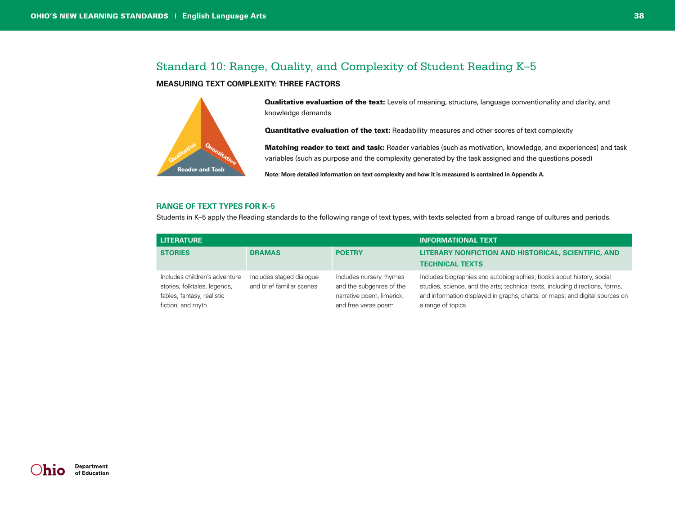### Standard 10: Range, Quality, and Complexity of Student Reading K–5

#### **MEASURING TEXT COMPLEXITY: THREE FACTORS**



**Qualitative evaluation of the text:** Levels of meaning, structure, language conventionality and clarity, and knowledge demands

**Quantitative evaluation of the text:** Readability measures and other scores of text complexity

Matching reader to text and task: Reader variables (such as motivation, knowledge, and experiences) and task variables (such as purpose and the complexity generated by the task assigned and the questions posed)

**Note: More detailed information on text complexity and how it is measured is contained in Appendix A.** 

#### **RANGE OF TEXT TYPES FOR K–5**

Students in K–5 apply the Reading standards to the following range of text types, with texts selected from a broad range of cultures and periods.

| <b>LITERATURE</b>                                                                                                |                                                       | <b>I INFORMATIONAL TEXT</b>                                                                             |                                                                                                                                                                                                                                                             |  |  |
|------------------------------------------------------------------------------------------------------------------|-------------------------------------------------------|---------------------------------------------------------------------------------------------------------|-------------------------------------------------------------------------------------------------------------------------------------------------------------------------------------------------------------------------------------------------------------|--|--|
| <b>STORIES</b>                                                                                                   | <b>DRAMAS</b>                                         | <b>POETRY</b>                                                                                           | LITERARY NONFICTION AND HISTORICAL, SCIENTIFIC, AND<br><b>TECHNICAL TEXTS</b>                                                                                                                                                                               |  |  |
| Includes children's adventure<br>stories, folktales, legends,<br>fables, fantasy, realistic<br>fiction, and myth | Includes staged dialogue<br>and brief familiar scenes | Includes nursery rhymes<br>and the subgenres of the<br>narrative poem, limerick,<br>and free verse poem | Includes biographies and autobiographies; books about history, social<br>studies, science, and the arts; technical texts, including directions, forms,<br>and information displayed in graphs, charts, or maps; and digital sources on<br>a range of topics |  |  |

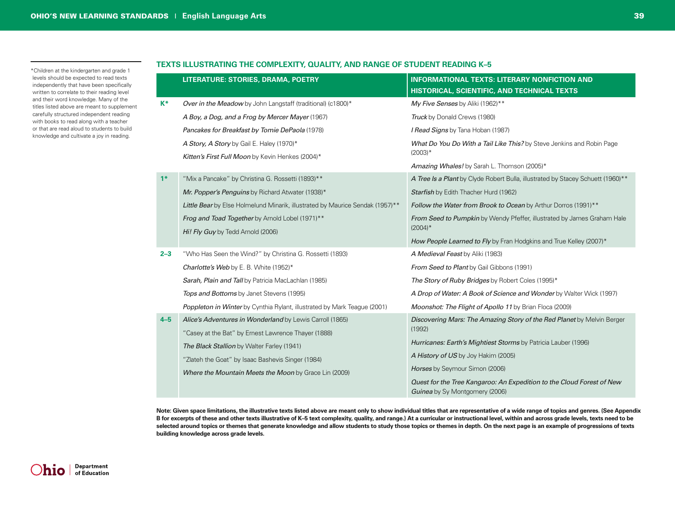\*Children at the kindergarten and grade 1 levels should be expected to read texts independently that have been specifically written to correlate to their reading level and their word knowledge. Many of the titles listed above are meant to supplement carefully structured independent reading with books to read along with a teacher or that are read aloud to students to build knowledge and cultivate a joy in reading.

#### **TEXTS ILLUSTRATING THE COMPLEXITY, QUALITY, AND RANGE OF STUDENT READING K–5**

|         | <b>LITERATURE: STORIES, DRAMA, POETRY</b>                                     | <b>INFORMATIONAL TEXTS: LITERARY NONFICTION AND</b>                                                     |
|---------|-------------------------------------------------------------------------------|---------------------------------------------------------------------------------------------------------|
|         |                                                                               | HISTORICAL, SCIENTIFIC, AND TECHNICAL TEXTS                                                             |
| K*      | Over in the Meadow by John Langstaff (traditional) (c1800)*                   | My Five Senses by Aliki (1962)**                                                                        |
|         | A Boy, a Dog, and a Frog by Mercer Mayer (1967)                               | Truck by Donald Crews (1980)                                                                            |
|         | Pancakes for Breakfast by Tomie DePaola (1978)                                | I Read Signs by Tana Hoban (1987)                                                                       |
|         | A Story, A Story by Gail E. Haley (1970)*                                     | What Do You Do With a Tail Like This? by Steve Jenkins and Robin Page                                   |
|         | Kitten's First Full Moon by Kevin Henkes (2004)*                              | $(2003)*$                                                                                               |
|         |                                                                               | Amazing Whales! by Sarah L. Thomson (2005)*                                                             |
| $1*$    | "Mix a Pancake" by Christina G. Rossetti (1893)**                             | A Tree Is a Plant by Clyde Robert Bulla, illustrated by Stacey Schuett (1960)**                         |
|         | Mr. Popper's Penguins by Richard Atwater (1938)*                              | Starfish by Edith Thacher Hurd (1962)                                                                   |
|         | Little Bear by Else Holmelund Minarik, illustrated by Maurice Sendak (1957)** | Follow the Water from Brook to Ocean by Arthur Dorros (1991)**                                          |
|         | Frog and Toad Together by Arnold Lobel (1971)**                               | From Seed to Pumpkin by Wendy Pfeffer, illustrated by James Graham Hale                                 |
|         | Hi! Fly Guy by Tedd Arnold (2006)                                             | $(2004)^*$                                                                                              |
|         |                                                                               | How People Learned to Fly by Fran Hodgkins and True Kelley (2007)*                                      |
| $2 - 3$ | "Who Has Seen the Wind?" by Christina G. Rossetti (1893)                      | A Medieval Feast by Aliki (1983)                                                                        |
|         | Charlotte's Web by E. B. White (1952)*                                        | From Seed to Plant by Gail Gibbons (1991)                                                               |
|         | Sarah, Plain and Tall by Patricia MacLachlan (1985)                           | The Story of Ruby Bridges by Robert Coles (1995)*                                                       |
|         | Tops and Bottoms by Janet Stevens (1995)                                      | A Drop of Water: A Book of Science and Wonder by Walter Wick (1997)                                     |
|         | Poppleton in Winter by Cynthia Rylant, illustrated by Mark Teague (2001)      | Moonshot: The Flight of Apollo 11 by Brian Floca (2009)                                                 |
| $4 - 5$ | Alice's Adventures in Wonderland by Lewis Carroll (1865)                      | Discovering Mars: The Amazing Story of the Red Planet by Melvin Berger                                  |
|         | "Casey at the Bat" by Ernest Lawrence Thayer (1888)                           | (1992)                                                                                                  |
|         | The Black Stallion by Walter Farley (1941)                                    | Hurricanes: Earth's Mightiest Storms by Patricia Lauber (1996)                                          |
|         | "Zlateh the Goat" by Isaac Bashevis Singer (1984)                             | A History of US by Joy Hakim (2005)                                                                     |
|         | Where the Mountain Meets the Moon by Grace Lin (2009)                         | Horses by Seymour Simon (2006)                                                                          |
|         |                                                                               | Quest for the Tree Kangaroo: An Expedition to the Cloud Forest of New<br>Guinea by Sy Montgomery (2006) |

**Note: Given space limitations, the illustrative texts listed above are meant only to show individual titles that are representative of a wide range of topics and genres. (See Appendix B for excerpts of these and other texts illustrative of K–5 text complexity, quality, and range.) At a curricular or instructional level, within and across grade levels, texts need to be**  selected around topics or themes that generate knowledge and allow students to study those topics or themes in depth. On the next page is an example of progressions of texts **building knowledge across grade levels.**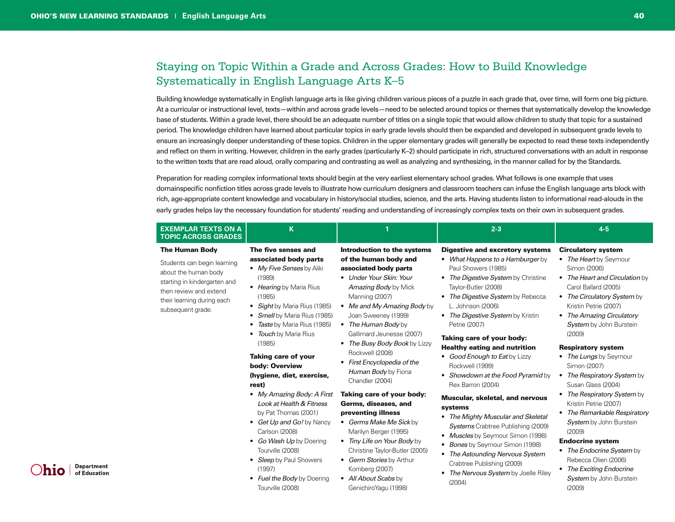**Department**<br>of Education

 $Ohio<sub>l</sub>$ 

### Staying on Topic Within a Grade and Across Grades: How to Build Knowledge Systematically in English Language Arts K–5

Building knowledge systematically in English language arts is like giving children various pieces of a puzzle in each grade that, over time, will form one big picture. At a curricular or instructional level, texts—within and across grade levels—need to be selected around topics or themes that systematically develop the knowledge base of students. Within a grade level, there should be an adequate number of titles on a single topic that would allow children to study that topic for a sustained period. The knowledge children have learned about particular topics in early grade levels should then be expanded and developed in subsequent grade levels to ensure an increasingly deeper understanding of these topics. Children in the upper elementary grades will generally be expected to read these texts independently and reflect on them in writing. However, children in the early grades (particularly K–2) should participate in rich, structured conversations with an adult in response to the written texts that are read aloud, orally comparing and contrasting as well as analyzing and synthesizing, in the manner called for by the Standards.

Preparation for reading complex informational texts should begin at the very earliest elementary school grades. What follows is one example that uses domainspecific nonfiction titles across grade levels to illustrate how curriculum designers and classroom teachers can infuse the English language arts block with rich, age-appropriate content knowledge and vocabulary in history/social studies, science, and the arts. Having students listen to informational read-alouds in the early grades helps lay the necessary foundation for students' reading and understanding of increasingly complex texts on their own in subsequent grades.

| <b>EXEMPLAR TEXTS ON A</b><br><b>TOPIC ACROSS GRADES</b>                                                  | K                                                                                                                                                                                                                                                                                                                                                                                                                                                                                                                                               | 1                                                                                                                                                                                                                                                                                           | $2 - 3$                                                                                                                                                                                                                                                                                                                | $4 - 5$                                                                                                                                                                                                                                                                               |
|-----------------------------------------------------------------------------------------------------------|-------------------------------------------------------------------------------------------------------------------------------------------------------------------------------------------------------------------------------------------------------------------------------------------------------------------------------------------------------------------------------------------------------------------------------------------------------------------------------------------------------------------------------------------------|---------------------------------------------------------------------------------------------------------------------------------------------------------------------------------------------------------------------------------------------------------------------------------------------|------------------------------------------------------------------------------------------------------------------------------------------------------------------------------------------------------------------------------------------------------------------------------------------------------------------------|---------------------------------------------------------------------------------------------------------------------------------------------------------------------------------------------------------------------------------------------------------------------------------------|
| <b>The Human Body</b><br>Students can begin learning<br>about the human body                              | The five senses and<br>associated body parts<br>• My Five Senses by Aliki<br>(1989)                                                                                                                                                                                                                                                                                                                                                                                                                                                             | <b>Introduction to the systems</b><br>of the human body and<br>associated body parts<br>• Under Your Skin: Your                                                                                                                                                                             | <b>Digestive and excretory systems</b><br>• What Happens to a Hamburger by<br>Paul Showers (1985)<br>• The Digestive System by Christine                                                                                                                                                                               | <b>Circulatory system</b><br>• The Heart by Seymour<br>Simon (2006)<br>• The Heart and Circulation by                                                                                                                                                                                 |
| starting in kindergarten and<br>then review and extend<br>their learning during each<br>subsequent grade. | Amazing Body by Mick<br>• Hearing by Maria Rius<br>(1985)<br>Manning (2007)<br>• Me and My Amazing Body by<br>Sight by Maria Rius (1985)<br>Joan Sweeney (1999)<br><b>Smell</b> by Maria Rius (1985)<br>• The Human Body by<br>Taste by Maria Rius (1985)<br>٠<br>Touch by Maria Rius<br>Gallimard Jeunesse (2007)<br>(1985)<br>• The Busy Body Book by Lizzy<br>Rockwell (2008)<br><b>Taking care of your</b><br>• First Encyclopedia of the<br>body: Overview<br>Human Body by Fiona<br>(hygiene, diet, exercise,<br>Chandler (2004)<br>rest) |                                                                                                                                                                                                                                                                                             | Taylor-Butler (2008)<br>• The Digestive System by Rebecca<br>L. Johnson (2006)<br>• The Digestive System by Kristin<br>Petrie (2007)                                                                                                                                                                                   | Carol Ballard (2005)<br>• The Circulatory System by<br>Kristin Petrie (2007)<br>• The Amazing Circulatory<br>System by John Burstein                                                                                                                                                  |
|                                                                                                           |                                                                                                                                                                                                                                                                                                                                                                                                                                                                                                                                                 | Taking care of your body:<br><b>Healthy eating and nutrition</b><br>• Good Enough to Eat by Lizzy<br>Rockwell (1999)<br>• Showdown at the Food Pyramid by<br>Rex Barron (2004)                                                                                                              | (2009)<br><b>Respiratory system</b><br>• The Lungs by Seymour<br>Simon (2007)<br>• The Respiratory System by<br>Susan Glass (2004)                                                                                                                                                                                     |                                                                                                                                                                                                                                                                                       |
|                                                                                                           | • My Amazing Body: A First<br>Look at Health & Fitness<br>by Pat Thomas (2001)<br><b>Get Up and Go!</b> by Nancy<br>$\bullet$<br>Carlson (2008)<br>Go Wash Up by Doering<br>Tourville (2008)<br><b>Sleep</b> by Paul Showers<br>(1997)<br>• Fuel the Body by Doering<br>Tourville (2008)                                                                                                                                                                                                                                                        | Taking care of your body:<br>Germs, diseases, and<br>preventing illness<br>• Germs Make Me Sick by<br>Marilyn Berger (1995)<br>• Tiny Life on Your Body by<br>Christine Taylor-Butler (2005)<br>• Germ Stories by Arthur<br>Kornberg (2007)<br>• All About Scabs by<br>GenichiroYagu (1998) | Muscular, skeletal, and nervous<br>systems<br>• The Mighty Muscular and Skeletal<br><b>Systems</b> Crabtree Publishing (2009)<br>• Muscles by Seymour Simon (1998)<br>• Bones by Seymour Simon (1998)<br>The Astounding Nervous System<br>Crabtree Publishing (2009)<br>• The Nervous System by Joelle Riley<br>(2004) | • The Respiratory System by<br>Kristin Petrie (2007)<br>The Remarkable Respiratory<br>$\bullet$<br>System by John Burstein<br>(2009)<br><b>Endocrine system</b><br>• The Endocrine System by<br>Rebecca Olien (2006)<br>• The Exciting Endocrine<br>System by John Burstein<br>(2009) |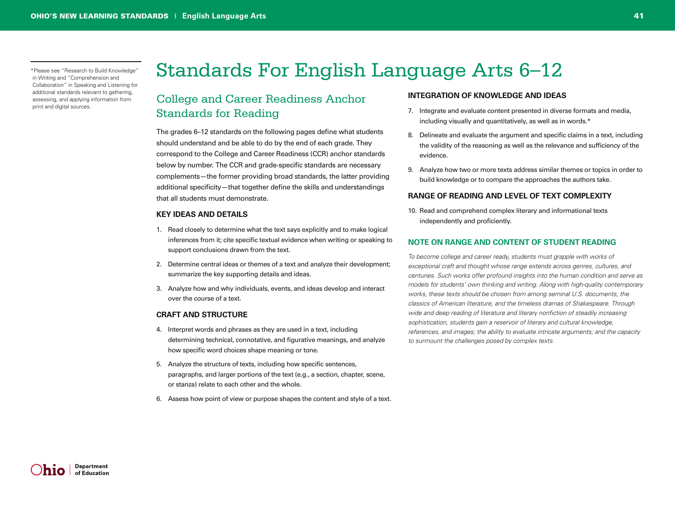\*Please see "Research to Build Knowledge" in Writing and "Comprehension and Collaboration" in Speaking and Listening for additional standards relevant to gathering, assessing, and applying information from print and digital sources.

# Standards For English Language Arts 6–12

### College and Career Readiness Anchor Standards for Reading

The grades 6–12 standards on the following pages define what students should understand and be able to do by the end of each grade. They correspond to the College and Career Readiness (CCR) anchor standards below by number. The CCR and grade-specific standards are necessary complements—the former providing broad standards, the latter providing additional specificity—that together define the skills and understandings that all students must demonstrate.

#### **KEY IDEAS AND DETAILS**

- 1. Read closely to determine what the text says explicitly and to make logical inferences from it; cite specific textual evidence when writing or speaking to support conclusions drawn from the text.
- 2. Determine central ideas or themes of a text and analyze their development; summarize the key supporting details and ideas.
- 3. Analyze how and why individuals, events, and ideas develop and interact over the course of a text.

#### **CRAFT AND STRUCTURE**

- 4. Interpret words and phrases as they are used in a text, including determining technical, connotative, and figurative meanings, and analyze how specific word choices shape meaning or tone.
- 5. Analyze the structure of texts, including how specific sentences, paragraphs, and larger portions of the text (e.g., a section, chapter, scene, or stanza) relate to each other and the whole.
- 6. Assess how point of view or purpose shapes the content and style of a text.

#### **INTEGRATION OF KNOWLEDGE AND IDEAS**

- 7. Integrate and evaluate content presented in diverse formats and media, including visually and quantitatively, as well as in words.\*
- 8. Delineate and evaluate the argument and specific claims in a text, including the validity of the reasoning as well as the relevance and sufficiency of the evidence.
- 9. Analyze how two or more texts address similar themes or topics in order to build knowledge or to compare the approaches the authors take.

#### **RANGE OF READING AND LEVEL OF TEXT COMPLEXITY**

10. Read and comprehend complex literary and informational texts independently and proficiently.

#### **NOTE ON RANGE AND CONTENT OF STUDENT READING**

*To become college and career ready, students must grapple with works of exceptional craft and thought whose range extends across genres, cultures, and centuries. Such works offer profound insights into the human condition and serve as models for students' own thinking and writing. Along with high-quality contemporary works, these texts should be chosen from among seminal U.S. documents, the classics of American literature, and the timeless dramas of Shakespeare. Through wide and deep reading of literature and literary nonfiction of steadily increasing sophistication, students gain a reservoir of literary and cultural knowledge, references, and images; the ability to evaluate intricate arguments; and the capacity to surmount the challenges posed by complex texts.*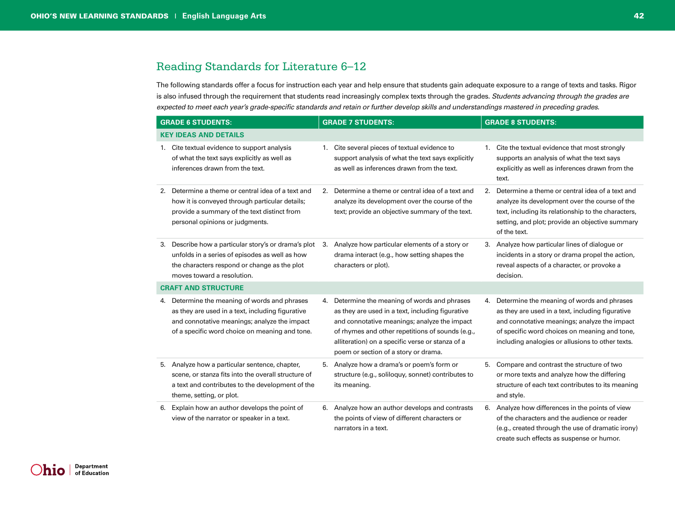### Reading Standards for Literature 6–12

The following standards offer a focus for instruction each year and help ensure that students gain adequate exposure to a range of texts and tasks. Rigor is also infused through the requirement that students read increasingly complex texts through the grades. *Students advancing through the grades are expected to meet each year's grade-specific standards and retain or further develop skills and understandings mastered in preceding grades.*

|                            | <b>GRADE 6 STUDENTS:</b>                                                                                                                                                                            |    | <b>GRADE 7 STUDENTS:</b>                                                                                                                                                                                                                                                                       |    | <b>GRADE 8 STUDENTS:</b>                                                                                                                                                                                                                            |
|----------------------------|-----------------------------------------------------------------------------------------------------------------------------------------------------------------------------------------------------|----|------------------------------------------------------------------------------------------------------------------------------------------------------------------------------------------------------------------------------------------------------------------------------------------------|----|-----------------------------------------------------------------------------------------------------------------------------------------------------------------------------------------------------------------------------------------------------|
|                            | <b>KEY IDEAS AND DETAILS</b>                                                                                                                                                                        |    |                                                                                                                                                                                                                                                                                                |    |                                                                                                                                                                                                                                                     |
|                            | 1. Cite textual evidence to support analysis<br>of what the text says explicitly as well as<br>inferences drawn from the text.                                                                      |    | 1. Cite several pieces of textual evidence to<br>support analysis of what the text says explicitly<br>as well as inferences drawn from the text.                                                                                                                                               |    | 1. Cite the textual evidence that most strongly<br>supports an analysis of what the text says<br>explicitly as well as inferences drawn from the<br>text.                                                                                           |
|                            | 2. Determine a theme or central idea of a text and<br>how it is conveyed through particular details;<br>provide a summary of the text distinct from<br>personal opinions or judgments.              |    | 2. Determine a theme or central idea of a text and<br>analyze its development over the course of the<br>text; provide an objective summary of the text.                                                                                                                                        | 2. | Determine a theme or central idea of a text and<br>analyze its development over the course of the<br>text, including its relationship to the characters,<br>setting, and plot; provide an objective summary<br>of the text.                         |
| 3.                         | Describe how a particular story's or drama's plot 3.<br>unfolds in a series of episodes as well as how<br>the characters respond or change as the plot<br>moves toward a resolution.                |    | Analyze how particular elements of a story or<br>drama interact (e.g., how setting shapes the<br>characters or plot).                                                                                                                                                                          |    | 3. Analyze how particular lines of dialogue or<br>incidents in a story or drama propel the action,<br>reveal aspects of a character, or provoke a<br>decision.                                                                                      |
| <b>CRAFT AND STRUCTURE</b> |                                                                                                                                                                                                     |    |                                                                                                                                                                                                                                                                                                |    |                                                                                                                                                                                                                                                     |
|                            | 4. Determine the meaning of words and phrases<br>as they are used in a text, including figurative<br>and connotative meanings; analyze the impact<br>of a specific word choice on meaning and tone. | 4. | Determine the meaning of words and phrases<br>as they are used in a text, including figurative<br>and connotative meanings; analyze the impact<br>of rhymes and other repetitions of sounds (e.g.,<br>alliteration) on a specific verse or stanza of a<br>poem or section of a story or drama. | 4. | Determine the meaning of words and phrases<br>as they are used in a text, including figurative<br>and connotative meanings; analyze the impact<br>of specific word choices on meaning and tone,<br>including analogies or allusions to other texts. |
|                            | 5. Analyze how a particular sentence, chapter,<br>scene, or stanza fits into the overall structure of<br>a text and contributes to the development of the<br>theme, setting, or plot.               | 5. | Analyze how a drama's or poem's form or<br>structure (e.g., soliloguy, sonnet) contributes to<br>its meaning.                                                                                                                                                                                  | 5. | Compare and contrast the structure of two<br>or more texts and analyze how the differing<br>structure of each text contributes to its meaning<br>and style.                                                                                         |
| 6.                         | Explain how an author develops the point of<br>view of the narrator or speaker in a text.                                                                                                           |    | 6. Analyze how an author develops and contrasts<br>the points of view of different characters or<br>narrators in a text.                                                                                                                                                                       |    | 6. Analyze how differences in the points of view<br>of the characters and the audience or reader<br>(e.g., created through the use of dramatic irony)<br>create such effects as suspense or humor.                                                  |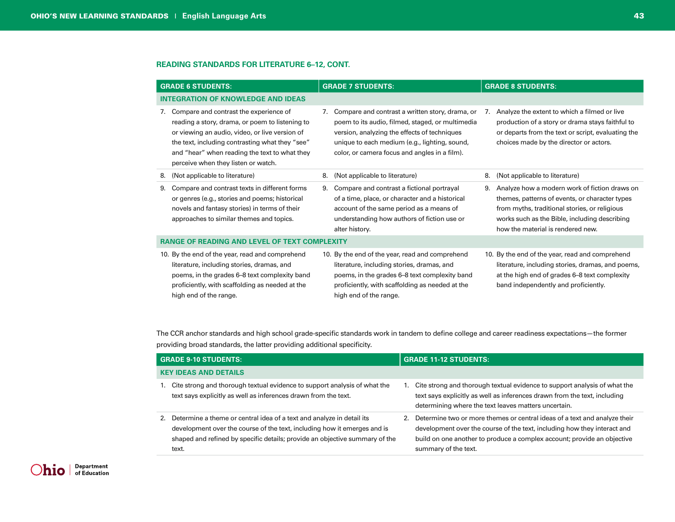#### **READING STANDARDS FOR LITERATURE 6–12, CONT.**

| <b>GRADE 6 STUDENTS:</b>                                                                                                                                                                                                                                                                  | <b>GRADE 7 STUDENTS:</b>                                                                                                                                                                                                                                 | <b>GRADE 8 STUDENTS:</b>                                                                                                                                                                                                                     |
|-------------------------------------------------------------------------------------------------------------------------------------------------------------------------------------------------------------------------------------------------------------------------------------------|----------------------------------------------------------------------------------------------------------------------------------------------------------------------------------------------------------------------------------------------------------|----------------------------------------------------------------------------------------------------------------------------------------------------------------------------------------------------------------------------------------------|
| <b>INTEGRATION OF KNOWLEDGE AND IDEAS</b>                                                                                                                                                                                                                                                 |                                                                                                                                                                                                                                                          |                                                                                                                                                                                                                                              |
| 7. Compare and contrast the experience of<br>reading a story, drama, or poem to listening to<br>or viewing an audio, video, or live version of<br>the text, including contrasting what they "see"<br>and "hear" when reading the text to what they<br>perceive when they listen or watch. | 7. Compare and contrast a written story, drama, or<br>poem to its audio, filmed, staged, or multimedia<br>version, analyzing the effects of techniques<br>unique to each medium (e.g., lighting, sound,<br>color, or camera focus and angles in a film). | Analyze the extent to which a filmed or live<br>7.<br>production of a story or drama stays faithful to<br>or departs from the text or script, evaluating the<br>choices made by the director or actors.                                      |
| (Not applicable to literature)<br>8.                                                                                                                                                                                                                                                      | 8.<br>(Not applicable to literature)                                                                                                                                                                                                                     | 8.<br>(Not applicable to literature)                                                                                                                                                                                                         |
| Compare and contrast texts in different forms<br>9.<br>or genres (e.g., stories and poems; historical<br>novels and fantasy stories) in terms of their<br>approaches to similar themes and topics.                                                                                        | Compare and contrast a fictional portrayal<br>9.<br>of a time, place, or character and a historical<br>account of the same period as a means of<br>understanding how authors of fiction use or<br>alter history.                                         | Analyze how a modern work of fiction draws on<br>9.<br>themes, patterns of events, or character types<br>from myths, traditional stories, or religious<br>works such as the Bible, including describing<br>how the material is rendered new. |
| <b>RANGE OF READING AND LEVEL OF TEXT COMPLEXITY</b>                                                                                                                                                                                                                                      |                                                                                                                                                                                                                                                          |                                                                                                                                                                                                                                              |
| 10. By the end of the year, read and comprehend<br>literature, including stories, dramas, and<br>poems, in the grades 6–8 text complexity band<br>proficiently, with scaffolding as needed at the<br>high end of the range.                                                               | 10. By the end of the year, read and comprehend<br>literature, including stories, dramas, and<br>poems, in the grades 6–8 text complexity band<br>proficiently, with scaffolding as needed at the<br>high end of the range.                              | 10. By the end of the year, read and comprehend<br>literature, including stories, dramas, and poems,<br>at the high end of grades 6-8 text complexity<br>band independently and proficiently.                                                |

The CCR anchor standards and high school grade-specific standards work in tandem to define college and career readiness expectations—the former providing broad standards, the latter providing additional specificity.

| <b>GRADE 9-10 STUDENTS:</b>                                                                                                                                                                                                                     | <b>GRADE 11-12 STUDENTS:</b>                                                                                                                                                                                                                                |
|-------------------------------------------------------------------------------------------------------------------------------------------------------------------------------------------------------------------------------------------------|-------------------------------------------------------------------------------------------------------------------------------------------------------------------------------------------------------------------------------------------------------------|
| <b>KEY IDEAS AND DETAILS</b>                                                                                                                                                                                                                    |                                                                                                                                                                                                                                                             |
| Cite strong and thorough textual evidence to support analysis of what the<br>text says explicitly as well as inferences drawn from the text.                                                                                                    | Cite strong and thorough textual evidence to support analysis of what the<br>text says explicitly as well as inferences drawn from the text, including<br>determining where the text leaves matters uncertain.                                              |
| Determine a theme or central idea of a text and analyze in detail its<br>2.<br>development over the course of the text, including how it emerges and is<br>shaped and refined by specific details; provide an objective summary of the<br>text. | 2. Determine two or more themes or central ideas of a text and analyze their<br>development over the course of the text, including how they interact and<br>build on one another to produce a complex account; provide an objective<br>summary of the text. |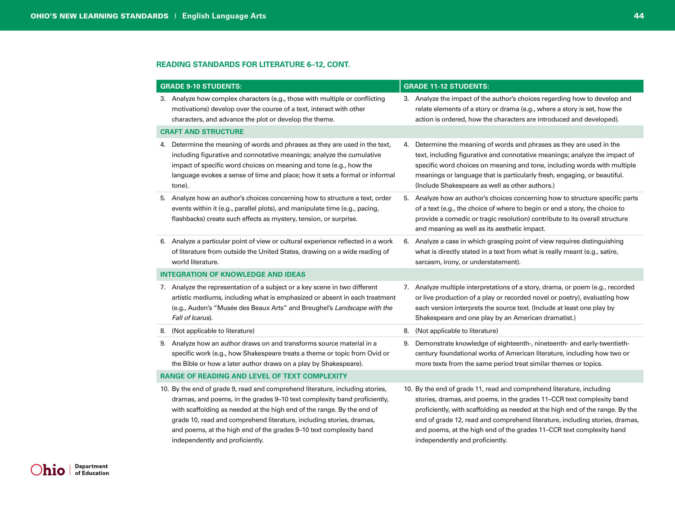#### **READING STANDARDS FOR LITERATURE 6–12, CONT.**

|    | <b>GRADE 9-10 STUDENTS:</b>                                                                                                                                                                                                                                                                                                                                                                                          |    | <b>GRADE 11-12 STUDENTS:</b>                                                                                                                                                                                                                                                                                                                                                                                              |
|----|----------------------------------------------------------------------------------------------------------------------------------------------------------------------------------------------------------------------------------------------------------------------------------------------------------------------------------------------------------------------------------------------------------------------|----|---------------------------------------------------------------------------------------------------------------------------------------------------------------------------------------------------------------------------------------------------------------------------------------------------------------------------------------------------------------------------------------------------------------------------|
|    | 3. Analyze how complex characters (e.g., those with multiple or conflicting<br>motivations) develop over the course of a text, interact with other<br>characters, and advance the plot or develop the theme.                                                                                                                                                                                                         |    | 3. Analyze the impact of the author's choices regarding how to develop and<br>relate elements of a story or drama (e.g., where a story is set, how the<br>action is ordered, how the characters are introduced and developed).                                                                                                                                                                                            |
|    | <b>CRAFT AND STRUCTURE</b>                                                                                                                                                                                                                                                                                                                                                                                           |    |                                                                                                                                                                                                                                                                                                                                                                                                                           |
| 4. | Determine the meaning of words and phrases as they are used in the text,<br>including figurative and connotative meanings; analyze the cumulative<br>impact of specific word choices on meaning and tone (e.g., how the<br>language evokes a sense of time and place; how it sets a formal or informal<br>tone).                                                                                                     |    | 4. Determine the meaning of words and phrases as they are used in the<br>text, including figurative and connotative meanings; analyze the impact of<br>specific word choices on meaning and tone, including words with multiple<br>meanings or language that is particularly fresh, engaging, or beautiful.<br>(Include Shakespeare as well as other authors.)                                                            |
| 5. | Analyze how an author's choices concerning how to structure a text, order<br>events within it (e.g., parallel plots), and manipulate time (e.g., pacing,<br>flashbacks) create such effects as mystery, tension, or surprise.                                                                                                                                                                                        |    | 5. Analyze how an author's choices concerning how to structure specific parts<br>of a text (e.g., the choice of where to begin or end a story, the choice to<br>provide a comedic or tragic resolution) contribute to its overall structure<br>and meaning as well as its aesthetic impact.                                                                                                                               |
| 6. | Analyze a particular point of view or cultural experience reflected in a work<br>of literature from outside the United States, drawing on a wide reading of<br>world literature.                                                                                                                                                                                                                                     | 6. | Analyze a case in which grasping point of view requires distinguishing<br>what is directly stated in a text from what is really meant (e.g., satire,<br>sarcasm, irony, or understatement).                                                                                                                                                                                                                               |
|    | <b>INTEGRATION OF KNOWLEDGE AND IDEAS</b>                                                                                                                                                                                                                                                                                                                                                                            |    |                                                                                                                                                                                                                                                                                                                                                                                                                           |
|    | 7. Analyze the representation of a subject or a key scene in two different<br>artistic mediums, including what is emphasized or absent in each treatment<br>(e.g., Auden's "Musée des Beaux Arts" and Breughel's Landscape with the<br>Fall of Icarus).                                                                                                                                                              |    | 7. Analyze multiple interpretations of a story, drama, or poem (e.g., recorded<br>or live production of a play or recorded novel or poetry), evaluating how<br>each version interprets the source text. (Include at least one play by<br>Shakespeare and one play by an American dramatist.)                                                                                                                              |
| 8. | (Not applicable to literature)                                                                                                                                                                                                                                                                                                                                                                                       | 8. | (Not applicable to literature)                                                                                                                                                                                                                                                                                                                                                                                            |
|    | 9. Analyze how an author draws on and transforms source material in a<br>specific work (e.g., how Shakespeare treats a theme or topic from Ovid or<br>the Bible or how a later author draws on a play by Shakespeare).                                                                                                                                                                                               |    | 9. Demonstrate knowledge of eighteenth-, nineteenth- and early-twentieth-<br>century foundational works of American literature, including how two or<br>more texts from the same period treat similar themes or topics.                                                                                                                                                                                                   |
|    | RANGE OF READING AND LEVEL OF TEXT COMPLEXITY                                                                                                                                                                                                                                                                                                                                                                        |    |                                                                                                                                                                                                                                                                                                                                                                                                                           |
|    | 10. By the end of grade 9, read and comprehend literature, including stories,<br>dramas, and poems, in the grades 9–10 text complexity band proficiently,<br>with scaffolding as needed at the high end of the range. By the end of<br>grade 10, read and comprehend literature, including stories, dramas,<br>and poems, at the high end of the grades 9-10 text complexity band<br>independently and proficiently. |    | 10. By the end of grade 11, read and comprehend literature, including<br>stories, dramas, and poems, in the grades 11–CCR text complexity band<br>proficiently, with scaffolding as needed at the high end of the range. By the<br>end of grade 12, read and comprehend literature, including stories, dramas,<br>and poems, at the high end of the grades 11–CCR text complexity band<br>independently and proficiently. |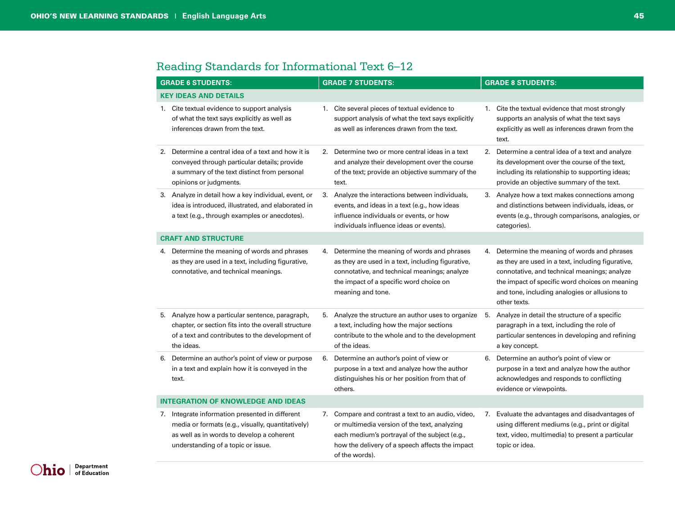| <b>GRADE 6 STUDENTS:</b>                                                                                                                                                                | <b>GRADE 7 STUDENTS:</b>                                                                                                                                                                                                 | <b>GRADE 8 STUDENTS:</b>                                                                                                                                                                                                                                              |
|-----------------------------------------------------------------------------------------------------------------------------------------------------------------------------------------|--------------------------------------------------------------------------------------------------------------------------------------------------------------------------------------------------------------------------|-----------------------------------------------------------------------------------------------------------------------------------------------------------------------------------------------------------------------------------------------------------------------|
| <b>KEY IDEAS AND DETAILS</b>                                                                                                                                                            |                                                                                                                                                                                                                          |                                                                                                                                                                                                                                                                       |
| 1. Cite textual evidence to support analysis<br>of what the text says explicitly as well as<br>inferences drawn from the text.                                                          | 1. Cite several pieces of textual evidence to<br>support analysis of what the text says explicitly<br>as well as inferences drawn from the text.                                                                         | 1. Cite the textual evidence that most strongly<br>supports an analysis of what the text says<br>explicitly as well as inferences drawn from the<br>text.                                                                                                             |
| Determine a central idea of a text and how it is<br>2.<br>conveyed through particular details; provide<br>a summary of the text distinct from personal<br>opinions or judgments.        | 2. Determine two or more central ideas in a text<br>and analyze their development over the course<br>of the text; provide an objective summary of the<br>text.                                                           | 2. Determine a central idea of a text and analyze<br>its development over the course of the text,<br>including its relationship to supporting ideas;<br>provide an objective summary of the text.                                                                     |
| Analyze in detail how a key individual, event, or<br>3.<br>idea is introduced, illustrated, and elaborated in<br>a text (e.g., through examples or anecdotes).                          | 3. Analyze the interactions between individuals,<br>events, and ideas in a text (e.g., how ideas<br>influence individuals or events, or how<br>individuals influence ideas or events).                                   | 3. Analyze how a text makes connections among<br>and distinctions between individuals, ideas, or<br>events (e.g., through comparisons, analogies, or<br>categories).                                                                                                  |
| <b>CRAFT AND STRUCTURE</b>                                                                                                                                                              |                                                                                                                                                                                                                          |                                                                                                                                                                                                                                                                       |
| 4. Determine the meaning of words and phrases<br>as they are used in a text, including figurative,<br>connotative, and technical meanings.                                              | 4. Determine the meaning of words and phrases<br>as they are used in a text, including figurative,<br>connotative, and technical meanings; analyze<br>the impact of a specific word choice on<br>meaning and tone.       | 4. Determine the meaning of words and phrases<br>as they are used in a text, including figurative,<br>connotative, and technical meanings; analyze<br>the impact of specific word choices on meaning<br>and tone, including analogies or allusions to<br>other texts. |
| 5. Analyze how a particular sentence, paragraph,<br>chapter, or section fits into the overall structure<br>of a text and contributes to the development of<br>the ideas.                | 5. Analyze the structure an author uses to organize<br>a text, including how the major sections<br>contribute to the whole and to the development<br>of the ideas.                                                       | 5.<br>Analyze in detail the structure of a specific<br>paragraph in a text, including the role of<br>particular sentences in developing and refining<br>a key concept.                                                                                                |
| 6.<br>Determine an author's point of view or purpose<br>in a text and explain how it is conveyed in the<br>text.                                                                        | 6.<br>Determine an author's point of view or<br>purpose in a text and analyze how the author<br>distinguishes his or her position from that of<br>others.                                                                | Determine an author's point of view or<br>6.<br>purpose in a text and analyze how the author<br>acknowledges and responds to conflicting<br>evidence or viewpoints.                                                                                                   |
| <b>INTEGRATION OF KNOWLEDGE AND IDEAS</b>                                                                                                                                               |                                                                                                                                                                                                                          |                                                                                                                                                                                                                                                                       |
| 7. Integrate information presented in different<br>media or formats (e.g., visually, quantitatively)<br>as well as in words to develop a coherent<br>understanding of a topic or issue. | 7. Compare and contrast a text to an audio, video,<br>or multimedia version of the text, analyzing<br>each medium's portrayal of the subject (e.g.,<br>how the delivery of a speech affects the impact<br>of the words). | 7. Evaluate the advantages and disadvantages of<br>using different mediums (e.g., print or digital<br>text, video, multimedia) to present a particular<br>topic or idea.                                                                                              |

## Reading Standards for Informational Text 6–12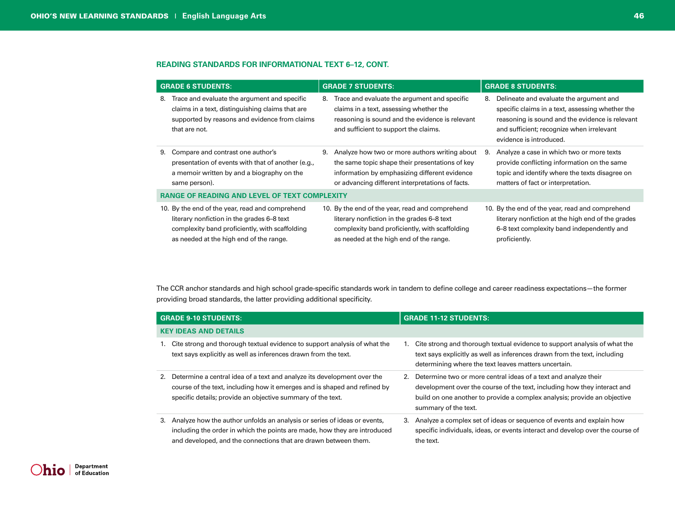#### **READING STANDARDS FOR INFORMATIONAL TEXT 6–12, CONT.**

| <b>GRADE 6 STUDENTS:</b>                                                                                                                                                                   |    | <b>GRADE 7 STUDENTS:</b>                                                                                                                                                                              |    | <b>GRADE 8 STUDENTS:</b>                                                                                                                                                                                               |  |
|--------------------------------------------------------------------------------------------------------------------------------------------------------------------------------------------|----|-------------------------------------------------------------------------------------------------------------------------------------------------------------------------------------------------------|----|------------------------------------------------------------------------------------------------------------------------------------------------------------------------------------------------------------------------|--|
| 8. Trace and evaluate the argument and specific<br>claims in a text, distinguishing claims that are<br>supported by reasons and evidence from claims<br>that are not.                      | 8. | Trace and evaluate the argument and specific<br>claims in a text, assessing whether the<br>reasoning is sound and the evidence is relevant<br>and sufficient to support the claims.                   | 8. | Delineate and evaluate the argument and<br>specific claims in a text, assessing whether the<br>reasoning is sound and the evidence is relevant<br>and sufficient; recognize when irrelevant<br>evidence is introduced. |  |
| 9. Compare and contrast one author's<br>presentation of events with that of another (e.g.,<br>a memoir written by and a biography on the<br>same person).                                  | 9. | Analyze how two or more authors writing about<br>the same topic shape their presentations of key<br>information by emphasizing different evidence<br>or advancing different interpretations of facts. | 9. | Analyze a case in which two or more texts<br>provide conflicting information on the same<br>topic and identify where the texts disagree on<br>matters of fact or interpretation.                                       |  |
| <b>RANGE OF READING AND LEVEL OF TEXT COMPLEXITY</b>                                                                                                                                       |    |                                                                                                                                                                                                       |    |                                                                                                                                                                                                                        |  |
| 10. By the end of the year, read and comprehend<br>literary nonfiction in the grades 6–8 text<br>complexity band proficiently, with scaffolding<br>as needed at the high end of the range. |    | 10. By the end of the year, read and comprehend<br>literary nonfiction in the grades 6–8 text<br>complexity band proficiently, with scaffolding<br>as needed at the high end of the range.            |    | 10. By the end of the year, read and comprehend<br>literary nonfiction at the high end of the grades<br>6–8 text complexity band independently and<br>proficiently.                                                    |  |

The CCR anchor standards and high school grade-specific standards work in tandem to define college and career readiness expectations—the former providing broad standards, the latter providing additional specificity.

| <b>GRADE 9-10 STUDENTS:</b>                                                                                                                                                                                                    | <b>GRADE 11-12 STUDENTS:</b>                                                                                                                                                                                                                          |
|--------------------------------------------------------------------------------------------------------------------------------------------------------------------------------------------------------------------------------|-------------------------------------------------------------------------------------------------------------------------------------------------------------------------------------------------------------------------------------------------------|
| <b>KEY IDEAS AND DETAILS</b>                                                                                                                                                                                                   |                                                                                                                                                                                                                                                       |
| Cite strong and thorough textual evidence to support analysis of what the<br>text says explicitly as well as inferences drawn from the text.                                                                                   | Cite strong and thorough textual evidence to support analysis of what the<br>text says explicitly as well as inferences drawn from the text, including<br>determining where the text leaves matters uncertain.                                        |
| Determine a central idea of a text and analyze its development over the<br>2.<br>course of the text, including how it emerges and is shaped and refined by<br>specific details; provide an objective summary of the text.      | Determine two or more central ideas of a text and analyze their<br>2.<br>development over the course of the text, including how they interact and<br>build on one another to provide a complex analysis; provide an objective<br>summary of the text. |
| Analyze how the author unfolds an analysis or series of ideas or events,<br>3.<br>including the order in which the points are made, how they are introduced<br>and developed, and the connections that are drawn between them. | Analyze a complex set of ideas or sequence of events and explain how<br>З.<br>specific individuals, ideas, or events interact and develop over the course of<br>the text.                                                                             |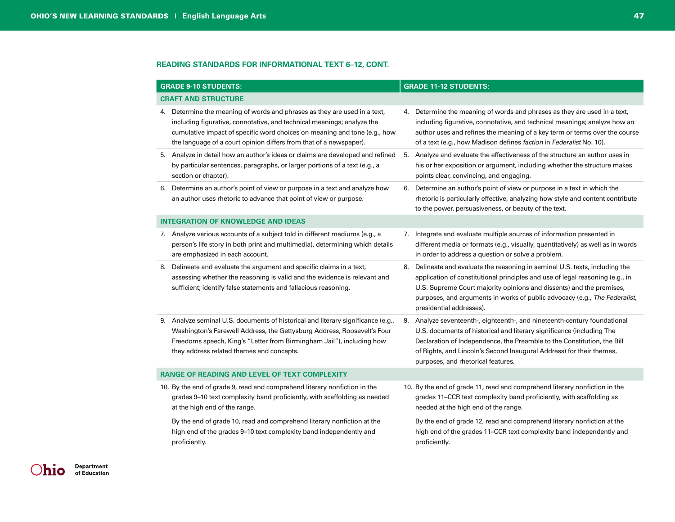#### **READING STANDARDS FOR INFORMATIONAL TEXT 6–12, CONT.**

| <b>GRADE 9-10 STUDENTS:</b>                                                                                                                                                                                                                                                                            | <b>GRADE 11-12 STUDENTS:</b>                                                                                                                                                                                                                                                                                                                       |
|--------------------------------------------------------------------------------------------------------------------------------------------------------------------------------------------------------------------------------------------------------------------------------------------------------|----------------------------------------------------------------------------------------------------------------------------------------------------------------------------------------------------------------------------------------------------------------------------------------------------------------------------------------------------|
| <b>CRAFT AND STRUCTURE</b>                                                                                                                                                                                                                                                                             |                                                                                                                                                                                                                                                                                                                                                    |
| 4. Determine the meaning of words and phrases as they are used in a text,<br>including figurative, connotative, and technical meanings; analyze the<br>cumulative impact of specific word choices on meaning and tone (e.g., how<br>the language of a court opinion differs from that of a newspaper). | Determine the meaning of words and phrases as they are used in a text,<br>4.<br>including figurative, connotative, and technical meanings; analyze how an<br>author uses and refines the meaning of a key term or terms over the course<br>of a text (e.g., how Madison defines faction in Federalist No. 10).                                     |
| 5. Analyze in detail how an author's ideas or claims are developed and refined<br>by particular sentences, paragraphs, or larger portions of a text (e.g., a<br>section or chapter).                                                                                                                   | Analyze and evaluate the effectiveness of the structure an author uses in<br>5.<br>his or her exposition or argument, including whether the structure makes<br>points clear, convincing, and engaging.                                                                                                                                             |
| Determine an author's point of view or purpose in a text and analyze how<br>6.<br>an author uses rhetoric to advance that point of view or purpose.                                                                                                                                                    | 6. Determine an author's point of view or purpose in a text in which the<br>rhetoric is particularly effective, analyzing how style and content contribute<br>to the power, persuasiveness, or beauty of the text.                                                                                                                                 |
| <b>INTEGRATION OF KNOWLEDGE AND IDEAS</b>                                                                                                                                                                                                                                                              |                                                                                                                                                                                                                                                                                                                                                    |
| 7. Analyze various accounts of a subject told in different mediums (e.g., a<br>person's life story in both print and multimedia), determining which details<br>are emphasized in each account.                                                                                                         | 7. Integrate and evaluate multiple sources of information presented in<br>different media or formats (e.g., visually, quantitatively) as well as in words<br>in order to address a question or solve a problem.                                                                                                                                    |
| Delineate and evaluate the argument and specific claims in a text,<br>8.<br>assessing whether the reasoning is valid and the evidence is relevant and<br>sufficient; identify false statements and fallacious reasoning.                                                                               | Delineate and evaluate the reasoning in seminal U.S. texts, including the<br>8.<br>application of constitutional principles and use of legal reasoning (e.g., in<br>U.S. Supreme Court majority opinions and dissents) and the premises,<br>purposes, and arguments in works of public advocacy (e.g., The Federalist,<br>presidential addresses). |
| 9. Analyze seminal U.S. documents of historical and literary significance (e.g.,<br>Washington's Farewell Address, the Gettysburg Address, Roosevelt's Four<br>Freedoms speech, King's "Letter from Birmingham Jail"), including how<br>they address related themes and concepts.                      | 9. Analyze seventeenth-, eighteenth-, and nineteenth-century foundational<br>U.S. documents of historical and literary significance (including The<br>Declaration of Independence, the Preamble to the Constitution, the Bill<br>of Rights, and Lincoln's Second Inaugural Address) for their themes,<br>purposes, and rhetorical features.        |
| <b>RANGE OF READING AND LEVEL OF TEXT COMPLEXITY</b>                                                                                                                                                                                                                                                   |                                                                                                                                                                                                                                                                                                                                                    |
| 10. By the end of grade 9, read and comprehend literary nonfiction in the<br>grades 9-10 text complexity band proficiently, with scaffolding as needed<br>at the high end of the range.                                                                                                                | 10. By the end of grade 11, read and comprehend literary nonfiction in the<br>grades 11-CCR text complexity band proficiently, with scaffolding as<br>needed at the high end of the range.                                                                                                                                                         |
| By the end of grade 10, read and comprehend literary nonfiction at the<br>high end of the grades 9-10 text complexity band independently and<br>proficiently.                                                                                                                                          | By the end of grade 12, read and comprehend literary nonfiction at the<br>high end of the grades 11–CCR text complexity band independently and<br>proficiently.                                                                                                                                                                                    |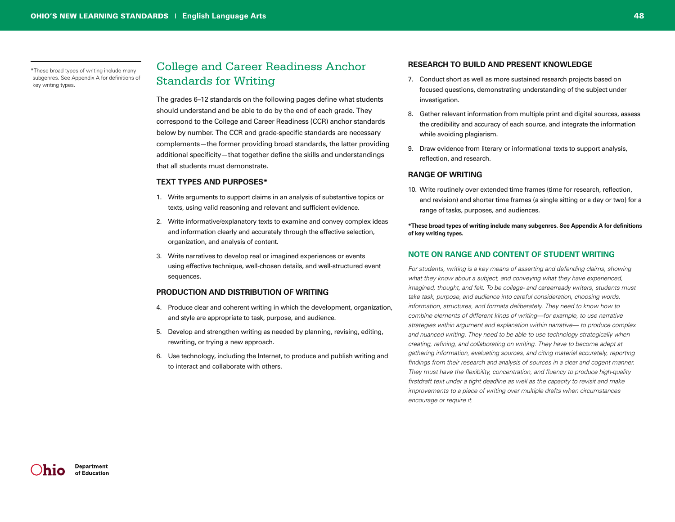\*These broad types of writing include many subgenres. See Appendix A for definitions of key writing types.

### College and Career Readiness Anchor Standards for Writing

The grades 6–12 standards on the following pages define what students should understand and be able to do by the end of each grade. They correspond to the College and Career Readiness (CCR) anchor standards below by number. The CCR and grade-specific standards are necessary complements—the former providing broad standards, the latter providing additional specificity—that together define the skills and understandings that all students must demonstrate.

#### **TEXT TYPES AND PURPOSES\***

- 1. Write arguments to support claims in an analysis of substantive topics or texts, using valid reasoning and relevant and sufficient evidence.
- 2. Write informative/explanatory texts to examine and convey complex ideas and information clearly and accurately through the effective selection, organization, and analysis of content.
- 3. Write narratives to develop real or imagined experiences or events using effective technique, well-chosen details, and well-structured event sequences.

#### **PRODUCTION AND DISTRIBUTION OF WRITING**

- 4. Produce clear and coherent writing in which the development, organization, and style are appropriate to task, purpose, and audience.
- 5. Develop and strengthen writing as needed by planning, revising, editing, rewriting, or trying a new approach.
- 6. Use technology, including the Internet, to produce and publish writing and to interact and collaborate with others.

#### **RESEARCH TO BUILD AND PRESENT KNOWLEDGE**

- 7. Conduct short as well as more sustained research projects based on focused questions, demonstrating understanding of the subject under investigation.
- 8. Gather relevant information from multiple print and digital sources, assess the credibility and accuracy of each source, and integrate the information while avoiding plagiarism.
- 9. Draw evidence from literary or informational texts to support analysis, reflection, and research.

#### **RANGE OF WRITING**

10. Write routinely over extended time frames (time for research, reflection, and revision) and shorter time frames (a single sitting or a day or two) for a range of tasks, purposes, and audiences.

#### **\*These broad types of writing include many subgenres. See Appendix A for definitions of key writing types.**

#### **NOTE ON RANGE AND CONTENT OF STUDENT WRITING**

*For students, writing is a key means of asserting and defending claims, showing what they know about a subject, and conveying what they have experienced, imagined, thought, and felt. To be college- and careerready writers, students must take task, purpose, and audience into careful consideration, choosing words, information, structures, and formats deliberately. They need to know how to combine elements of different kinds of writing—for example, to use narrative strategies within argument and explanation within narrative— to produce complex and nuanced writing. They need to be able to use technology strategically when creating, refining, and collaborating on writing. They have to become adept at gathering information, evaluating sources, and citing material accurately, reporting findings from their research and analysis of sources in a clear and cogent manner. They must have the flexibility, concentration, and fluency to produce high-quality firstdraft text under a tight deadline as well as the capacity to revisit and make improvements to a piece of writing over multiple drafts when circumstances encourage or require it.*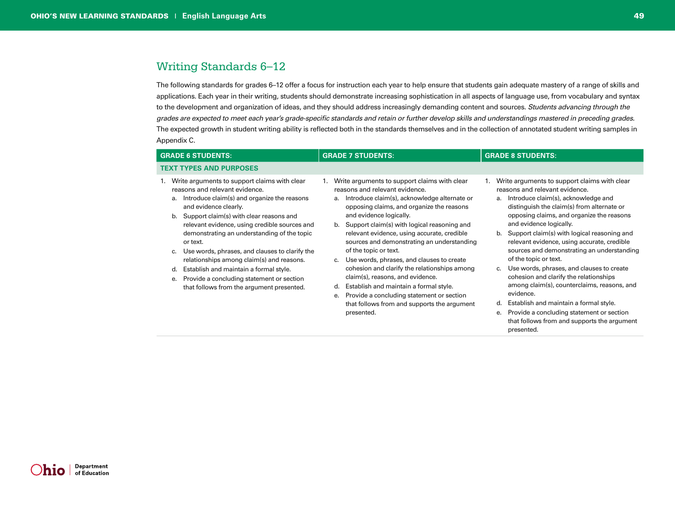### Writing Standards 6–12

The following standards for grades 6–12 offer a focus for instruction each year to help ensure that students gain adequate mastery of a range of skills and applications. Each year in their writing, students should demonstrate increasing sophistication in all aspects of language use, from vocabulary and syntax to the development and organization of ideas, and they should address increasingly demanding content and sources. *Students advancing through the grades are expected to meet each year's grade-specific standards and retain or further develop skills and understandings mastered in preceding grades.* The expected growth in student writing ability is reflected both in the standards themselves and in the collection of annotated student writing samples in Appendix C.

| <b>GRADE 6 STUDENTS:</b>                                                                                                                                                                                                                                                                                                                                                                                                                                                                                                                                                          | <b>GRADE 7 STUDENTS:</b>                                                                                                                                                                                                                                                                                                                                                                                                                                                                                                                                                                                                                                                                       | <b>GRADE 8 STUDENTS:</b>                                                                                                                                                                                                                                                                                                                                                                                                                                                                                                                                                                                                                                                                                                                                                |  |
|-----------------------------------------------------------------------------------------------------------------------------------------------------------------------------------------------------------------------------------------------------------------------------------------------------------------------------------------------------------------------------------------------------------------------------------------------------------------------------------------------------------------------------------------------------------------------------------|------------------------------------------------------------------------------------------------------------------------------------------------------------------------------------------------------------------------------------------------------------------------------------------------------------------------------------------------------------------------------------------------------------------------------------------------------------------------------------------------------------------------------------------------------------------------------------------------------------------------------------------------------------------------------------------------|-------------------------------------------------------------------------------------------------------------------------------------------------------------------------------------------------------------------------------------------------------------------------------------------------------------------------------------------------------------------------------------------------------------------------------------------------------------------------------------------------------------------------------------------------------------------------------------------------------------------------------------------------------------------------------------------------------------------------------------------------------------------------|--|
| <b>TEXT TYPES AND PURPOSES</b>                                                                                                                                                                                                                                                                                                                                                                                                                                                                                                                                                    |                                                                                                                                                                                                                                                                                                                                                                                                                                                                                                                                                                                                                                                                                                |                                                                                                                                                                                                                                                                                                                                                                                                                                                                                                                                                                                                                                                                                                                                                                         |  |
| 1. Write arguments to support claims with clear<br>reasons and relevant evidence.<br>Introduce claim(s) and organize the reasons<br>a.<br>and evidence clearly.<br>Support claim(s) with clear reasons and<br>b.<br>relevant evidence, using credible sources and<br>demonstrating an understanding of the topic<br>or text.<br>Use words, phrases, and clauses to clarify the<br>c.<br>relationships among claim(s) and reasons.<br>Establish and maintain a formal style.<br>d.<br>Provide a concluding statement or section<br>е.<br>that follows from the argument presented. | Write arguments to support claims with clear<br>reasons and relevant evidence.<br>Introduce claim(s), acknowledge alternate or<br>a.<br>opposing claims, and organize the reasons<br>and evidence logically.<br>Support claim(s) with logical reasoning and<br>b.<br>relevant evidence, using accurate, credible<br>sources and demonstrating an understanding<br>of the topic or text.<br>Use words, phrases, and clauses to create<br>c.<br>cohesion and clarify the relationships among<br>claim(s), reasons, and evidence.<br>Establish and maintain a formal style.<br>d.<br>Provide a concluding statement or section<br>е.<br>that follows from and supports the argument<br>presented. | Write arguments to support claims with clear<br>1.<br>reasons and relevant evidence.<br>Introduce claim(s), acknowledge and<br>a.<br>distinguish the claim(s) from alternate or<br>opposing claims, and organize the reasons<br>and evidence logically.<br>Support claim(s) with logical reasoning and<br>b.<br>relevant evidence, using accurate, credible<br>sources and demonstrating an understanding<br>of the topic or text.<br>Use words, phrases, and clauses to create<br>C <sub>1</sub><br>cohesion and clarify the relationships<br>among claim(s), counterclaims, reasons, and<br>evidence.<br>Establish and maintain a formal style.<br>d.<br>Provide a concluding statement or section<br>е.<br>that follows from and supports the argument<br>presented. |  |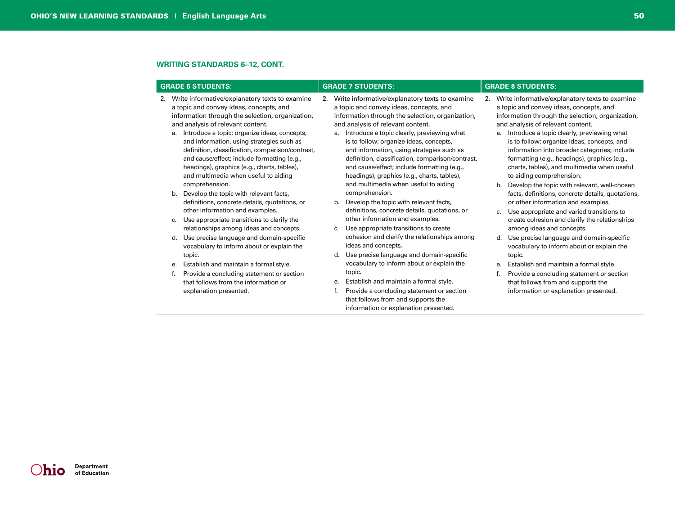| <b>GRADE 6 STUDENTS:</b> |                                                                                                                                                                                                                                                                                                                                                                                                                                                                                                   |          | <b>GRADE 7 STUDENTS:</b>                                                                                                                                                                                                                                                                                                                                                                                                                                                                                           |    | <b>GRADE 8 STUDENTS:</b>                                                                                                                                                                                                                                                                                                                                                                                                                                                                                               |  |
|--------------------------|---------------------------------------------------------------------------------------------------------------------------------------------------------------------------------------------------------------------------------------------------------------------------------------------------------------------------------------------------------------------------------------------------------------------------------------------------------------------------------------------------|----------|--------------------------------------------------------------------------------------------------------------------------------------------------------------------------------------------------------------------------------------------------------------------------------------------------------------------------------------------------------------------------------------------------------------------------------------------------------------------------------------------------------------------|----|------------------------------------------------------------------------------------------------------------------------------------------------------------------------------------------------------------------------------------------------------------------------------------------------------------------------------------------------------------------------------------------------------------------------------------------------------------------------------------------------------------------------|--|
|                          | Write informative/explanatory texts to examine<br>a topic and convey ideas, concepts, and<br>information through the selection, organization,<br>and analysis of relevant content.<br>Introduce a topic; organize ideas, concepts,<br>a.<br>and information, using strategies such as<br>definition, classification, comparison/contrast,<br>and cause/effect; include formatting (e.g.,<br>headings), graphics (e.g., charts, tables),<br>and multimedia when useful to aiding<br>comprehension. | 2.<br>a. | Write informative/explanatory texts to examine<br>a topic and convey ideas, concepts, and<br>information through the selection, organization,<br>and analysis of relevant content.<br>Introduce a topic clearly, previewing what<br>is to follow; organize ideas, concepts,<br>and information, using strategies such as<br>definition, classification, comparison/contrast,<br>and cause/effect; include formatting (e.g.,<br>headings), graphics (e.g., charts, tables),<br>and multimedia when useful to aiding | 2. | Write informative/explanatory texts to examine<br>a topic and convey ideas, concepts, and<br>information through the selection, organization,<br>and analysis of relevant content.<br>Introduce a topic clearly, previewing what<br>a.<br>is to follow; organize ideas, concepts, and<br>information into broader categories; include<br>formatting (e.g., headings), graphics (e.g.,<br>charts, tables), and multimedia when useful<br>to aiding comprehension.<br>Develop the topic with relevant, well-chosen<br>b. |  |
|                          | Develop the topic with relevant facts,<br>b.<br>definitions, concrete details, quotations, or<br>other information and examples.                                                                                                                                                                                                                                                                                                                                                                  | b.       | comprehension.<br>Develop the topic with relevant facts,<br>definitions, concrete details, quotations, or                                                                                                                                                                                                                                                                                                                                                                                                          |    | facts, definitions, concrete details, quotations,<br>or other information and examples.<br>Use appropriate and varied transitions to<br>c.                                                                                                                                                                                                                                                                                                                                                                             |  |
|                          | Use appropriate transitions to clarify the<br>c.<br>relationships among ideas and concepts.                                                                                                                                                                                                                                                                                                                                                                                                       | c.       | other information and examples.<br>Use appropriate transitions to create                                                                                                                                                                                                                                                                                                                                                                                                                                           |    | create cohesion and clarify the relationships<br>among ideas and concepts.                                                                                                                                                                                                                                                                                                                                                                                                                                             |  |
|                          | Use precise language and domain-specific<br>d.<br>vocabulary to inform about or explain the<br>topic.                                                                                                                                                                                                                                                                                                                                                                                             | d.       | cohesion and clarify the relationships among<br>ideas and concepts.<br>Use precise language and domain-specific                                                                                                                                                                                                                                                                                                                                                                                                    |    | d. Use precise language and domain-specific<br>vocabulary to inform about or explain the<br>topic.                                                                                                                                                                                                                                                                                                                                                                                                                     |  |
|                          | Establish and maintain a formal style.<br>e.                                                                                                                                                                                                                                                                                                                                                                                                                                                      |          | vocabulary to inform about or explain the                                                                                                                                                                                                                                                                                                                                                                                                                                                                          |    | Establish and maintain a formal style.<br>e.                                                                                                                                                                                                                                                                                                                                                                                                                                                                           |  |
|                          | Provide a concluding statement or section<br>that follows from the information or<br>explanation presented.                                                                                                                                                                                                                                                                                                                                                                                       | е.<br>f. | topic.<br>Establish and maintain a formal style.<br>Provide a concluding statement or section<br>that follows from and supports the<br>information or explanation presented.                                                                                                                                                                                                                                                                                                                                       |    | Provide a concluding statement or section<br>that follows from and supports the<br>information or explanation presented.                                                                                                                                                                                                                                                                                                                                                                                               |  |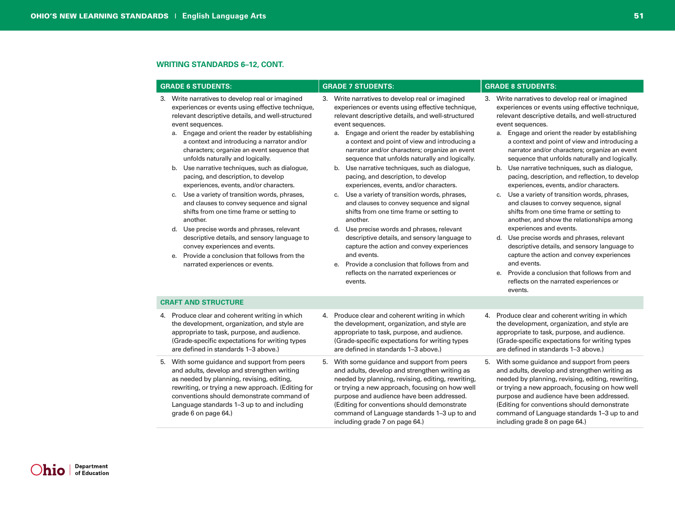| <b>GRADE 6 STUDENTS:</b>                                                                                                                                                                                                                                                                                                                                                                                                                                                                                                                                                                                                                                                                                                                                                                                                                                                                  | <b>GRADE 7 STUDENTS:</b>                                                                                                                                                                                                                                                                                                                                                                                                                                                                                                                                                                                                                                                                                                                                                                                                                                                                                                                                          | <b>GRADE 8 STUDENTS:</b>                                                                                                                                                                                                                                                                                                                                                                                                                                                                                                                                                                                                                                                                                                                                                                                                                                                                                                                                                                                                   |  |  |
|-------------------------------------------------------------------------------------------------------------------------------------------------------------------------------------------------------------------------------------------------------------------------------------------------------------------------------------------------------------------------------------------------------------------------------------------------------------------------------------------------------------------------------------------------------------------------------------------------------------------------------------------------------------------------------------------------------------------------------------------------------------------------------------------------------------------------------------------------------------------------------------------|-------------------------------------------------------------------------------------------------------------------------------------------------------------------------------------------------------------------------------------------------------------------------------------------------------------------------------------------------------------------------------------------------------------------------------------------------------------------------------------------------------------------------------------------------------------------------------------------------------------------------------------------------------------------------------------------------------------------------------------------------------------------------------------------------------------------------------------------------------------------------------------------------------------------------------------------------------------------|----------------------------------------------------------------------------------------------------------------------------------------------------------------------------------------------------------------------------------------------------------------------------------------------------------------------------------------------------------------------------------------------------------------------------------------------------------------------------------------------------------------------------------------------------------------------------------------------------------------------------------------------------------------------------------------------------------------------------------------------------------------------------------------------------------------------------------------------------------------------------------------------------------------------------------------------------------------------------------------------------------------------------|--|--|
| 3. Write narratives to develop real or imagined<br>experiences or events using effective technique,<br>relevant descriptive details, and well-structured<br>event sequences.<br>a. Engage and orient the reader by establishing<br>a context and introducing a narrator and/or<br>characters; organize an event sequence that<br>unfolds naturally and logically.<br>b. Use narrative techniques, such as dialogue,<br>pacing, and description, to develop<br>experiences, events, and/or characters.<br>Use a variety of transition words, phrases,<br>c.<br>and clauses to convey sequence and signal<br>shifts from one time frame or setting to<br>another.<br>Use precise words and phrases, relevant<br>d.<br>descriptive details, and sensory language to<br>convey experiences and events.<br>Provide a conclusion that follows from the<br>е.<br>narrated experiences or events. | Write narratives to develop real or imagined<br>3.<br>experiences or events using effective technique,<br>relevant descriptive details, and well-structured<br>event sequences.<br>Engage and orient the reader by establishing<br>a.<br>a context and point of view and introducing a<br>narrator and/or characters; organize an event<br>sequence that unfolds naturally and logically.<br>Use narrative techniques, such as dialogue,<br>b.<br>pacing, and description, to develop<br>experiences, events, and/or characters.<br>Use a variety of transition words, phrases,<br>c.<br>and clauses to convey sequence and signal<br>shifts from one time frame or setting to<br>another.<br>Use precise words and phrases, relevant<br>d.<br>descriptive details, and sensory language to<br>capture the action and convey experiences<br>and events.<br>Provide a conclusion that follows from and<br>е.<br>reflects on the narrated experiences or<br>events. | 3. Write narratives to develop real or imagined<br>experiences or events using effective technique,<br>relevant descriptive details, and well-structured<br>event sequences.<br>a. Engage and orient the reader by establishing<br>a context and point of view and introducing a<br>narrator and/or characters; organize an event<br>sequence that unfolds naturally and logically.<br>b. Use narrative techniques, such as dialogue,<br>pacing, description, and reflection, to develop<br>experiences, events, and/or characters.<br>Use a variety of transition words, phrases,<br>c.<br>and clauses to convey sequence, signal<br>shifts from one time frame or setting to<br>another, and show the relationships among<br>experiences and events.<br>d. Use precise words and phrases, relevant<br>descriptive details, and sensory language to<br>capture the action and convey experiences<br>and events.<br>Provide a conclusion that follows from and<br>e.<br>reflects on the narrated experiences or<br>events. |  |  |
| <b>CRAFT AND STRUCTURE</b>                                                                                                                                                                                                                                                                                                                                                                                                                                                                                                                                                                                                                                                                                                                                                                                                                                                                |                                                                                                                                                                                                                                                                                                                                                                                                                                                                                                                                                                                                                                                                                                                                                                                                                                                                                                                                                                   |                                                                                                                                                                                                                                                                                                                                                                                                                                                                                                                                                                                                                                                                                                                                                                                                                                                                                                                                                                                                                            |  |  |
| 4. Produce clear and coherent writing in which<br>the development, organization, and style are<br>appropriate to task, purpose, and audience.<br>(Grade-specific expectations for writing types<br>are defined in standards 1-3 above.)                                                                                                                                                                                                                                                                                                                                                                                                                                                                                                                                                                                                                                                   | 4. Produce clear and coherent writing in which<br>the development, organization, and style are<br>appropriate to task, purpose, and audience.<br>(Grade-specific expectations for writing types<br>are defined in standards 1-3 above.)                                                                                                                                                                                                                                                                                                                                                                                                                                                                                                                                                                                                                                                                                                                           | 4. Produce clear and coherent writing in which<br>the development, organization, and style are<br>appropriate to task, purpose, and audience.<br>(Grade-specific expectations for writing types<br>are defined in standards 1-3 above.)                                                                                                                                                                                                                                                                                                                                                                                                                                                                                                                                                                                                                                                                                                                                                                                    |  |  |
| With some guidance and support from peers<br>5.<br>and adults, develop and strengthen writing<br>as needed by planning, revising, editing,<br>rewriting, or trying a new approach. (Editing for<br>conventions should demonstrate command of<br>Language standards 1-3 up to and including<br>grade 6 on page 64.)                                                                                                                                                                                                                                                                                                                                                                                                                                                                                                                                                                        | With some guidance and support from peers<br>5.<br>and adults, develop and strengthen writing as<br>needed by planning, revising, editing, rewriting,<br>or trying a new approach, focusing on how well<br>purpose and audience have been addressed.<br>(Editing for conventions should demonstrate<br>command of Language standards 1-3 up to and<br>including grade 7 on page 64.)                                                                                                                                                                                                                                                                                                                                                                                                                                                                                                                                                                              | With some guidance and support from peers<br>5.<br>and adults, develop and strengthen writing as<br>needed by planning, revising, editing, rewriting,<br>or trying a new approach, focusing on how well<br>purpose and audience have been addressed.<br>(Editing for conventions should demonstrate<br>command of Language standards 1-3 up to and<br>including grade 8 on page 64.)                                                                                                                                                                                                                                                                                                                                                                                                                                                                                                                                                                                                                                       |  |  |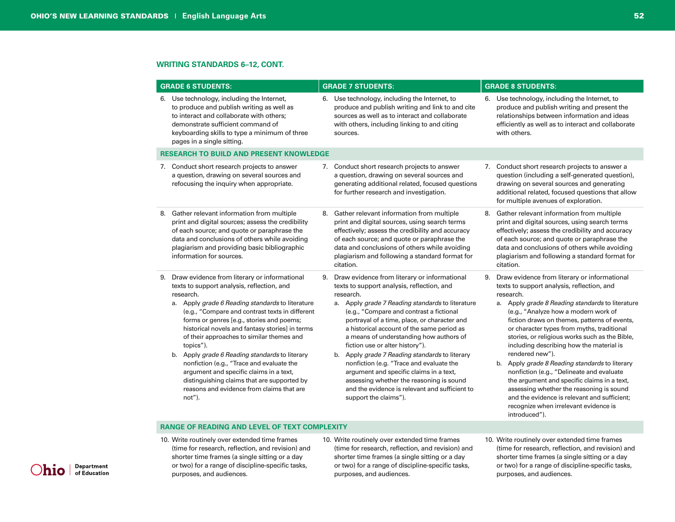| <b>GRADE 6 STUDENTS:</b> |                                                                                                                                                                                                                                                                                                                                                                                                                                                                                                                                                                                                                             | <b>GRADE 7 STUDENTS:</b> |                                                                                                                                                                                                                                                                                                                                                                                                                                                                                                                                                                                                                                                        | <b>GRADE 8 STUDENTS:</b> |                                                                                                                                                                                                                                                                                                                                                                                                                                                                                                                                                                                                                                                                                                          |  |
|--------------------------|-----------------------------------------------------------------------------------------------------------------------------------------------------------------------------------------------------------------------------------------------------------------------------------------------------------------------------------------------------------------------------------------------------------------------------------------------------------------------------------------------------------------------------------------------------------------------------------------------------------------------------|--------------------------|--------------------------------------------------------------------------------------------------------------------------------------------------------------------------------------------------------------------------------------------------------------------------------------------------------------------------------------------------------------------------------------------------------------------------------------------------------------------------------------------------------------------------------------------------------------------------------------------------------------------------------------------------------|--------------------------|----------------------------------------------------------------------------------------------------------------------------------------------------------------------------------------------------------------------------------------------------------------------------------------------------------------------------------------------------------------------------------------------------------------------------------------------------------------------------------------------------------------------------------------------------------------------------------------------------------------------------------------------------------------------------------------------------------|--|
| 6.                       | Use technology, including the Internet,<br>to produce and publish writing as well as<br>to interact and collaborate with others;<br>demonstrate sufficient command of<br>keyboarding skills to type a minimum of three<br>pages in a single sitting.                                                                                                                                                                                                                                                                                                                                                                        |                          | 6. Use technology, including the Internet, to<br>produce and publish writing and link to and cite<br>sources as well as to interact and collaborate<br>with others, including linking to and citing<br>sources.                                                                                                                                                                                                                                                                                                                                                                                                                                        | 6.                       | Use technology, including the Internet, to<br>produce and publish writing and present the<br>relationships between information and ideas<br>efficiently as well as to interact and collaborate<br>with others.                                                                                                                                                                                                                                                                                                                                                                                                                                                                                           |  |
|                          | <b>RESEARCH TO BUILD AND PRESENT KNOWLEDGE</b>                                                                                                                                                                                                                                                                                                                                                                                                                                                                                                                                                                              |                          |                                                                                                                                                                                                                                                                                                                                                                                                                                                                                                                                                                                                                                                        |                          |                                                                                                                                                                                                                                                                                                                                                                                                                                                                                                                                                                                                                                                                                                          |  |
|                          | 7. Conduct short research projects to answer<br>a question, drawing on several sources and<br>refocusing the inquiry when appropriate.                                                                                                                                                                                                                                                                                                                                                                                                                                                                                      |                          | 7. Conduct short research projects to answer<br>a question, drawing on several sources and<br>generating additional related, focused questions<br>for further research and investigation.                                                                                                                                                                                                                                                                                                                                                                                                                                                              |                          | 7. Conduct short research projects to answer a<br>question (including a self-generated question),<br>drawing on several sources and generating<br>additional related, focused questions that allow<br>for multiple avenues of exploration.                                                                                                                                                                                                                                                                                                                                                                                                                                                               |  |
|                          | 8. Gather relevant information from multiple<br>print and digital sources; assess the credibility<br>of each source; and quote or paraphrase the<br>data and conclusions of others while avoiding<br>plagiarism and providing basic bibliographic<br>information for sources.                                                                                                                                                                                                                                                                                                                                               | 8.                       | Gather relevant information from multiple<br>print and digital sources, using search terms<br>effectively; assess the credibility and accuracy<br>of each source; and quote or paraphrase the<br>data and conclusions of others while avoiding<br>plagiarism and following a standard format for<br>citation.                                                                                                                                                                                                                                                                                                                                          |                          | 8. Gather relevant information from multiple<br>print and digital sources, using search terms<br>effectively; assess the credibility and accuracy<br>of each source; and quote or paraphrase the<br>data and conclusions of others while avoiding<br>plagiarism and following a standard format for<br>citation.                                                                                                                                                                                                                                                                                                                                                                                         |  |
| 9.                       | Draw evidence from literary or informational<br>texts to support analysis, reflection, and<br>research.<br>a. Apply grade 6 Reading standards to literature<br>(e.g., "Compare and contrast texts in different<br>forms or genres [e.g., stories and poems;<br>historical novels and fantasy stories] in terms<br>of their approaches to similar themes and<br>topics").<br>Apply grade 6 Reading standards to literary<br>b.<br>nonfiction (e.g., "Trace and evaluate the<br>argument and specific claims in a text,<br>distinguishing claims that are supported by<br>reasons and evidence from claims that are<br>not"). | 9.                       | Draw evidence from literary or informational<br>texts to support analysis, reflection, and<br>research.<br>a. Apply grade 7 Reading standards to literature<br>(e.g., "Compare and contrast a fictional<br>portrayal of a time, place, or character and<br>a historical account of the same period as<br>a means of understanding how authors of<br>fiction use or alter history").<br>Apply grade 7 Reading standards to literary<br>b.<br>nonfiction (e.g. "Trace and evaluate the<br>argument and specific claims in a text,<br>assessing whether the reasoning is sound<br>and the evidence is relevant and sufficient to<br>support the claims"). | 9.                       | Draw evidence from literary or informational<br>texts to support analysis, reflection, and<br>research.<br>a. Apply grade 8 Reading standards to literature<br>(e.g., "Analyze how a modern work of<br>fiction draws on themes, patterns of events,<br>or character types from myths, traditional<br>stories, or religious works such as the Bible,<br>including describing how the material is<br>rendered new").<br>Apply grade 8 Reading standards to literary<br>b.<br>nonfiction (e.g., "Delineate and evaluate<br>the argument and specific claims in a text,<br>assessing whether the reasoning is sound<br>and the evidence is relevant and sufficient;<br>recognize when irrelevant evidence is |  |

#### **RANGE OF READING AND LEVEL OF TEXT COMPLEXITY**

- 10. Write routinely over extended time frames (time for research, reflection, and revision) and shorter time frames (a single sitting or a day or two) for a range of discipline-specific tasks, purposes, and audiences.
- 10. Write routinely over extended time frames (time for research, reflection, and revision) and shorter time frames (a single sitting or a day or two) for a range of discipline-specific tasks, purposes, and audiences.
- 10. Write routinely over extended time frames (time for research, reflection, and revision) and shorter time frames (a single sitting or a day or two) for a range of discipline-specific tasks, purposes, and audiences.

introduced").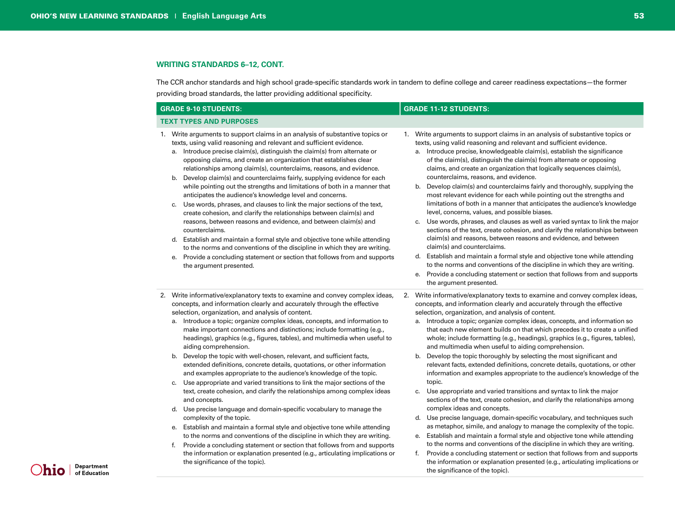The CCR anchor standards and high school grade-specific standards work in tandem to define college and career readiness expectations—the former providing broad standards, the latter providing additional specificity.

|                                  | <b>GRADE 9-10 STUDENTS:</b>                                                                                                                                                                                                                                                                                                                                                                                                                                                                                                                                                                                                                                                                                                                                                                                                                                                                                                                                                                                                                                                                                                                                                                                                                                                                                                       |    | <b>GRADE 11-12 STUDENTS:</b>                                                                                                                                                                                                                                                                                                                                                                                                                                                                                                                                                                                                                                                                                                                                                                                                                                                                                                                                                                                                                                                                                                                                                                                                                                                                                                                                                                                                                |
|----------------------------------|-----------------------------------------------------------------------------------------------------------------------------------------------------------------------------------------------------------------------------------------------------------------------------------------------------------------------------------------------------------------------------------------------------------------------------------------------------------------------------------------------------------------------------------------------------------------------------------------------------------------------------------------------------------------------------------------------------------------------------------------------------------------------------------------------------------------------------------------------------------------------------------------------------------------------------------------------------------------------------------------------------------------------------------------------------------------------------------------------------------------------------------------------------------------------------------------------------------------------------------------------------------------------------------------------------------------------------------|----|---------------------------------------------------------------------------------------------------------------------------------------------------------------------------------------------------------------------------------------------------------------------------------------------------------------------------------------------------------------------------------------------------------------------------------------------------------------------------------------------------------------------------------------------------------------------------------------------------------------------------------------------------------------------------------------------------------------------------------------------------------------------------------------------------------------------------------------------------------------------------------------------------------------------------------------------------------------------------------------------------------------------------------------------------------------------------------------------------------------------------------------------------------------------------------------------------------------------------------------------------------------------------------------------------------------------------------------------------------------------------------------------------------------------------------------------|
|                                  |                                                                                                                                                                                                                                                                                                                                                                                                                                                                                                                                                                                                                                                                                                                                                                                                                                                                                                                                                                                                                                                                                                                                                                                                                                                                                                                                   |    |                                                                                                                                                                                                                                                                                                                                                                                                                                                                                                                                                                                                                                                                                                                                                                                                                                                                                                                                                                                                                                                                                                                                                                                                                                                                                                                                                                                                                                             |
|                                  | <b>TEXT TYPES AND PURPOSES</b>                                                                                                                                                                                                                                                                                                                                                                                                                                                                                                                                                                                                                                                                                                                                                                                                                                                                                                                                                                                                                                                                                                                                                                                                                                                                                                    |    |                                                                                                                                                                                                                                                                                                                                                                                                                                                                                                                                                                                                                                                                                                                                                                                                                                                                                                                                                                                                                                                                                                                                                                                                                                                                                                                                                                                                                                             |
| a.<br>b.<br>c.<br>d.<br>e.       | 1. Write arguments to support claims in an analysis of substantive topics or<br>texts, using valid reasoning and relevant and sufficient evidence.<br>Introduce precise claim(s), distinguish the claim(s) from alternate or<br>opposing claims, and create an organization that establishes clear<br>relationships among claim(s), counterclaims, reasons, and evidence.<br>Develop claim(s) and counterclaims fairly, supplying evidence for each<br>while pointing out the strengths and limitations of both in a manner that<br>anticipates the audience's knowledge level and concerns.<br>Use words, phrases, and clauses to link the major sections of the text,<br>create cohesion, and clarify the relationships between claim(s) and<br>reasons, between reasons and evidence, and between claim(s) and<br>counterclaims.<br>Establish and maintain a formal style and objective tone while attending<br>to the norms and conventions of the discipline in which they are writing.<br>Provide a concluding statement or section that follows from and supports<br>the argument presented.                                                                                                                                                                                                                               |    | 1. Write arguments to support claims in an analysis of substantive topics or<br>texts, using valid reasoning and relevant and sufficient evidence.<br>a. Introduce precise, knowledgeable claim(s), establish the significance<br>of the claim(s), distinguish the claim(s) from alternate or opposing<br>claims, and create an organization that logically sequences claim(s),<br>counterclaims, reasons, and evidence.<br>Develop claim(s) and counterclaims fairly and thoroughly, supplying the<br>b.<br>most relevant evidence for each while pointing out the strengths and<br>limitations of both in a manner that anticipates the audience's knowledge<br>level, concerns, values, and possible biases.<br>Use words, phrases, and clauses as well as varied syntax to link the major<br>c.<br>sections of the text, create cohesion, and clarify the relationships between<br>claim(s) and reasons, between reasons and evidence, and between<br>claim(s) and counterclaims.<br>d. Establish and maintain a formal style and objective tone while attending<br>to the norms and conventions of the discipline in which they are writing.<br>Provide a concluding statement or section that follows from and supports<br>е.<br>the argument presented.                                                                                                                                                                              |
| a.<br>b.<br>c.<br>d.<br>е.<br>f. | 2. Write informative/explanatory texts to examine and convey complex ideas,<br>concepts, and information clearly and accurately through the effective<br>selection, organization, and analysis of content.<br>Introduce a topic; organize complex ideas, concepts, and information to<br>make important connections and distinctions; include formatting (e.g.,<br>headings), graphics (e.g., figures, tables), and multimedia when useful to<br>aiding comprehension.<br>Develop the topic with well-chosen, relevant, and sufficient facts,<br>extended definitions, concrete details, quotations, or other information<br>and examples appropriate to the audience's knowledge of the topic.<br>Use appropriate and varied transitions to link the major sections of the<br>text, create cohesion, and clarify the relationships among complex ideas<br>and concepts.<br>Use precise language and domain-specific vocabulary to manage the<br>complexity of the topic.<br>Establish and maintain a formal style and objective tone while attending<br>to the norms and conventions of the discipline in which they are writing.<br>Provide a concluding statement or section that follows from and supports<br>the information or explanation presented (e.g., articulating implications or<br>the significance of the topic). | 2. | Write informative/explanatory texts to examine and convey complex ideas,<br>concepts, and information clearly and accurately through the effective<br>selection, organization, and analysis of content.<br>a. Introduce a topic; organize complex ideas, concepts, and information so<br>that each new element builds on that which precedes it to create a unified<br>whole; include formatting (e.g., headings), graphics (e.g., figures, tables),<br>and multimedia when useful to aiding comprehension.<br>b. Develop the topic thoroughly by selecting the most significant and<br>relevant facts, extended definitions, concrete details, quotations, or other<br>information and examples appropriate to the audience's knowledge of the<br>topic.<br>Use appropriate and varied transitions and syntax to link the major<br>c.<br>sections of the text, create cohesion, and clarify the relationships among<br>complex ideas and concepts.<br>d. Use precise language, domain-specific vocabulary, and techniques such<br>as metaphor, simile, and analogy to manage the complexity of the topic.<br>Establish and maintain a formal style and objective tone while attending<br>е.<br>to the norms and conventions of the discipline in which they are writing.<br>Provide a concluding statement or section that follows from and supports<br>f.<br>the information or explanation presented (e.g., articulating implications or |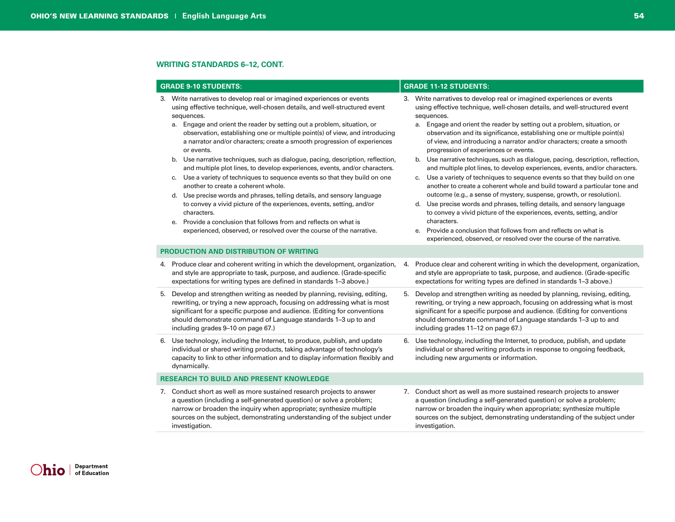| <b>GRADE 9-10 STUDENTS:</b>                                                                                                                                                                                                                                                                                                                                                                                                                                                                                                                                                                                                                                                                                                                                                                                                                                                                                                                                                                                                              | <b>GRADE 11-12 STUDENTS:</b> |                                                                                                                                                                                                                                                                                                                                                                                                                                                                                                                                                                                                                                                                                                                                                                                                                                                                                                                                                                                                                                                                                                                                                                       |  |
|------------------------------------------------------------------------------------------------------------------------------------------------------------------------------------------------------------------------------------------------------------------------------------------------------------------------------------------------------------------------------------------------------------------------------------------------------------------------------------------------------------------------------------------------------------------------------------------------------------------------------------------------------------------------------------------------------------------------------------------------------------------------------------------------------------------------------------------------------------------------------------------------------------------------------------------------------------------------------------------------------------------------------------------|------------------------------|-----------------------------------------------------------------------------------------------------------------------------------------------------------------------------------------------------------------------------------------------------------------------------------------------------------------------------------------------------------------------------------------------------------------------------------------------------------------------------------------------------------------------------------------------------------------------------------------------------------------------------------------------------------------------------------------------------------------------------------------------------------------------------------------------------------------------------------------------------------------------------------------------------------------------------------------------------------------------------------------------------------------------------------------------------------------------------------------------------------------------------------------------------------------------|--|
| 3. Write narratives to develop real or imagined experiences or events<br>using effective technique, well-chosen details, and well-structured event<br>sequences.<br>a. Engage and orient the reader by setting out a problem, situation, or<br>observation, establishing one or multiple point(s) of view, and introducing<br>a narrator and/or characters; create a smooth progression of experiences<br>or events.<br>Use narrative techniques, such as dialogue, pacing, description, reflection,<br>b.<br>and multiple plot lines, to develop experiences, events, and/or characters.<br>Use a variety of techniques to sequence events so that they build on one<br>c.<br>another to create a coherent whole.<br>Use precise words and phrases, telling details, and sensory language<br>d.<br>to convey a vivid picture of the experiences, events, setting, and/or<br>characters.<br>Provide a conclusion that follows from and reflects on what is<br>e.<br>experienced, observed, or resolved over the course of the narrative. |                              | 3. Write narratives to develop real or imagined experiences or events<br>using effective technique, well-chosen details, and well-structured event<br>sequences.<br>a. Engage and orient the reader by setting out a problem, situation, or<br>observation and its significance, establishing one or multiple point(s)<br>of view, and introducing a narrator and/or characters; create a smooth<br>progression of experiences or events.<br>b. Use narrative techniques, such as dialogue, pacing, description, reflection,<br>and multiple plot lines, to develop experiences, events, and/or characters.<br>Use a variety of techniques to sequence events so that they build on one<br>c.<br>another to create a coherent whole and build toward a particular tone and<br>outcome (e.g., a sense of mystery, suspense, growth, or resolution).<br>d. Use precise words and phrases, telling details, and sensory language<br>to convey a vivid picture of the experiences, events, setting, and/or<br>characters.<br>Provide a conclusion that follows from and reflects on what is<br>e.<br>experienced, observed, or resolved over the course of the narrative. |  |
| PRODUCTION AND DISTRIBUTION OF WRITING                                                                                                                                                                                                                                                                                                                                                                                                                                                                                                                                                                                                                                                                                                                                                                                                                                                                                                                                                                                                   |                              |                                                                                                                                                                                                                                                                                                                                                                                                                                                                                                                                                                                                                                                                                                                                                                                                                                                                                                                                                                                                                                                                                                                                                                       |  |
| 4. Produce clear and coherent writing in which the development, organization,<br>and style are appropriate to task, purpose, and audience. (Grade-specific<br>expectations for writing types are defined in standards 1-3 above.)                                                                                                                                                                                                                                                                                                                                                                                                                                                                                                                                                                                                                                                                                                                                                                                                        | 4.                           | Produce clear and coherent writing in which the development, organization,<br>and style are appropriate to task, purpose, and audience. (Grade-specific<br>expectations for writing types are defined in standards 1-3 above.)                                                                                                                                                                                                                                                                                                                                                                                                                                                                                                                                                                                                                                                                                                                                                                                                                                                                                                                                        |  |
| 5. Develop and strengthen writing as needed by planning, revising, editing,<br>rewriting, or trying a new approach, focusing on addressing what is most<br>significant for a specific purpose and audience. (Editing for conventions<br>should demonstrate command of Language standards 1-3 up to and<br>including grades 9-10 on page 67.)                                                                                                                                                                                                                                                                                                                                                                                                                                                                                                                                                                                                                                                                                             | 5.                           | Develop and strengthen writing as needed by planning, revising, editing,<br>rewriting, or trying a new approach, focusing on addressing what is most<br>significant for a specific purpose and audience. (Editing for conventions<br>should demonstrate command of Language standards 1-3 up to and<br>including grades 11-12 on page 67.)                                                                                                                                                                                                                                                                                                                                                                                                                                                                                                                                                                                                                                                                                                                                                                                                                            |  |
| 6. Use technology, including the Internet, to produce, publish, and update<br>individual or shared writing products, taking advantage of technology's<br>capacity to link to other information and to display information flexibly and<br>dynamically.                                                                                                                                                                                                                                                                                                                                                                                                                                                                                                                                                                                                                                                                                                                                                                                   | 6.                           | Use technology, including the Internet, to produce, publish, and update<br>individual or shared writing products in response to ongoing feedback,<br>including new arguments or information.                                                                                                                                                                                                                                                                                                                                                                                                                                                                                                                                                                                                                                                                                                                                                                                                                                                                                                                                                                          |  |
| <b>RESEARCH TO BUILD AND PRESENT KNOWLEDGE</b>                                                                                                                                                                                                                                                                                                                                                                                                                                                                                                                                                                                                                                                                                                                                                                                                                                                                                                                                                                                           |                              |                                                                                                                                                                                                                                                                                                                                                                                                                                                                                                                                                                                                                                                                                                                                                                                                                                                                                                                                                                                                                                                                                                                                                                       |  |
| 7. Conduct short as well as more sustained research projects to answer<br>a question (including a self-generated question) or solve a problem;<br>narrow or broaden the inquiry when appropriate; synthesize multiple<br>sources on the subject, demonstrating understanding of the subject under<br>investigation.                                                                                                                                                                                                                                                                                                                                                                                                                                                                                                                                                                                                                                                                                                                      | 7.                           | Conduct short as well as more sustained research projects to answer<br>a question (including a self-generated question) or solve a problem;<br>narrow or broaden the inquiry when appropriate; synthesize multiple<br>sources on the subject, demonstrating understanding of the subject under<br>investigation.                                                                                                                                                                                                                                                                                                                                                                                                                                                                                                                                                                                                                                                                                                                                                                                                                                                      |  |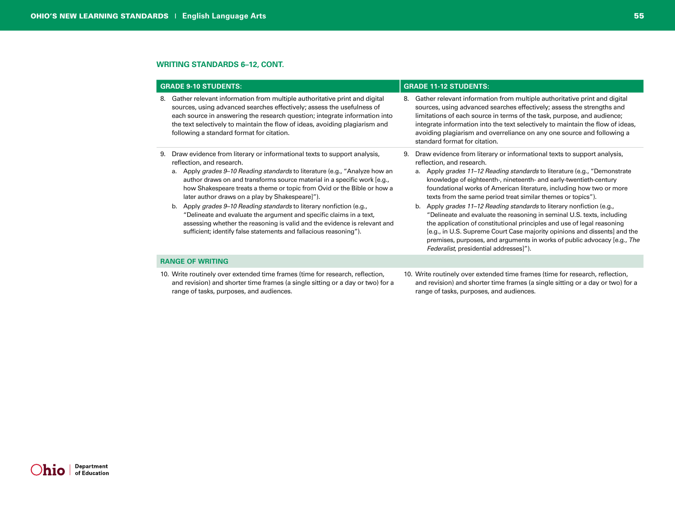#### **WRITING STANDARDS 6–12, CONT.**

| <b>GRADE 9-10 STUDENTS:</b>                                                                                                                                                                                                                                                                                                                                                                                                                                                                                                                                                                                                                                                                       | <b>GRADE 11-12 STUDENTS:</b>                                                                                                                                                                                                                                                                                                                                                                                                                                                                                                                                                                                                                                                                                                                                                                                                          |  |  |  |
|---------------------------------------------------------------------------------------------------------------------------------------------------------------------------------------------------------------------------------------------------------------------------------------------------------------------------------------------------------------------------------------------------------------------------------------------------------------------------------------------------------------------------------------------------------------------------------------------------------------------------------------------------------------------------------------------------|---------------------------------------------------------------------------------------------------------------------------------------------------------------------------------------------------------------------------------------------------------------------------------------------------------------------------------------------------------------------------------------------------------------------------------------------------------------------------------------------------------------------------------------------------------------------------------------------------------------------------------------------------------------------------------------------------------------------------------------------------------------------------------------------------------------------------------------|--|--|--|
| Gather relevant information from multiple authoritative print and digital<br>8.<br>sources, using advanced searches effectively; assess the usefulness of<br>each source in answering the research question; integrate information into<br>the text selectively to maintain the flow of ideas, avoiding plagiarism and<br>following a standard format for citation.                                                                                                                                                                                                                                                                                                                               | Gather relevant information from multiple authoritative print and digital<br>8.<br>sources, using advanced searches effectively; assess the strengths and<br>limitations of each source in terms of the task, purpose, and audience;<br>integrate information into the text selectively to maintain the flow of ideas,<br>avoiding plagiarism and overreliance on any one source and following a<br>standard format for citation.                                                                                                                                                                                                                                                                                                                                                                                                     |  |  |  |
| Draw evidence from literary or informational texts to support analysis,<br>reflection, and research.<br>a. Apply grades 9–10 Reading standards to literature (e.g., "Analyze how an<br>author draws on and transforms source material in a specific work [e.g.,<br>how Shakespeare treats a theme or topic from Ovid or the Bible or how a<br>later author draws on a play by Shakespeare]").<br>Apply grades 9-10 Reading standards to literary nonfiction (e.g.,<br>b.<br>"Delineate and evaluate the argument and specific claims in a text,<br>assessing whether the reasoning is valid and the evidence is relevant and<br>sufficient; identify false statements and fallacious reasoning"). | Draw evidence from literary or informational texts to support analysis,<br>9.<br>reflection, and research.<br>a. Apply grades 11–12 Reading standards to literature (e.g., "Demonstrate<br>knowledge of eighteenth-, nineteenth- and early-twentieth-century<br>foundational works of American literature, including how two or more<br>texts from the same period treat similar themes or topics").<br>b. Apply grades 11–12 Reading standards to literary nonfiction (e.g.,<br>"Delineate and evaluate the reasoning in seminal U.S. texts, including<br>the application of constitutional principles and use of legal reasoning<br>[e.g., in U.S. Supreme Court Case majority opinions and dissents] and the<br>premises, purposes, and arguments in works of public advocacy [e.g., The<br>Federalist, presidential addresses]"). |  |  |  |
| <b>RANGE OF WRITING</b>                                                                                                                                                                                                                                                                                                                                                                                                                                                                                                                                                                                                                                                                           |                                                                                                                                                                                                                                                                                                                                                                                                                                                                                                                                                                                                                                                                                                                                                                                                                                       |  |  |  |
| 10 Write reutinely over extended time frames (time for research, reflection                                                                                                                                                                                                                                                                                                                                                                                                                                                                                                                                                                                                                       | 10 Write reutinely ever extended time frames (time for research, reflection                                                                                                                                                                                                                                                                                                                                                                                                                                                                                                                                                                                                                                                                                                                                                           |  |  |  |

- 10. Write routinely over extended time frames (time for research, reflection, and revision) and shorter time frames (a single sitting or a day or two) for a range of tasks, purposes, and audiences.
- 10. Write routinely over extended time frames (time for research, reflection, and revision) and shorter time frames (a single sitting or a day or two) for a range of tasks, purposes, and audiences.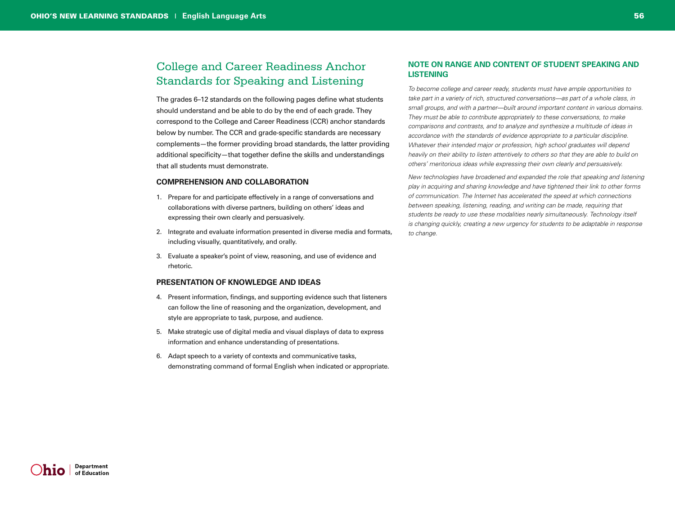### College and Career Readiness Anchor Standards for Speaking and Listening

The grades 6–12 standards on the following pages define what students should understand and be able to do by the end of each grade. They correspond to the College and Career Readiness (CCR) anchor standards below by number. The CCR and grade-specific standards are necessary complements—the former providing broad standards, the latter providing additional specificity—that together define the skills and understandings that all students must demonstrate.

#### **COMPREHENSION AND COLLABORATION**

- 1. Prepare for and participate effectively in a range of conversations and collaborations with diverse partners, building on others' ideas and expressing their own clearly and persuasively.
- 2. Integrate and evaluate information presented in diverse media and formats, including visually, quantitatively, and orally.
- 3. Evaluate a speaker's point of view, reasoning, and use of evidence and rhetoric.

#### **PRESENTATION OF KNOWLEDGE AND IDEAS**

- 4. Present information, findings, and supporting evidence such that listeners can follow the line of reasoning and the organization, development, and style are appropriate to task, purpose, and audience.
- 5. Make strategic use of digital media and visual displays of data to express information and enhance understanding of presentations.
- 6. Adapt speech to a variety of contexts and communicative tasks, demonstrating command of formal English when indicated or appropriate.

#### **NOTE ON RANGE AND CONTENT OF STUDENT SPEAKING AND LISTENING**

*To become college and career ready, students must have ample opportunities to take part in a variety of rich, structured conversations—as part of a whole class, in small groups, and with a partner—built around important content in various domains. They must be able to contribute appropriately to these conversations, to make comparisons and contrasts, and to analyze and synthesize a multitude of ideas in accordance with the standards of evidence appropriate to a particular discipline. Whatever their intended major or profession, high school graduates will depend heavily on their ability to listen attentively to others so that they are able to build on others' meritorious ideas while expressing their own clearly and persuasively.* 

*New technologies have broadened and expanded the role that speaking and listening play in acquiring and sharing knowledge and have tightened their link to other forms of communication. The Internet has accelerated the speed at which connections between speaking, listening, reading, and writing can be made, requiring that students be ready to use these modalities nearly simultaneously. Technology itself is changing quickly, creating a new urgency for students to be adaptable in response to change.*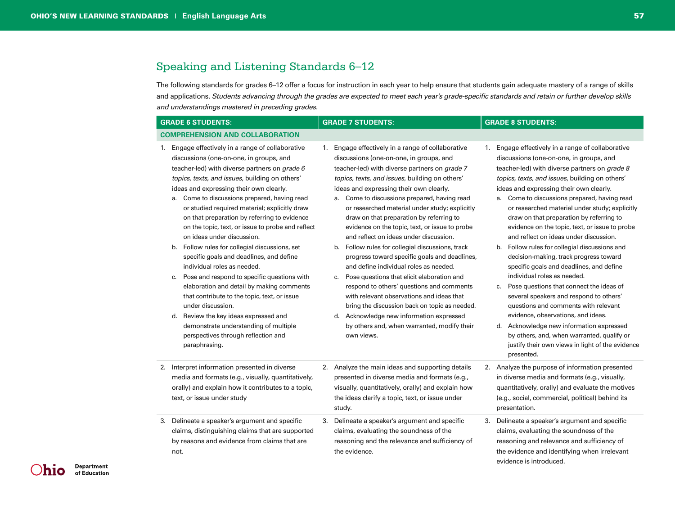### Speaking and Listening Standards 6–12

The following standards for grades 6–12 offer a focus for instruction in each year to help ensure that students gain adequate mastery of a range of skills and applications. *Students advancing through the grades are expected to meet each year's grade-specific standards and retain or further develop skills and understandings mastered in preceding grades.*

| <b>GRADE 6 STUDENTS:</b> |                                                                                                                                                                                                                                                                                                                                                                                                                                                                                                                                                                                                                                                                                                                                                                                                                                                                                                                              | <b>GRADE 7 STUDENTS:</b> |                                                                                                                                                                                                                                                                                                                                                                                                                                                                                                                                                                                                                                                                                                                                                                                                                                                                                                                                                | <b>GRADE 8 STUDENTS:</b> |                                                                                                                                                                                                                                                                                                                                                                                                                                                                                                                                                                                                                                                                                                                                                                                                                                                                                                                                                                                                   |
|--------------------------|------------------------------------------------------------------------------------------------------------------------------------------------------------------------------------------------------------------------------------------------------------------------------------------------------------------------------------------------------------------------------------------------------------------------------------------------------------------------------------------------------------------------------------------------------------------------------------------------------------------------------------------------------------------------------------------------------------------------------------------------------------------------------------------------------------------------------------------------------------------------------------------------------------------------------|--------------------------|------------------------------------------------------------------------------------------------------------------------------------------------------------------------------------------------------------------------------------------------------------------------------------------------------------------------------------------------------------------------------------------------------------------------------------------------------------------------------------------------------------------------------------------------------------------------------------------------------------------------------------------------------------------------------------------------------------------------------------------------------------------------------------------------------------------------------------------------------------------------------------------------------------------------------------------------|--------------------------|---------------------------------------------------------------------------------------------------------------------------------------------------------------------------------------------------------------------------------------------------------------------------------------------------------------------------------------------------------------------------------------------------------------------------------------------------------------------------------------------------------------------------------------------------------------------------------------------------------------------------------------------------------------------------------------------------------------------------------------------------------------------------------------------------------------------------------------------------------------------------------------------------------------------------------------------------------------------------------------------------|
|                          | <b>COMPREHENSION AND COLLABORATION</b>                                                                                                                                                                                                                                                                                                                                                                                                                                                                                                                                                                                                                                                                                                                                                                                                                                                                                       |                          |                                                                                                                                                                                                                                                                                                                                                                                                                                                                                                                                                                                                                                                                                                                                                                                                                                                                                                                                                |                          |                                                                                                                                                                                                                                                                                                                                                                                                                                                                                                                                                                                                                                                                                                                                                                                                                                                                                                                                                                                                   |
| 1.                       | Engage effectively in a range of collaborative<br>discussions (one-on-one, in groups, and<br>teacher-led) with diverse partners on grade 6<br>topics, texts, and issues, building on others'<br>ideas and expressing their own clearly.<br>a. Come to discussions prepared, having read<br>or studied required material; explicitly draw<br>on that preparation by referring to evidence<br>on the topic, text, or issue to probe and reflect<br>on ideas under discussion.<br>b. Follow rules for collegial discussions, set<br>specific goals and deadlines, and define<br>individual roles as needed.<br>Pose and respond to specific questions with<br>c.<br>elaboration and detail by making comments<br>that contribute to the topic, text, or issue<br>under discussion.<br>Review the key ideas expressed and<br>d.<br>demonstrate understanding of multiple<br>perspectives through reflection and<br>paraphrasing. |                          | 1. Engage effectively in a range of collaborative<br>discussions (one-on-one, in groups, and<br>teacher-led) with diverse partners on grade 7<br>topics, texts, and issues, building on others'<br>ideas and expressing their own clearly.<br>Come to discussions prepared, having read<br>а.<br>or researched material under study; explicitly<br>draw on that preparation by referring to<br>evidence on the topic, text, or issue to probe<br>and reflect on ideas under discussion.<br>b. Follow rules for collegial discussions, track<br>progress toward specific goals and deadlines,<br>and define individual roles as needed.<br>Pose questions that elicit elaboration and<br>c.<br>respond to others' questions and comments<br>with relevant observations and ideas that<br>bring the discussion back on topic as needed.<br>d. Acknowledge new information expressed<br>by others and, when warranted, modify their<br>own views. |                          | 1. Engage effectively in a range of collaborative<br>discussions (one-on-one, in groups, and<br>teacher-led) with diverse partners on grade 8<br>topics, texts, and issues, building on others'<br>ideas and expressing their own clearly.<br>a. Come to discussions prepared, having read<br>or researched material under study; explicitly<br>draw on that preparation by referring to<br>evidence on the topic, text, or issue to probe<br>and reflect on ideas under discussion.<br>b. Follow rules for collegial discussions and<br>decision-making, track progress toward<br>specific goals and deadlines, and define<br>individual roles as needed.<br>Pose questions that connect the ideas of<br>c.<br>several speakers and respond to others'<br>questions and comments with relevant<br>evidence, observations, and ideas.<br>d. Acknowledge new information expressed<br>by others, and, when warranted, qualify or<br>justify their own views in light of the evidence<br>presented. |
|                          | 2. Interpret information presented in diverse<br>media and formats (e.g., visually, quantitatively,<br>orally) and explain how it contributes to a topic,<br>text, or issue under study                                                                                                                                                                                                                                                                                                                                                                                                                                                                                                                                                                                                                                                                                                                                      |                          | 2. Analyze the main ideas and supporting details<br>presented in diverse media and formats (e.g.,<br>visually, quantitatively, orally) and explain how<br>the ideas clarify a topic, text, or issue under<br>study.                                                                                                                                                                                                                                                                                                                                                                                                                                                                                                                                                                                                                                                                                                                            |                          | 2. Analyze the purpose of information presented<br>in diverse media and formats (e.g., visually,<br>quantitatively, orally) and evaluate the motives<br>(e.g., social, commercial, political) behind its<br>presentation.                                                                                                                                                                                                                                                                                                                                                                                                                                                                                                                                                                                                                                                                                                                                                                         |
|                          | 3. Delineate a speaker's argument and specific<br>claims, distinguishing claims that are supported<br>by reasons and evidence from claims that are<br>not.                                                                                                                                                                                                                                                                                                                                                                                                                                                                                                                                                                                                                                                                                                                                                                   | 3.                       | Delineate a speaker's argument and specific<br>claims, evaluating the soundness of the<br>reasoning and the relevance and sufficiency of<br>the evidence.                                                                                                                                                                                                                                                                                                                                                                                                                                                                                                                                                                                                                                                                                                                                                                                      |                          | 3. Delineate a speaker's argument and specific<br>claims, evaluating the soundness of the<br>reasoning and relevance and sufficiency of<br>the evidence and identifying when irrelevant<br>evidence is introduced.                                                                                                                                                                                                                                                                                                                                                                                                                                                                                                                                                                                                                                                                                                                                                                                |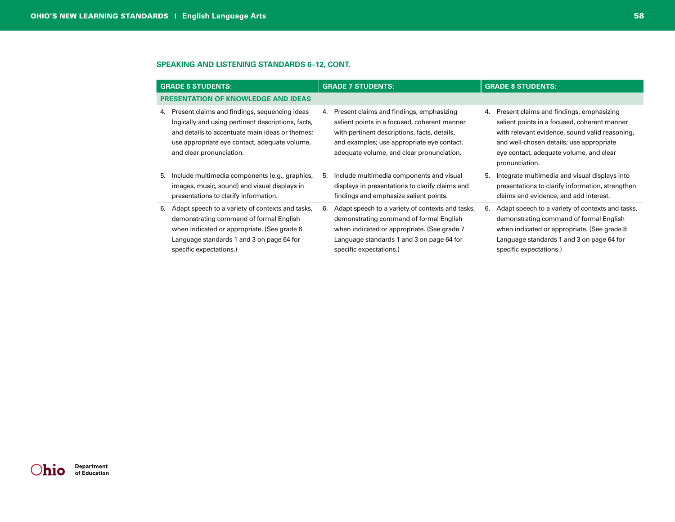#### **SPEAKING AND LISTENING STANDARDS 6–12, CONT.**

| <b>GRADE 6 STUDENTS:</b>                                                                                                                                                                                                                  | <b>GRADE 7 STUDENTS:</b>                                                                                                                                                                                                                  | <b>GRADE 8 STUDENTS:</b>                                                                                                                                                                                                                                  |  |  |
|-------------------------------------------------------------------------------------------------------------------------------------------------------------------------------------------------------------------------------------------|-------------------------------------------------------------------------------------------------------------------------------------------------------------------------------------------------------------------------------------------|-----------------------------------------------------------------------------------------------------------------------------------------------------------------------------------------------------------------------------------------------------------|--|--|
| <b>PRESENTATION OF KNOWLEDGE AND IDEAS</b>                                                                                                                                                                                                |                                                                                                                                                                                                                                           |                                                                                                                                                                                                                                                           |  |  |
| Present claims and findings, sequencing ideas<br>4.<br>logically and using pertinent descriptions, facts,<br>and details to accentuate main ideas or themes:<br>use appropriate eye contact, adequate volume,<br>and clear pronunciation. | Present claims and findings, emphasizing<br>4.<br>salient points in a focused, coherent manner<br>with pertinent descriptions, facts, details,<br>and examples; use appropriate eye contact,<br>adequate volume, and clear pronunciation. | Present claims and findings, emphasizing<br>4.<br>salient points in a focused, coherent manner<br>with relevant evidence, sound valid reasoning,<br>and well-chosen details; use appropriate<br>eye contact, adequate volume, and clear<br>pronunciation. |  |  |
| 5.<br>Include multimedia components (e.g., graphics,<br>images, music, sound) and visual displays in<br>presentations to clarify information.                                                                                             | Include multimedia components and visual<br>5.<br>displays in presentations to clarify claims and<br>findings and emphasize salient points.                                                                                               | Integrate multimedia and visual displays into<br>5.<br>presentations to clarify information, strengthen<br>claims and evidence, and add interest.                                                                                                         |  |  |
| Adapt speech to a variety of contexts and tasks,<br>6.<br>demonstrating command of formal English<br>when indicated or appropriate. (See grade 6<br>Language standards 1 and 3 on page 64 for<br>specific expectations.)                  | Adapt speech to a variety of contexts and tasks,<br>6.<br>demonstrating command of formal English<br>when indicated or appropriate. (See grade 7<br>Language standards 1 and 3 on page 64 for<br>specific expectations.)                  | Adapt speech to a variety of contexts and tasks,<br>6.<br>demonstrating command of formal English<br>when indicated or appropriate. (See grade 8<br>Language standards 1 and 3 on page 64 for<br>specific expectations.)                                  |  |  |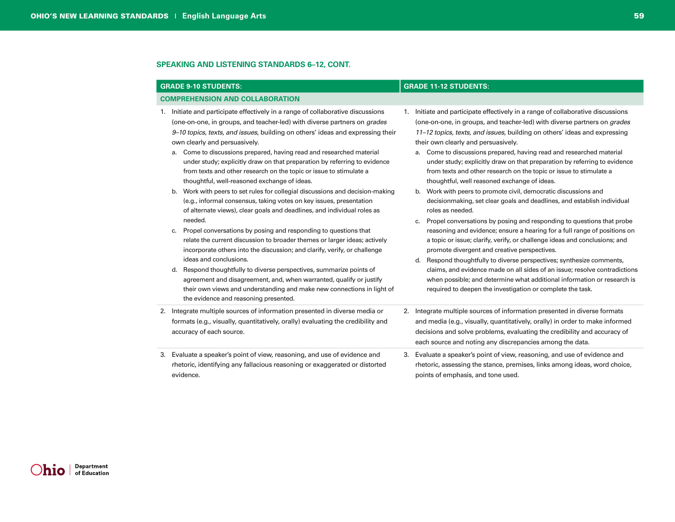#### **SPEAKING AND LISTENING STANDARDS 6–12, CONT.**

| <b>GRADE 9-10 STUDENTS:</b>                                                                                                                                                                                                                                                                                                                                                                                                                                                                                                                                                                                                                                                                                                                                                                                                                                                                                                                                                                                                                                                                                                                                                                                                                                                                                                                     | <b>GRADE 11-12 STUDENTS:</b>                                                                                                                                                                                                                                                                                                                                                                                                                                                                                                                                                                                                                                                                                                                                                                                                                                                                                                                                                                                                                                                                                                                                                                                                                                                                                                 |
|-------------------------------------------------------------------------------------------------------------------------------------------------------------------------------------------------------------------------------------------------------------------------------------------------------------------------------------------------------------------------------------------------------------------------------------------------------------------------------------------------------------------------------------------------------------------------------------------------------------------------------------------------------------------------------------------------------------------------------------------------------------------------------------------------------------------------------------------------------------------------------------------------------------------------------------------------------------------------------------------------------------------------------------------------------------------------------------------------------------------------------------------------------------------------------------------------------------------------------------------------------------------------------------------------------------------------------------------------|------------------------------------------------------------------------------------------------------------------------------------------------------------------------------------------------------------------------------------------------------------------------------------------------------------------------------------------------------------------------------------------------------------------------------------------------------------------------------------------------------------------------------------------------------------------------------------------------------------------------------------------------------------------------------------------------------------------------------------------------------------------------------------------------------------------------------------------------------------------------------------------------------------------------------------------------------------------------------------------------------------------------------------------------------------------------------------------------------------------------------------------------------------------------------------------------------------------------------------------------------------------------------------------------------------------------------|
| <b>COMPREHENSION AND COLLABORATION</b>                                                                                                                                                                                                                                                                                                                                                                                                                                                                                                                                                                                                                                                                                                                                                                                                                                                                                                                                                                                                                                                                                                                                                                                                                                                                                                          |                                                                                                                                                                                                                                                                                                                                                                                                                                                                                                                                                                                                                                                                                                                                                                                                                                                                                                                                                                                                                                                                                                                                                                                                                                                                                                                              |
| 1. Initiate and participate effectively in a range of collaborative discussions<br>(one-on-one, in groups, and teacher-led) with diverse partners on grades<br>9-10 topics, texts, and issues, building on others' ideas and expressing their<br>own clearly and persuasively.<br>Come to discussions prepared, having read and researched material<br>a.<br>under study; explicitly draw on that preparation by referring to evidence<br>from texts and other research on the topic or issue to stimulate a<br>thoughtful, well-reasoned exchange of ideas.<br>Work with peers to set rules for collegial discussions and decision-making<br>b.<br>(e.g., informal consensus, taking votes on key issues, presentation<br>of alternate views), clear goals and deadlines, and individual roles as<br>needed.<br>Propel conversations by posing and responding to questions that<br>c.<br>relate the current discussion to broader themes or larger ideas; actively<br>incorporate others into the discussion; and clarify, verify, or challenge<br>ideas and conclusions.<br>Respond thoughtfully to diverse perspectives, summarize points of<br>d.<br>agreement and disagreement, and, when warranted, qualify or justify<br>their own views and understanding and make new connections in light of<br>the evidence and reasoning presented. | Initiate and participate effectively in a range of collaborative discussions<br>1.<br>(one-on-one, in groups, and teacher-led) with diverse partners on grades<br>11-12 topics, texts, and issues, building on others' ideas and expressing<br>their own clearly and persuasively.<br>Come to discussions prepared, having read and researched material<br>а.<br>under study; explicitly draw on that preparation by referring to evidence<br>from texts and other research on the topic or issue to stimulate a<br>thoughtful, well reasoned exchange of ideas.<br>b. Work with peers to promote civil, democratic discussions and<br>decisionmaking, set clear goals and deadlines, and establish individual<br>roles as needed.<br>Propel conversations by posing and responding to questions that probe<br>c.<br>reasoning and evidence; ensure a hearing for a full range of positions on<br>a topic or issue; clarify, verify, or challenge ideas and conclusions; and<br>promote divergent and creative perspectives.<br>d. Respond thoughtfully to diverse perspectives; synthesize comments,<br>claims, and evidence made on all sides of an issue; resolve contradictions<br>when possible; and determine what additional information or research is<br>required to deepen the investigation or complete the task. |
| 2. Integrate multiple sources of information presented in diverse media or<br>formats (e.g., visually, quantitatively, orally) evaluating the credibility and<br>accuracy of each source.                                                                                                                                                                                                                                                                                                                                                                                                                                                                                                                                                                                                                                                                                                                                                                                                                                                                                                                                                                                                                                                                                                                                                       | Integrate multiple sources of information presented in diverse formats<br>2.<br>and media (e.g., visually, quantitatively, orally) in order to make informed<br>decisions and solve problems, evaluating the credibility and accuracy of<br>each source and noting any discrepancies among the data.                                                                                                                                                                                                                                                                                                                                                                                                                                                                                                                                                                                                                                                                                                                                                                                                                                                                                                                                                                                                                         |
| Evaluate a speaker's point of view, reasoning, and use of evidence and<br>3.<br>rhetoric, identifying any fallacious reasoning or exaggerated or distorted<br>evidence.                                                                                                                                                                                                                                                                                                                                                                                                                                                                                                                                                                                                                                                                                                                                                                                                                                                                                                                                                                                                                                                                                                                                                                         | Evaluate a speaker's point of view, reasoning, and use of evidence and<br>3.<br>rhetoric, assessing the stance, premises, links among ideas, word choice,<br>points of emphasis, and tone used.                                                                                                                                                                                                                                                                                                                                                                                                                                                                                                                                                                                                                                                                                                                                                                                                                                                                                                                                                                                                                                                                                                                              |

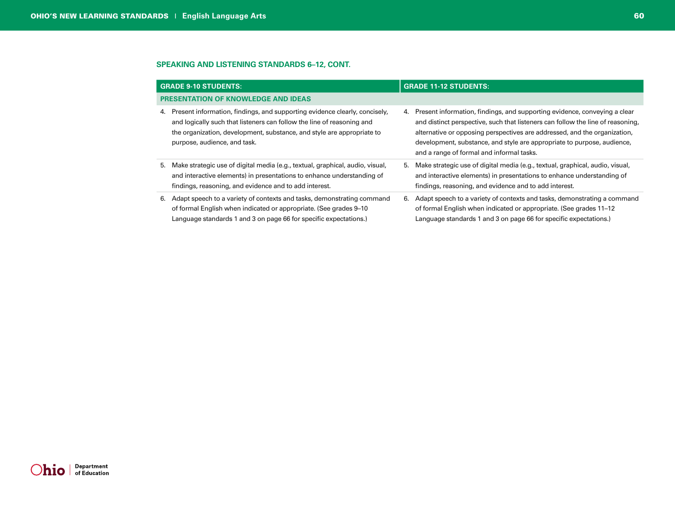#### **SPEAKING AND LISTENING STANDARDS 6–12, CONT.**

|                                            | <b>GRADE 9-10 STUDENTS:</b>                                                                                                                                                                                                                                    |    | <b>GRADE 11-12 STUDENTS:</b>                                                                                                                                                                                                                                                                                                                                      |
|--------------------------------------------|----------------------------------------------------------------------------------------------------------------------------------------------------------------------------------------------------------------------------------------------------------------|----|-------------------------------------------------------------------------------------------------------------------------------------------------------------------------------------------------------------------------------------------------------------------------------------------------------------------------------------------------------------------|
| <b>PRESENTATION OF KNOWLEDGE AND IDEAS</b> |                                                                                                                                                                                                                                                                |    |                                                                                                                                                                                                                                                                                                                                                                   |
| 4.                                         | Present information, findings, and supporting evidence clearly, concisely,<br>and logically such that listeners can follow the line of reasoning and<br>the organization, development, substance, and style are appropriate to<br>purpose, audience, and task. | 4. | Present information, findings, and supporting evidence, conveying a clear<br>and distinct perspective, such that listeners can follow the line of reasoning,<br>alternative or opposing perspectives are addressed, and the organization,<br>development, substance, and style are appropriate to purpose, audience,<br>and a range of formal and informal tasks. |
| 5.                                         | Make strategic use of digital media (e.g., textual, graphical, audio, visual,<br>and interactive elements) in presentations to enhance understanding of<br>findings, reasoning, and evidence and to add interest.                                              | 5. | Make strategic use of digital media (e.g., textual, graphical, audio, visual,<br>and interactive elements) in presentations to enhance understanding of<br>findings, reasoning, and evidence and to add interest.                                                                                                                                                 |
| 6.                                         | Adapt speech to a variety of contexts and tasks, demonstrating command<br>of formal English when indicated or appropriate. (See grades 9–10)<br>Language standards 1 and 3 on page 66 for specific expectations.)                                              | 6. | Adapt speech to a variety of contexts and tasks, demonstrating a command<br>of formal English when indicated or appropriate. (See grades 11–12<br>Language standards 1 and 3 on page 66 for specific expectations.)                                                                                                                                               |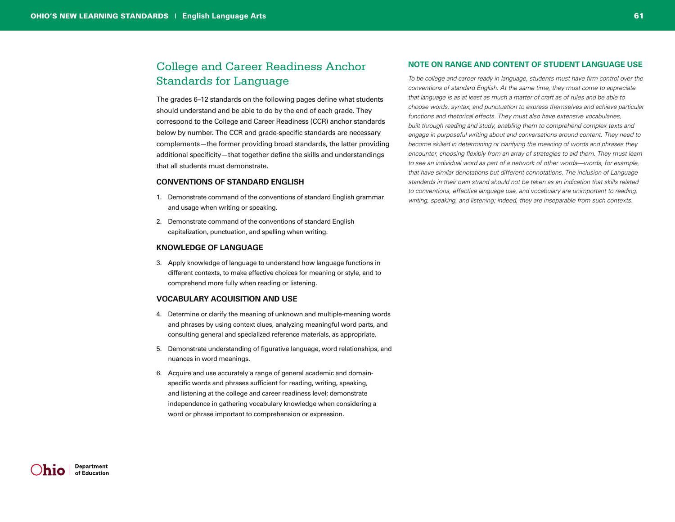### College and Career Readiness Anchor Standards for Language

The grades 6–12 standards on the following pages define what students should understand and be able to do by the end of each grade. They correspond to the College and Career Readiness (CCR) anchor standards below by number. The CCR and grade-specific standards are necessary complements—the former providing broad standards, the latter providing additional specificity—that together define the skills and understandings that all students must demonstrate.

#### **CONVENTIONS OF STANDARD ENGLISH**

- 1. Demonstrate command of the conventions of standard English grammar and usage when writing or speaking.
- 2. Demonstrate command of the conventions of standard English capitalization, punctuation, and spelling when writing.

#### **KNOWLEDGE OF LANGUAGE**

3. Apply knowledge of language to understand how language functions in different contexts, to make effective choices for meaning or style, and to comprehend more fully when reading or listening.

#### **VOCABULARY ACQUISITION AND USE**

- 4. Determine or clarify the meaning of unknown and multiple-meaning words and phrases by using context clues, analyzing meaningful word parts, and consulting general and specialized reference materials, as appropriate.
- 5. Demonstrate understanding of figurative language, word relationships, and nuances in word meanings.
- 6. Acquire and use accurately a range of general academic and domainspecific words and phrases sufficient for reading, writing, speaking, and listening at the college and career readiness level; demonstrate independence in gathering vocabulary knowledge when considering a word or phrase important to comprehension or expression.

#### **NOTE ON RANGE AND CONTENT OF STUDENT LANGUAGE USE**

*To be college and career ready in language, students must have firm control over the conventions of standard English. At the same time, they must come to appreciate that language is as at least as much a matter of craft as of rules and be able to choose words, syntax, and punctuation to express themselves and achieve particular functions and rhetorical effects. They must also have extensive vocabularies, built through reading and study, enabling them to comprehend complex texts and engage in purposeful writing about and conversations around content. They need to become skilled in determining or clarifying the meaning of words and phrases they encounter, choosing flexibly from an array of strategies to aid them. They must learn*  to see an individual word as part of a network of other words—words, for example, *that have similar denotations but different connotations. The inclusion of Language standards in their own strand should not be taken as an indication that skills related to conventions, effective language use, and vocabulary are unimportant to reading, writing, speaking, and listening; indeed, they are inseparable from such contexts.*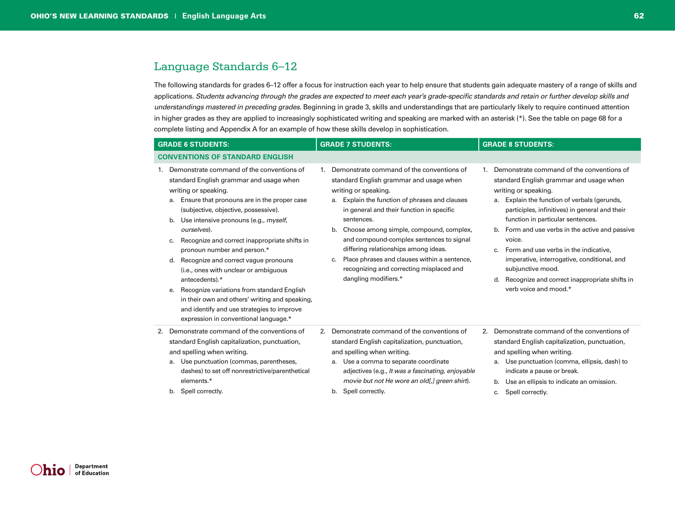### Language Standards 6–12

The following standards for grades 6–12 offer a focus for instruction each year to help ensure that students gain adequate mastery of a range of skills and applications. *Students advancing through the grades are expected to meet each year's grade-specific standards and retain or further develop skills and understandings mastered in preceding grades.* Beginning in grade 3, skills and understandings that are particularly likely to require continued attention in higher grades as they are applied to increasingly sophisticated writing and speaking are marked with an asterisk (\*). See the table on page 68 for a complete listing and Appendix A for an example of how these skills develop in sophistication.

| <b>GRADE 6 STUDENTS:</b>                                                                                                                                                                                                                                                                                                                                                                                                                                                                                                                                                                                                                                                          | <b>GRADE 7 STUDENTS:</b>                                                                                                                                                                                                                                                                                                                                                                                                                                                                    | <b>GRADE 8 STUDENTS:</b>                                                                                                                                                                                                                                                                                                                                                                                                                                                                                                        |  |
|-----------------------------------------------------------------------------------------------------------------------------------------------------------------------------------------------------------------------------------------------------------------------------------------------------------------------------------------------------------------------------------------------------------------------------------------------------------------------------------------------------------------------------------------------------------------------------------------------------------------------------------------------------------------------------------|---------------------------------------------------------------------------------------------------------------------------------------------------------------------------------------------------------------------------------------------------------------------------------------------------------------------------------------------------------------------------------------------------------------------------------------------------------------------------------------------|---------------------------------------------------------------------------------------------------------------------------------------------------------------------------------------------------------------------------------------------------------------------------------------------------------------------------------------------------------------------------------------------------------------------------------------------------------------------------------------------------------------------------------|--|
| <b>CONVENTIONS OF STANDARD ENGLISH</b>                                                                                                                                                                                                                                                                                                                                                                                                                                                                                                                                                                                                                                            |                                                                                                                                                                                                                                                                                                                                                                                                                                                                                             |                                                                                                                                                                                                                                                                                                                                                                                                                                                                                                                                 |  |
| Demonstrate command of the conventions of<br>1.<br>standard English grammar and usage when<br>writing or speaking.<br>Ensure that pronouns are in the proper case<br>a.<br>(subjective, objective, possessive).<br>Use intensive pronouns (e.g., <i>myself</i> ,<br>b.<br>ourselves).<br>Recognize and correct inappropriate shifts in<br>c.<br>pronoun number and person.*<br>Recognize and correct vague pronouns<br>d.<br>(i.e., ones with unclear or ambiguous<br>antecedents).*<br>Recognize variations from standard English<br>е.<br>in their own and others' writing and speaking,<br>and identify and use strategies to improve<br>expression in conventional language.* | Demonstrate command of the conventions of<br>standard English grammar and usage when<br>writing or speaking.<br>Explain the function of phrases and clauses<br>а.<br>in general and their function in specific<br>sentences.<br>Choose among simple, compound, complex,<br>b.<br>and compound-complex sentences to signal<br>differing relationships among ideas.<br>Place phrases and clauses within a sentence,<br>c.<br>recognizing and correcting misplaced and<br>dangling modifiers.* | Demonstrate command of the conventions of<br>1.<br>standard English grammar and usage when<br>writing or speaking.<br>Explain the function of verbals (gerunds,<br>а.<br>participles, infinitives) in general and their<br>function in particular sentences.<br>Form and use verbs in the active and passive<br>b.<br>voice.<br>Form and use verbs in the indicative,<br>C.<br>imperative, interrogative, conditional, and<br>subjunctive mood.<br>Recognize and correct inappropriate shifts in<br>d.<br>verb voice and mood.* |  |
| Demonstrate command of the conventions of<br>2.<br>standard English capitalization, punctuation,<br>and spelling when writing.<br>Use punctuation (commas, parentheses,<br>a.<br>dashes) to set off nonrestrictive/parenthetical<br>elements.*<br>Spell correctly.<br>b.                                                                                                                                                                                                                                                                                                                                                                                                          | Demonstrate command of the conventions of<br>2.<br>standard English capitalization, punctuation,<br>and spelling when writing.<br>Use a comma to separate coordinate<br>а.<br>adjectives (e.g., <i>It was a fascinating, enjoyable</i><br>movie but not He wore an old[,] green shirt).<br>b. Spell correctly.                                                                                                                                                                              | Demonstrate command of the conventions of<br>2.<br>standard English capitalization, punctuation,<br>and spelling when writing.<br>Use punctuation (comma, ellipsis, dash) to<br>а.<br>indicate a pause or break.<br>Use an ellipsis to indicate an omission.<br>b.<br>c. Spell correctly.                                                                                                                                                                                                                                       |  |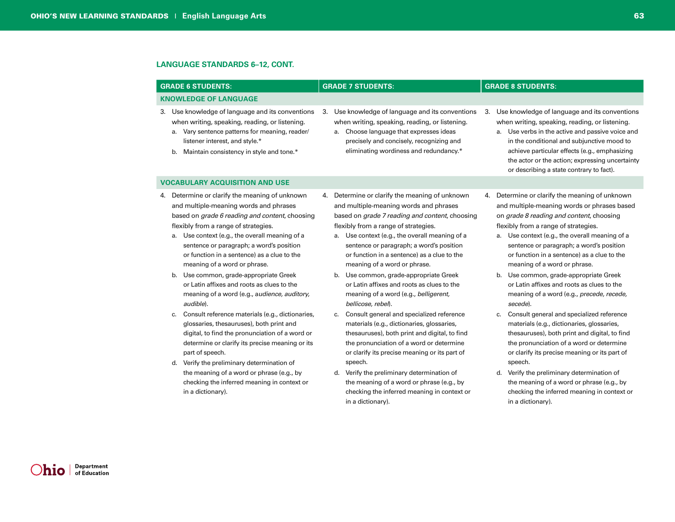| <b>GRADE 6 STUDENTS:</b>                                                                                                                                                                                                                                                                                                                                                                                                                                                                                                   | <b>GRADE 7 STUDENTS:</b>                                                                                                                                                                                                                                                                                                                                                                                                                                                                                               | <b>GRADE 8 STUDENTS:</b>                                                                                                                                                                                                                                                                                                                                                                                                                                                                                              |
|----------------------------------------------------------------------------------------------------------------------------------------------------------------------------------------------------------------------------------------------------------------------------------------------------------------------------------------------------------------------------------------------------------------------------------------------------------------------------------------------------------------------------|------------------------------------------------------------------------------------------------------------------------------------------------------------------------------------------------------------------------------------------------------------------------------------------------------------------------------------------------------------------------------------------------------------------------------------------------------------------------------------------------------------------------|-----------------------------------------------------------------------------------------------------------------------------------------------------------------------------------------------------------------------------------------------------------------------------------------------------------------------------------------------------------------------------------------------------------------------------------------------------------------------------------------------------------------------|
| <b>KNOWLEDGE OF LANGUAGE</b>                                                                                                                                                                                                                                                                                                                                                                                                                                                                                               |                                                                                                                                                                                                                                                                                                                                                                                                                                                                                                                        |                                                                                                                                                                                                                                                                                                                                                                                                                                                                                                                       |
| Use knowledge of language and its conventions<br>3.<br>when writing, speaking, reading, or listening.<br>Vary sentence patterns for meaning, reader/<br>а.<br>listener interest, and style.*<br>Maintain consistency in style and tone.*<br>b.                                                                                                                                                                                                                                                                             | Use knowledge of language and its conventions<br>3.<br>when writing, speaking, reading, or listening.<br>Choose language that expresses ideas<br>a.<br>precisely and concisely, recognizing and<br>eliminating wordiness and redundancy.*                                                                                                                                                                                                                                                                              | Use knowledge of language and its conventions<br>3.<br>when writing, speaking, reading, or listening.<br>a. Use verbs in the active and passive voice and<br>in the conditional and subjunctive mood to<br>achieve particular effects (e.g., emphasizing<br>the actor or the action; expressing uncertainty<br>or describing a state contrary to fact).                                                                                                                                                               |
| <b>VOCABULARY ACQUISITION AND USE</b>                                                                                                                                                                                                                                                                                                                                                                                                                                                                                      |                                                                                                                                                                                                                                                                                                                                                                                                                                                                                                                        |                                                                                                                                                                                                                                                                                                                                                                                                                                                                                                                       |
| Determine or clarify the meaning of unknown<br>4.<br>and multiple-meaning words and phrases<br>based on grade 6 reading and content, choosing<br>flexibly from a range of strategies.<br>a. Use context (e.g., the overall meaning of a<br>sentence or paragraph; a word's position<br>or function in a sentence) as a clue to the<br>meaning of a word or phrase.<br>Use common, grade-appropriate Greek<br>b.<br>or Latin affixes and roots as clues to the<br>meaning of a word (e.g., audience, auditory,<br>audible). | 4. Determine or clarify the meaning of unknown<br>and multiple-meaning words and phrases<br>based on grade 7 reading and content, choosing<br>flexibly from a range of strategies.<br>a. Use context (e.g., the overall meaning of a<br>sentence or paragraph; a word's position<br>or function in a sentence) as a clue to the<br>meaning of a word or phrase.<br>b. Use common, grade-appropriate Greek<br>or Latin affixes and roots as clues to the<br>meaning of a word (e.g., belligerent,<br>bellicose, rebel). | Determine or clarify the meaning of unknown<br>4.<br>and multiple-meaning words or phrases based<br>on grade 8 reading and content, choosing<br>flexibly from a range of strategies.<br>a. Use context (e.g., the overall meaning of a<br>sentence or paragraph; a word's position<br>or function in a sentence) as a clue to the<br>meaning of a word or phrase.<br>Use common, grade-appropriate Greek<br>b.<br>or Latin affixes and roots as clues to the<br>meaning of a word (e.g., precede, recede,<br>secede). |
| Consult reference materials (e.g., dictionaries,<br>c.<br>glossaries, thesauruses), both print and<br>digital, to find the pronunciation of a word or<br>determine or clarify its precise meaning or its<br>part of speech.<br>Verify the preliminary determination of<br>d.                                                                                                                                                                                                                                               | Consult general and specialized reference<br>c.<br>materials (e.g., dictionaries, glossaries,<br>thesauruses), both print and digital, to find<br>the pronunciation of a word or determine<br>or clarify its precise meaning or its part of<br>speech.                                                                                                                                                                                                                                                                 | Consult general and specialized reference<br>c.<br>materials (e.g., dictionaries, glossaries,<br>thesauruses), both print and digital, to find<br>the pronunciation of a word or determine<br>or clarify its precise meaning or its part of<br>speech.                                                                                                                                                                                                                                                                |
| the meaning of a word or phrase (e.g., by<br>checking the inferred meaning in context or<br>in a dictionary).                                                                                                                                                                                                                                                                                                                                                                                                              | d. Verify the preliminary determination of<br>the meaning of a word or phrase (e.g., by<br>checking the inferred meaning in context or<br>in a dictionary).                                                                                                                                                                                                                                                                                                                                                            | d. Verify the preliminary determination of<br>the meaning of a word or phrase (e.g., by<br>checking the inferred meaning in context or<br>in a dictionary).                                                                                                                                                                                                                                                                                                                                                           |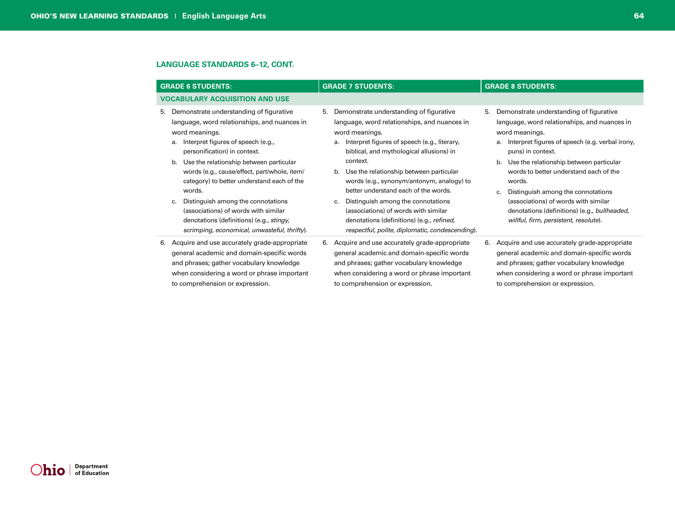| <b>GRADE 6 STUDENTS:</b>                                                                                                                                                                                                                                                                                                                                                                                                                                                                                                             | <b>GRADE 7 STUDENTS:</b>                                                                                                                                                                                                                                                                                                                                                                                                                                                                                                                                | <b>GRADE 8 STUDENTS:</b>                                                                                                                                                                                                                                                                                                                                                                                                                                                        |  |  |  |
|--------------------------------------------------------------------------------------------------------------------------------------------------------------------------------------------------------------------------------------------------------------------------------------------------------------------------------------------------------------------------------------------------------------------------------------------------------------------------------------------------------------------------------------|---------------------------------------------------------------------------------------------------------------------------------------------------------------------------------------------------------------------------------------------------------------------------------------------------------------------------------------------------------------------------------------------------------------------------------------------------------------------------------------------------------------------------------------------------------|---------------------------------------------------------------------------------------------------------------------------------------------------------------------------------------------------------------------------------------------------------------------------------------------------------------------------------------------------------------------------------------------------------------------------------------------------------------------------------|--|--|--|
| <b>VOCABULARY ACQUISITION AND USE</b>                                                                                                                                                                                                                                                                                                                                                                                                                                                                                                |                                                                                                                                                                                                                                                                                                                                                                                                                                                                                                                                                         |                                                                                                                                                                                                                                                                                                                                                                                                                                                                                 |  |  |  |
| Demonstrate understanding of figurative<br>5.<br>language, word relationships, and nuances in<br>word meanings.<br>Interpret figures of speech (e.g.,<br>a.<br>personification) in context.<br>Use the relationship between particular<br>b.<br>words (e.g., cause/effect, part/whole, item/<br>category) to better understand each of the<br>words.<br>Distinguish among the connotations<br>c.<br>(associations) of words with similar<br>denotations (definitions) (e.g., stingy,<br>scrimping, economical, unwasteful, thrifty). | Demonstrate understanding of figurative<br>5.<br>language, word relationships, and nuances in<br>word meanings.<br>Interpret figures of speech (e.g., literary,<br>a.<br>biblical, and mythological allusions) in<br>context.<br>Use the relationship between particular<br>b.<br>words (e.g., synonym/antonym, analogy) to<br>better understand each of the words.<br>Distinguish among the connotations<br>c.<br>(associations) of words with similar<br>denotations (definitions) (e.g., refined,<br>respectful, polite, diplomatic, condescending). | Demonstrate understanding of figurative<br>5.<br>language, word relationships, and nuances in<br>word meanings.<br>Interpret figures of speech (e.g. verbal irony,<br>a.<br>puns) in context.<br>Use the relationship between particular<br>b.<br>words to better understand each of the<br>words.<br>Distinguish among the connotations<br>c.<br>(associations) of words with similar<br>denotations (definitions) (e.g., bullheaded,<br>willful, firm, persistent, resolute). |  |  |  |
| Acquire and use accurately grade-appropriate<br>6.<br>general academic and domain-specific words<br>and phrases; gather vocabulary knowledge<br>when considering a word or phrase important<br>to comprehension or expression.                                                                                                                                                                                                                                                                                                       | Acquire and use accurately grade-appropriate<br>6.<br>general academic and domain-specific words<br>and phrases; gather vocabulary knowledge<br>when considering a word or phrase important<br>to comprehension or expression.                                                                                                                                                                                                                                                                                                                          | Acquire and use accurately grade-appropriate<br>6.<br>general academic and domain-specific words<br>and phrases; gather vocabulary knowledge<br>when considering a word or phrase important<br>to comprehension or expression.                                                                                                                                                                                                                                                  |  |  |  |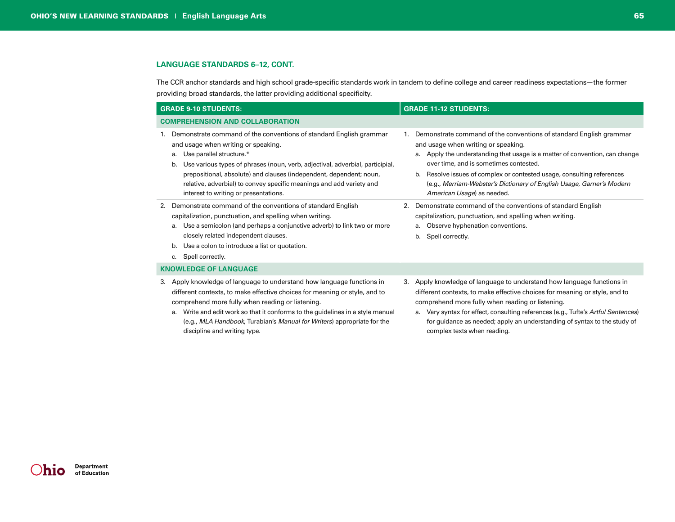The CCR anchor standards and high school grade-specific standards work in tandem to define college and career readiness expectations—the former providing broad standards, the latter providing additional specificity.

|    | <b>GRADE 9-10 STUDENTS:</b>                                                                                                                                                                                                                                                                                                                                                                                       | <b>GRADE 11-12 STUDENTS:</b> |                                                                                                                                                                                                                                                                                                                                                                                                                              |  |  |  |
|----|-------------------------------------------------------------------------------------------------------------------------------------------------------------------------------------------------------------------------------------------------------------------------------------------------------------------------------------------------------------------------------------------------------------------|------------------------------|------------------------------------------------------------------------------------------------------------------------------------------------------------------------------------------------------------------------------------------------------------------------------------------------------------------------------------------------------------------------------------------------------------------------------|--|--|--|
|    | <b>COMPREHENSION AND COLLABORATION</b>                                                                                                                                                                                                                                                                                                                                                                            |                              |                                                                                                                                                                                                                                                                                                                                                                                                                              |  |  |  |
|    | 1. Demonstrate command of the conventions of standard English grammar<br>and usage when writing or speaking.<br>Use parallel structure.*<br>Use various types of phrases (noun, verb, adjectival, adverbial, participial,<br>prepositional, absolute) and clauses (independent, dependent; noun,<br>relative, adverbial) to convey specific meanings and add variety and<br>interest to writing or presentations. |                              | Demonstrate command of the conventions of standard English grammar<br>1.<br>and usage when writing or speaking.<br>Apply the understanding that usage is a matter of convention, can change<br>a.<br>over time, and is sometimes contested.<br>b. Resolve issues of complex or contested usage, consulting references<br>(e.g., Merriam-Webster's Dictionary of English Usage, Garner's Modern<br>American Usage) as needed. |  |  |  |
|    | Demonstrate command of the conventions of standard English<br>capitalization, punctuation, and spelling when writing.<br>Use a semicolon (and perhaps a conjunctive adverb) to link two or more<br>a.<br>closely related independent clauses.<br>Use a colon to introduce a list or quotation.<br>b.<br>Spell correctly.<br>c.                                                                                    | 2.                           | Demonstrate command of the conventions of standard English<br>capitalization, punctuation, and spelling when writing.<br>Observe hyphenation conventions.<br>a.<br>b. Spell correctly.                                                                                                                                                                                                                                       |  |  |  |
|    | <b>KNOWLEDGE OF LANGUAGE</b>                                                                                                                                                                                                                                                                                                                                                                                      |                              |                                                                                                                                                                                                                                                                                                                                                                                                                              |  |  |  |
| 3. | Apply knowledge of language to understand how language functions in<br>different contexts, to make effective choices for meaning or style, and to<br>comprehend more fully when reading or listening.<br>a. Write and edit work so that it conforms to the guidelines in a style manual                                                                                                                           |                              | 3. Apply knowledge of language to understand how language functions in<br>different contexts, to make effective choices for meaning or style, and to<br>comprehend more fully when reading or listening.<br>a. Vary syntax for effect, consulting references (e.g., Tufte's Artful Sentences)                                                                                                                                |  |  |  |

- (e.g., *MLA Handbook*, Turabian's *Manual for Writers*) appropriate for the discipline and writing type.
- y syntax for effect, consulting references (e.g.,  $\overline{\phantom{a}}$ for guidance as needed; apply an understanding of syntax to the study of complex texts when reading.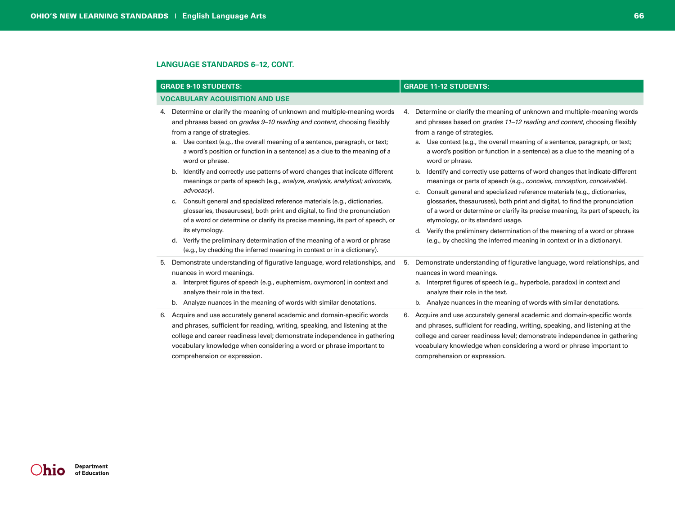|    | <b>GRADE 9-10 STUDENTS:</b>                                                                                                                                                                                                                                                                                                                                                  | <b>GRADE 11-12 STUDENTS:</b> |                                                                                                                                                                                                                                                                                                                                                                 |  |  |
|----|------------------------------------------------------------------------------------------------------------------------------------------------------------------------------------------------------------------------------------------------------------------------------------------------------------------------------------------------------------------------------|------------------------------|-----------------------------------------------------------------------------------------------------------------------------------------------------------------------------------------------------------------------------------------------------------------------------------------------------------------------------------------------------------------|--|--|
|    | <b>VOCABULARY ACQUISITION AND USE</b>                                                                                                                                                                                                                                                                                                                                        |                              |                                                                                                                                                                                                                                                                                                                                                                 |  |  |
| 4. | Determine or clarify the meaning of unknown and multiple-meaning words<br>and phrases based on <i>grades 9-10 reading and content</i> , choosing flexibly<br>from a range of strategies.<br>Use context (e.g., the overall meaning of a sentence, paragraph, or text;<br>а.<br>a word's position or function in a sentence) as a clue to the meaning of a<br>word or phrase. | 4.                           | Determine or clarify the meaning of unknown and multiple-meaning words<br>and phrases based on grades 11–12 reading and content, choosing flexibly<br>from a range of strategies.<br>Use context (e.g., the overall meaning of a sentence, paragraph, or text;<br>a word's position or function in a sentence) as a clue to the meaning of a<br>word or phrase. |  |  |
|    | Identify and correctly use patterns of word changes that indicate different<br>b.<br>meanings or parts of speech (e.g., analyze, analysis, analytical; advocate,<br>advocacy).                                                                                                                                                                                               |                              | Identify and correctly use patterns of word changes that indicate different<br>b.<br>meanings or parts of speech (e.g., conceive, conception, conceivable).<br>Consult general and specialized reference materials (e.g., dictionaries,<br>c.                                                                                                                   |  |  |
|    | Consult general and specialized reference materials (e.g., dictionaries,<br>c.<br>glossaries, thesauruses), both print and digital, to find the pronunciation<br>of a word or determine or clarify its precise meaning, its part of speech, or                                                                                                                               |                              | glossaries, thesauruses), both print and digital, to find the pronunciation<br>of a word or determine or clarify its precise meaning, its part of speech, its<br>etymology, or its standard usage.                                                                                                                                                              |  |  |
|    | its etymology.<br>Verify the preliminary determination of the meaning of a word or phrase<br>d.<br>(e.g., by checking the inferred meaning in context or in a dictionary).                                                                                                                                                                                                   |                              | Verify the preliminary determination of the meaning of a word or phrase<br>d.<br>(e.g., by checking the inferred meaning in context or in a dictionary).                                                                                                                                                                                                        |  |  |
| 5. | Demonstrate understanding of figurative language, word relationships, and<br>nuances in word meanings.                                                                                                                                                                                                                                                                       | 5.                           | Demonstrate understanding of figurative language, word relationships, and<br>nuances in word meanings.                                                                                                                                                                                                                                                          |  |  |
|    | Interpret figures of speech (e.g., euphemism, oxymoron) in context and<br>a.<br>analyze their role in the text.                                                                                                                                                                                                                                                              |                              | Interpret figures of speech (e.g., hyperbole, paradox) in context and<br>a.<br>analyze their role in the text.                                                                                                                                                                                                                                                  |  |  |
|    | b. Analyze nuances in the meaning of words with similar denotations.                                                                                                                                                                                                                                                                                                         |                              | Analyze nuances in the meaning of words with similar denotations.<br>b.                                                                                                                                                                                                                                                                                         |  |  |
| 6. | Acquire and use accurately general academic and domain-specific words<br>and phrases, sufficient for reading, writing, speaking, and listening at the<br>college and career readiness level; demonstrate independence in gathering<br>vocabulary knowledge when considering a word or phrase important to<br>comprehension or expression.                                    | 6.                           | Acquire and use accurately general academic and domain-specific words<br>and phrases, sufficient for reading, writing, speaking, and listening at the<br>college and career readiness level; demonstrate independence in gathering<br>vocabulary knowledge when considering a word or phrase important to<br>comprehension or expression.                       |  |  |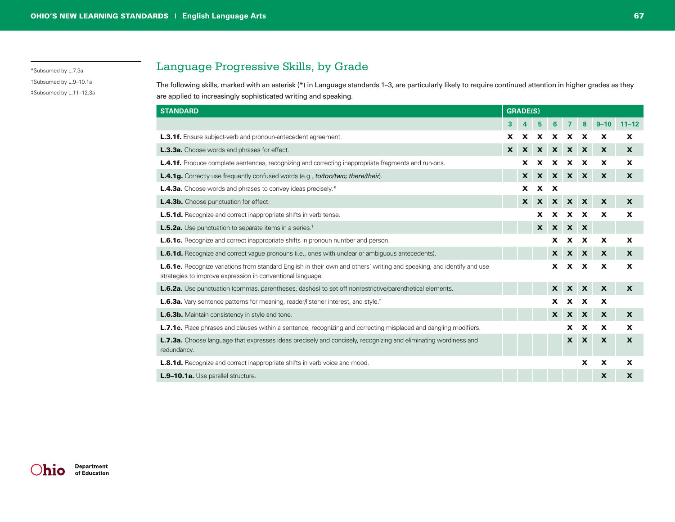\*Subsumed by L.7.3a †Subsumed by L.9–10.1a ‡Subsumed by L.11–12.3a

### Language Progressive Skills, by Grade

The following skills, marked with an asterisk (\*) in Language standards 1–3, are particularly likely to require continued attention in higher grades as they are applied to increasingly sophisticated writing and speaking.

| <b>STANDARD</b>                                                                                                                                                                             |   |   | <b>GRADE(S)</b> |                           |              |                           |             |                           |  |
|---------------------------------------------------------------------------------------------------------------------------------------------------------------------------------------------|---|---|-----------------|---------------------------|--------------|---------------------------|-------------|---------------------------|--|
|                                                                                                                                                                                             | 3 |   | 5               |                           |              | 8                         | $9 - 10$    | $11 - 12$                 |  |
| <b>L.3.1f.</b> Ensure subject-verb and pronoun-antecedent agreement.                                                                                                                        | x | x | X               | X                         | х            |                           | X           | X                         |  |
| <b>L.3.3a.</b> Choose words and phrases for effect.                                                                                                                                         | X | X | X               | X                         | X.           | $\boldsymbol{\mathsf{x}}$ | X           | X                         |  |
| <b>L.4.1f.</b> Produce complete sentences, recognizing and correcting inappropriate fragments and run-ons.                                                                                  |   |   |                 |                           | x            |                           | X           | X                         |  |
| <b>L.4.1g.</b> Correctly use frequently confused words (e.g., <i>to/too/two; there/thein</i> ).                                                                                             |   | X | X               | X.                        | $\mathbf{x}$ | $\mathbf{x}$              | $\mathbf x$ | X                         |  |
| <b>L.4.3a.</b> Choose words and phrases to convey ideas precisely.*                                                                                                                         |   | x | X               | $\boldsymbol{\mathsf{x}}$ |              |                           |             |                           |  |
| <b>L.4.3b.</b> Choose punctuation for effect.                                                                                                                                               |   | X | X               | X                         | X            | $\mathbf{x}$              | X           | X                         |  |
| <b>L.5.1d.</b> Recognize and correct inappropriate shifts in verb tense.                                                                                                                    |   |   | x               | X                         | x            | X                         | X           | X                         |  |
| <b>L.5.2a.</b> Use punctuation to separate items in a series. <sup>†</sup>                                                                                                                  |   |   | <b>X</b>        | X                         | X.           | X                         |             |                           |  |
| <b>L.6.1c.</b> Recognize and correct inappropriate shifts in pronoun number and person.                                                                                                     |   |   |                 | x                         | X            | X                         | X           | X                         |  |
| <b>L.6.1d.</b> Recognize and correct vague pronouns (i.e., ones with unclear or ambiguous antecedents).                                                                                     |   |   |                 | <b>X</b>                  | $\mathbf{x}$ | X                         | X           | $\boldsymbol{\mathsf{x}}$ |  |
| <b>L.6.1e.</b> Recognize variations from standard English in their own and others' writing and speaking, and identify and use<br>strategies to improve expression in conventional language. |   |   |                 | x                         | x            | x                         | X           | X                         |  |
| <b>L.6.2a.</b> Use punctuation (commas, parentheses, dashes) to set off nonrestrictive/parenthetical elements.                                                                              |   |   |                 | <b>X</b>                  | X            | $\mathbf{x}$              | X           | $\mathbf{x}$              |  |
| <b>L.6.3a.</b> Vary sentence patterns for meaning, reader/listener interest, and style. <sup>‡</sup>                                                                                        |   |   |                 | x                         | X            | X                         | X           |                           |  |
| <b>L.6.3b.</b> Maintain consistency in style and tone.                                                                                                                                      |   |   |                 | X                         | X.           | X                         | X           | $\mathbf{x}$              |  |
| <b>L.7.1c.</b> Place phrases and clauses within a sentence, recognizing and correcting misplaced and dangling modifiers.                                                                    |   |   |                 |                           | x            | X                         | X           | X                         |  |
| <b>L.7.3a.</b> Choose language that expresses ideas precisely and concisely, recognizing and eliminating wordiness and<br>redundancy.                                                       |   |   |                 |                           | X            | $\mathbf x$               | X           | X                         |  |
| <b>L.8.1d.</b> Recognize and correct inappropriate shifts in verb voice and mood.                                                                                                           |   |   |                 |                           |              | X                         | X           | X                         |  |
| L.9-10.1a. Use parallel structure.                                                                                                                                                          |   |   |                 |                           |              |                           | X           | X                         |  |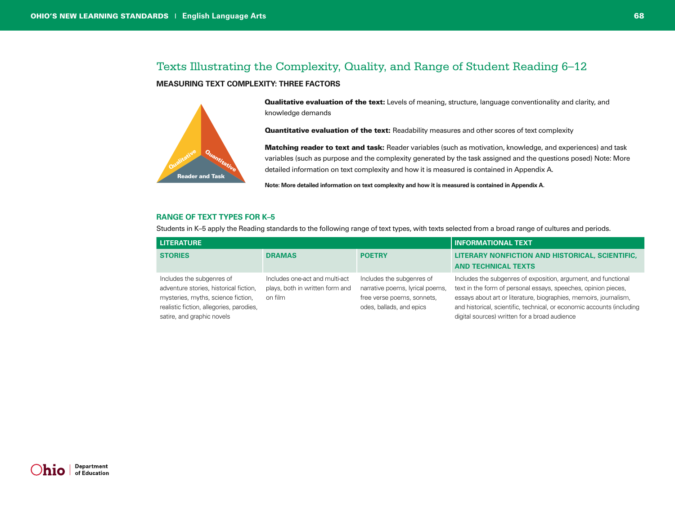### Texts Illustrating the Complexity, Quality, and Range of Student Reading 6–12

#### **MEASURING TEXT COMPLEXITY: THREE FACTORS**



**Qualitative evaluation of the text:** Levels of meaning, structure, language conventionality and clarity, and knowledge demands

**Quantitative evaluation of the text:** Readability measures and other scores of text complexity

Matching reader to text and task: Reader variables (such as motivation, knowledge, and experiences) and task variables (such as purpose and the complexity generated by the task assigned and the questions posed) Note: More detailed information on text complexity and how it is measured is contained in Appendix A.

**Note: More detailed information on text complexity and how it is measured is contained in Appendix A.**

#### **RANGE OF TEXT TYPES FOR K–5**

Students in K–5 apply the Reading standards to the following range of text types, with texts selected from a broad range of cultures and periods.

| <b>LITERATURE</b>                                                                                                                                                                   |                                                                              |                                                                                                                        | I INFORMATIONAL TEXT.                                                                                                                                                                                                                                                                                                            |
|-------------------------------------------------------------------------------------------------------------------------------------------------------------------------------------|------------------------------------------------------------------------------|------------------------------------------------------------------------------------------------------------------------|----------------------------------------------------------------------------------------------------------------------------------------------------------------------------------------------------------------------------------------------------------------------------------------------------------------------------------|
| <b>STORIES</b>                                                                                                                                                                      | <b>DRAMAS</b>                                                                | <b>POETRY</b>                                                                                                          | LITERARY NONFICTION AND HISTORICAL, SCIENTIFIC.<br><b>AND TECHNICAL TEXTS</b>                                                                                                                                                                                                                                                    |
| Includes the subgenres of<br>adventure stories, historical fiction,<br>mysteries, myths, science fiction,<br>realistic fiction, allegories, parodies,<br>satire, and graphic novels | Includes one-act and multi-act<br>plays, both in written form and<br>on film | Includes the subgenres of<br>narrative poems, lyrical poems,<br>free verse poems, sonnets,<br>odes, ballads, and epics | Includes the subgenres of exposition, argument, and functional<br>text in the form of personal essays, speeches, opinion pieces,<br>essays about art or literature, biographies, memoirs, journalism,<br>and historical, scientific, technical, or economic accounts (including<br>digital sources) written for a broad audience |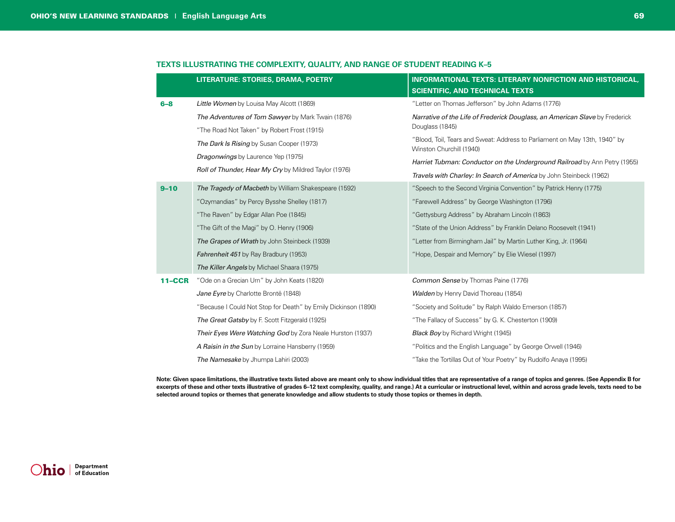|                                    | LITERATURE: STORIES, DRAMA, POETRY                             | <b>INFORMATIONAL TEXTS: LITERARY NONFICTION AND HISTORICAL,</b><br><b>SCIENTIFIC, AND TECHNICAL TEXTS</b> |  |  |  |  |
|------------------------------------|----------------------------------------------------------------|-----------------------------------------------------------------------------------------------------------|--|--|--|--|
| $6 - 8$                            | Little Women by Louisa May Alcott (1869)                       | "Letter on Thomas Jefferson" by John Adams (1776)                                                         |  |  |  |  |
|                                    | The Adventures of Tom Sawyer by Mark Twain (1876)              | Narrative of the Life of Frederick Douglass, an American Slave by Frederick                               |  |  |  |  |
|                                    | "The Road Not Taken" by Robert Frost (1915)                    | Douglass (1845)                                                                                           |  |  |  |  |
|                                    | The Dark Is Rising by Susan Cooper (1973)                      | "Blood, Toil, Tears and Sweat: Address to Parliament on May 13th, 1940" by<br>Winston Churchill (1940)    |  |  |  |  |
| Dragonwings by Laurence Yep (1975) |                                                                | Harriet Tubman: Conductor on the Underground Railroad by Ann Petry (1955)                                 |  |  |  |  |
|                                    | Roll of Thunder, Hear My Cry by Mildred Taylor (1976)          | Travels with Charley: In Search of America by John Steinbeck (1962)                                       |  |  |  |  |
| $9 - 10$                           | The Tragedy of Macbeth by William Shakespeare (1592)           | "Speech to the Second Virginia Convention" by Patrick Henry (1775)                                        |  |  |  |  |
|                                    | "Ozymandias" by Percy Bysshe Shelley (1817)                    | "Farewell Address" by George Washington (1796)                                                            |  |  |  |  |
|                                    | "The Raven" by Edgar Allan Poe (1845)                          | "Gettysburg Address" by Abraham Lincoln (1863)                                                            |  |  |  |  |
|                                    | "The Gift of the Magi" by O. Henry (1906)                      | "State of the Union Address" by Franklin Delano Roosevelt (1941)                                          |  |  |  |  |
|                                    | The Grapes of Wrath by John Steinbeck (1939)                   | "Letter from Birmingham Jail" by Martin Luther King, Jr. (1964)                                           |  |  |  |  |
|                                    | Fahrenheit 451 by Ray Bradbury (1953)                          | "Hope, Despair and Memory" by Elie Wiesel (1997)                                                          |  |  |  |  |
|                                    | The Killer Angels by Michael Shaara (1975)                     |                                                                                                           |  |  |  |  |
| $11 - CCR$                         | "Ode on a Grecian Urn" by John Keats (1820)                    | Common Sense by Thomas Paine (1776)                                                                       |  |  |  |  |
|                                    | Jane Eyre by Charlotte Brontë (1848)                           | Walden by Henry David Thoreau (1854)                                                                      |  |  |  |  |
|                                    | "Because I Could Not Stop for Death" by Emily Dickinson (1890) | "Society and Solitude" by Ralph Waldo Emerson (1857)                                                      |  |  |  |  |
|                                    | The Great Gatsby by F. Scott Fitzgerald (1925)                 | "The Fallacy of Success" by G. K. Chesterton (1909)                                                       |  |  |  |  |
|                                    | Their Eyes Were Watching God by Zora Neale Hurston (1937)      | <b>Black Boy by Richard Wright (1945)</b>                                                                 |  |  |  |  |
|                                    | A Raisin in the Sun by Lorraine Hansberry (1959)               | "Politics and the English Language" by George Orwell (1946)                                               |  |  |  |  |
|                                    | The Namesake by Jhumpa Lahiri (2003)                           | "Take the Tortillas Out of Your Poetry" by Rudolfo Anaya (1995)                                           |  |  |  |  |

#### **TEXTS ILLUSTRATING THE COMPLEXITY, QUALITY, AND RANGE OF STUDENT READING K–5**

Note: Given space limitations, the illustrative texts listed above are meant only to show individual titles that are representative of a range of topics and genres. (See Appendix B for **excerpts of these and other texts illustrative of grades 6–12 text complexity, quality, and range.) At a curricular or instructional level, within and across grade levels, texts need to be selected around topics or themes that generate knowledge and allow students to study those topics or themes in depth.**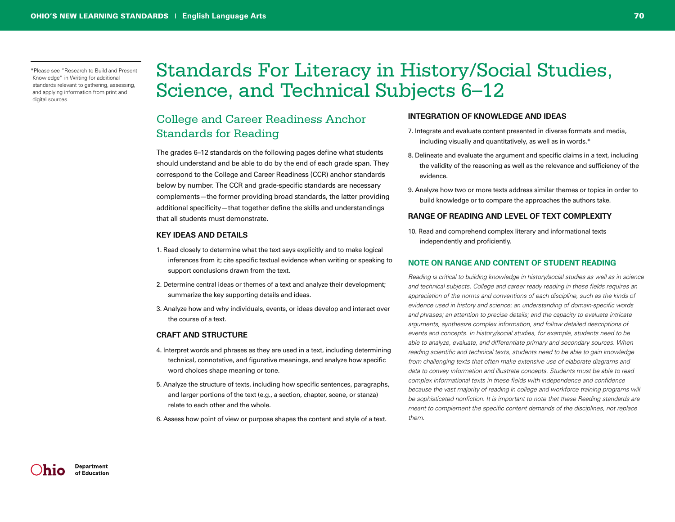\*Please see "Research to Build and Present Knowledge" in Writing for additional standards relevant to gathering, assessing, and applying information from print and digital sources.

# Standards For Literacy in History/Social Studies, Science, and Technical Subjects 6–12

### College and Career Readiness Anchor Standards for Reading

The grades 6–12 standards on the following pages define what students should understand and be able to do by the end of each grade span. They correspond to the College and Career Readiness (CCR) anchor standards below by number. The CCR and grade-specific standards are necessary complements—the former providing broad standards, the latter providing additional specificity—that together define the skills and understandings that all students must demonstrate.

#### **KEY IDEAS AND DETAILS**

- 1. Read closely to determine what the text says explicitly and to make logical inferences from it; cite specific textual evidence when writing or speaking to support conclusions drawn from the text.
- 2. Determine central ideas or themes of a text and analyze their development; summarize the key supporting details and ideas.
- 3. Analyze how and why individuals, events, or ideas develop and interact over the course of a text.

#### **CRAFT AND STRUCTURE**

- 4. Interpret words and phrases as they are used in a text, including determining technical, connotative, and figurative meanings, and analyze how specific word choices shape meaning or tone.
- 5. Analyze the structure of texts, including how specific sentences, paragraphs, and larger portions of the text (e.g., a section, chapter, scene, or stanza) relate to each other and the whole.

6. Assess how point of view or purpose shapes the content and style of a text.

#### **INTEGRATION OF KNOWLEDGE AND IDEAS**

- 7. Integrate and evaluate content presented in diverse formats and media, including visually and quantitatively, as well as in words.\*
- 8. Delineate and evaluate the argument and specific claims in a text, including the validity of the reasoning as well as the relevance and sufficiency of the evidence.
- 9. Analyze how two or more texts address similar themes or topics in order to build knowledge or to compare the approaches the authors take.

#### **RANGE OF READING AND LEVEL OF TEXT COMPLEXITY**

10. Read and comprehend complex literary and informational texts independently and proficiently.

#### **NOTE ON RANGE AND CONTENT OF STUDENT READING**

*Reading is critical to building knowledge in history/social studies as well as in science and technical subjects. College and career ready reading in these fields requires an appreciation of the norms and conventions of each discipline, such as the kinds of evidence used in history and science; an understanding of domain-specific words*  and phrases; an attention to precise details; and the capacity to evaluate intricate *arguments, synthesize complex information, and follow detailed descriptions of events and concepts. In history/social studies, for example, students need to be able to analyze, evaluate, and differentiate primary and secondary sources. When reading scientific and technical texts, students need to be able to gain knowledge from challenging texts that often make extensive use of elaborate diagrams and data to convey information and illustrate concepts. Students must be able to read complex informational texts in these fields with independence and confidence because the vast majority of reading in college and workforce training programs will be sophisticated nonfiction. It is important to note that these Reading standards are meant to complement the specific content demands of the disciplines, not replace them.*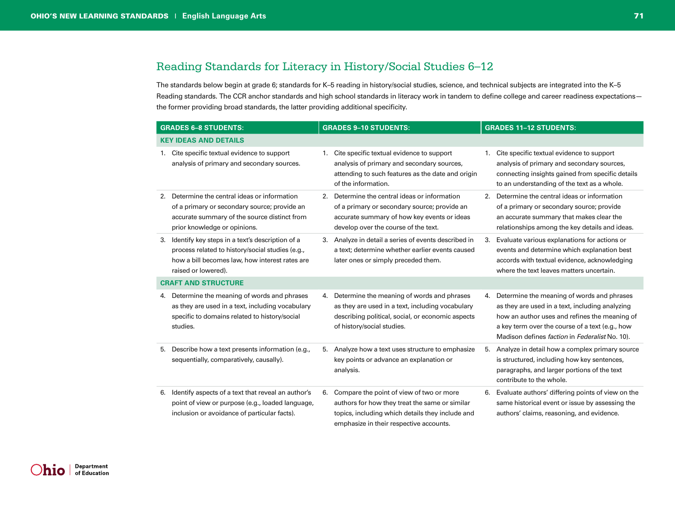### Reading Standards for Literacy in History/Social Studies 6–12

The standards below begin at grade 6; standards for K–5 reading in history/social studies, science, and technical subjects are integrated into the K–5 Reading standards. The CCR anchor standards and high school standards in literacy work in tandem to define college and career readiness expectations the former providing broad standards, the latter providing additional specificity.

| <b>GRADES 6-8 STUDENTS:</b>  |                                                                                                                                                                              |    | <b>GRADES 9-10 STUDENTS:</b>                                                                                                                                                              | <b>GRADES 11-12 STUDENTS:</b> |                                                                                                                                                                                                                                                            |  |  |
|------------------------------|------------------------------------------------------------------------------------------------------------------------------------------------------------------------------|----|-------------------------------------------------------------------------------------------------------------------------------------------------------------------------------------------|-------------------------------|------------------------------------------------------------------------------------------------------------------------------------------------------------------------------------------------------------------------------------------------------------|--|--|
| <b>KEY IDEAS AND DETAILS</b> |                                                                                                                                                                              |    |                                                                                                                                                                                           |                               |                                                                                                                                                                                                                                                            |  |  |
|                              | 1. Cite specific textual evidence to support<br>analysis of primary and secondary sources.                                                                                   | 1. | Cite specific textual evidence to support<br>analysis of primary and secondary sources,<br>attending to such features as the date and origin<br>of the information.                       | 1.                            | Cite specific textual evidence to support<br>analysis of primary and secondary sources,<br>connecting insights gained from specific details<br>to an understanding of the text as a whole.                                                                 |  |  |
| 2.                           | Determine the central ideas or information<br>of a primary or secondary source; provide an<br>accurate summary of the source distinct from<br>prior knowledge or opinions.   | 2. | Determine the central ideas or information<br>of a primary or secondary source; provide an<br>accurate summary of how key events or ideas<br>develop over the course of the text.         | 2.                            | Determine the central ideas or information<br>of a primary or secondary source; provide<br>an accurate summary that makes clear the<br>relationships among the key details and ideas.                                                                      |  |  |
| 3.                           | Identify key steps in a text's description of a<br>process related to history/social studies (e.g.,<br>how a bill becomes law, how interest rates are<br>raised or lowered). |    | 3. Analyze in detail a series of events described in<br>a text; determine whether earlier events caused<br>later ones or simply preceded them.                                            | 3.                            | Evaluate various explanations for actions or<br>events and determine which explanation best<br>accords with textual evidence, acknowledging<br>where the text leaves matters uncertain.                                                                    |  |  |
| <b>CRAFT AND STRUCTURE</b>   |                                                                                                                                                                              |    |                                                                                                                                                                                           |                               |                                                                                                                                                                                                                                                            |  |  |
|                              | 4. Determine the meaning of words and phrases<br>as they are used in a text, including vocabulary<br>specific to domains related to history/social<br>studies.               | 4. | Determine the meaning of words and phrases<br>as they are used in a text, including vocabulary<br>describing political, social, or economic aspects<br>of history/social studies.         | 4.                            | Determine the meaning of words and phrases<br>as they are used in a text, including analyzing<br>how an author uses and refines the meaning of<br>a key term over the course of a text (e.g., how<br>Madison defines <i>faction</i> in Federalist No. 10). |  |  |
| 5.                           | Describe how a text presents information (e.g.,<br>sequentially, comparatively, causally).                                                                                   | 5. | Analyze how a text uses structure to emphasize<br>key points or advance an explanation or<br>analysis.                                                                                    | 5.                            | Analyze in detail how a complex primary source<br>is structured, including how key sentences,<br>paragraphs, and larger portions of the text<br>contribute to the whole.                                                                                   |  |  |
| 6.                           | Identify aspects of a text that reveal an author's<br>point of view or purpose (e.g., loaded language,<br>inclusion or avoidance of particular facts).                       | 6. | Compare the point of view of two or more<br>authors for how they treat the same or similar<br>topics, including which details they include and<br>emphasize in their respective accounts. | 6.                            | Evaluate authors' differing points of view on the<br>same historical event or issue by assessing the<br>authors' claims, reasoning, and evidence.                                                                                                          |  |  |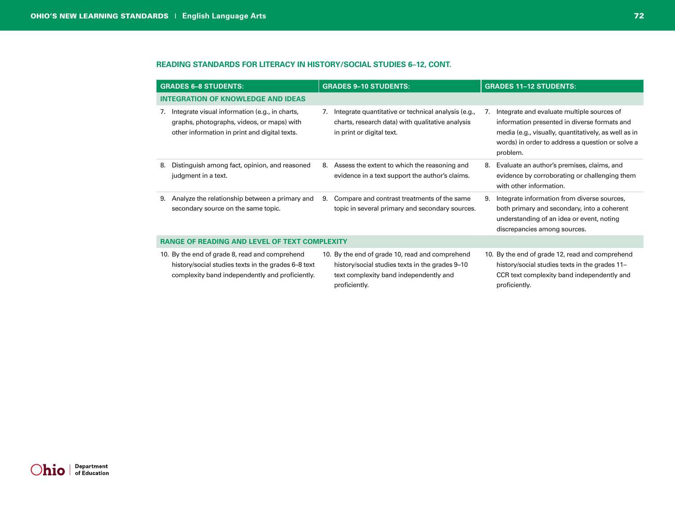#### **READING STANDARDS FOR LITERACY IN HISTORY/SOCIAL STUDIES 6–12, CONT.**

| <b>GRADES 6-8 STUDENTS:</b>                                                                                                                              | <b>GRADES 9-10 STUDENTS:</b>                                                                                                                                  | <b>GRADES 11-12 STUDENTS:</b>                                                                                                                                                                                            |  |  |  |
|----------------------------------------------------------------------------------------------------------------------------------------------------------|---------------------------------------------------------------------------------------------------------------------------------------------------------------|--------------------------------------------------------------------------------------------------------------------------------------------------------------------------------------------------------------------------|--|--|--|
| <b>INTEGRATION OF KNOWLEDGE AND IDEAS</b>                                                                                                                |                                                                                                                                                               |                                                                                                                                                                                                                          |  |  |  |
| Integrate visual information (e.g., in charts,<br>7.<br>graphs, photographs, videos, or maps) with<br>other information in print and digital texts.      | 7. Integrate quantitative or technical analysis (e.g.,<br>charts, research data) with qualitative analysis<br>in print or digital text.                       | Integrate and evaluate multiple sources of<br>7.<br>information presented in diverse formats and<br>media (e.g., visually, quantitatively, as well as in<br>words) in order to address a question or solve a<br>problem. |  |  |  |
| Distinguish among fact, opinion, and reasoned<br>8.<br>judgment in a text.                                                                               | Assess the extent to which the reasoning and<br>8.<br>evidence in a text support the author's claims.                                                         | Evaluate an author's premises, claims, and<br>8.<br>evidence by corroborating or challenging them<br>with other information.                                                                                             |  |  |  |
| Analyze the relationship between a primary and<br>9.<br>secondary source on the same topic.                                                              | Compare and contrast treatments of the same<br>9.<br>topic in several primary and secondary sources.                                                          | Integrate information from diverse sources,<br>9.<br>both primary and secondary, into a coherent<br>understanding of an idea or event, noting<br>discrepancies among sources.                                            |  |  |  |
| <b>RANGE OF READING AND LEVEL OF TEXT COMPLEXITY</b>                                                                                                     |                                                                                                                                                               |                                                                                                                                                                                                                          |  |  |  |
| 10. By the end of grade 8, read and comprehend<br>history/social studies texts in the grades 6-8 text<br>complexity band independently and proficiently. | 10. By the end of grade 10, read and comprehend<br>history/social studies texts in the grades 9-10<br>text complexity band independently and<br>proficiently. | 10. By the end of grade 12, read and comprehend<br>history/social studies texts in the grades 11-<br>CCR text complexity band independently and<br>proficiently.                                                         |  |  |  |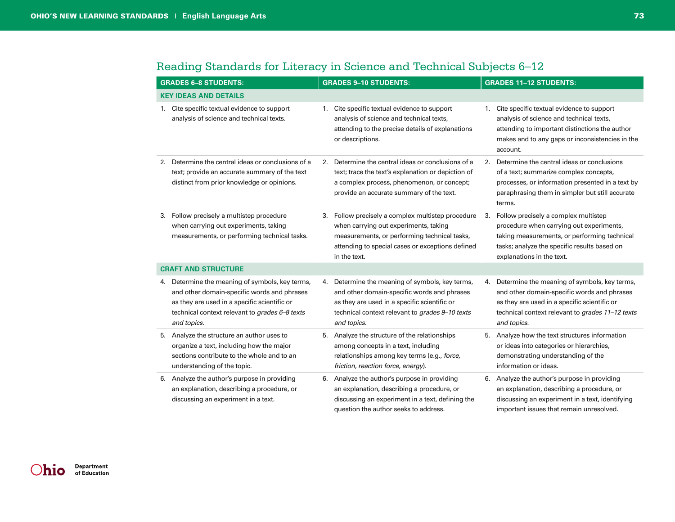| <b>GRADES 6-8 STUDENTS:</b>                                                                                                                                         |                                                                                                                                               | <b>GRADES 9-10 STUDENTS:</b> |                                                                                                                                                                                                               | <b>GRADES 11-12 STUDENTS:</b> |                                                                                                                                                                                                                |
|---------------------------------------------------------------------------------------------------------------------------------------------------------------------|-----------------------------------------------------------------------------------------------------------------------------------------------|------------------------------|---------------------------------------------------------------------------------------------------------------------------------------------------------------------------------------------------------------|-------------------------------|----------------------------------------------------------------------------------------------------------------------------------------------------------------------------------------------------------------|
| <b>KEY IDEAS AND DETAILS</b>                                                                                                                                        |                                                                                                                                               |                              |                                                                                                                                                                                                               |                               |                                                                                                                                                                                                                |
| 1. Cite specific textual evidence to support<br>analysis of science and technical texts.                                                                            |                                                                                                                                               |                              | 1. Cite specific textual evidence to support<br>analysis of science and technical texts,<br>attending to the precise details of explanations<br>or descriptions.                                              |                               | 1. Cite specific textual evidence to support<br>analysis of science and technical texts,<br>attending to important distinctions the author<br>makes and to any gaps or inconsistencies in the<br>account.      |
| 2.<br>distinct from prior knowledge or opinions.                                                                                                                    | Determine the central ideas or conclusions of a<br>text; provide an accurate summary of the text                                              |                              | 2. Determine the central ideas or conclusions of a<br>text; trace the text's explanation or depiction of<br>a complex process, phenomenon, or concept;<br>provide an accurate summary of the text.            | 2.                            | Determine the central ideas or conclusions<br>of a text; summarize complex concepts,<br>processes, or information presented in a text by<br>paraphrasing them in simpler but still accurate<br>terms.          |
| 3. Follow precisely a multistep procedure<br>when carrying out experiments, taking                                                                                  | measurements, or performing technical tasks.                                                                                                  | 3.                           | Follow precisely a complex multistep procedure<br>when carrying out experiments, taking<br>measurements, or performing technical tasks,<br>attending to special cases or exceptions defined<br>in the text.   | 3.                            | Follow precisely a complex multistep<br>procedure when carrying out experiments,<br>taking measurements, or performing technical<br>tasks; analyze the specific results based on<br>explanations in the text.  |
| <b>CRAFT AND STRUCTURE</b>                                                                                                                                          |                                                                                                                                               |                              |                                                                                                                                                                                                               |                               |                                                                                                                                                                                                                |
| 4.<br>as they are used in a specific scientific or<br>and topics.                                                                                                   | Determine the meaning of symbols, key terms,<br>and other domain-specific words and phrases<br>technical context relevant to grades 6-8 texts | 4.                           | Determine the meaning of symbols, key terms,<br>and other domain-specific words and phrases<br>as they are used in a specific scientific or<br>technical context relevant to grades 9-10 texts<br>and topics. | 4.                            | Determine the meaning of symbols, key terms,<br>and other domain-specific words and phrases<br>as they are used in a specific scientific or<br>technical context relevant to grades 11-12 texts<br>and topics. |
| 5. Analyze the structure an author uses to<br>organize a text, including how the major<br>sections contribute to the whole and to an<br>understanding of the topic. |                                                                                                                                               |                              | 5. Analyze the structure of the relationships<br>among concepts in a text, including<br>relationships among key terms (e.g., force,<br>friction, reaction force, energy).                                     | 5.                            | Analyze how the text structures information<br>or ideas into categories or hierarchies,<br>demonstrating understanding of the<br>information or ideas.                                                         |
| 6. Analyze the author's purpose in providing<br>an explanation, describing a procedure, or<br>discussing an experiment in a text.                                   |                                                                                                                                               |                              | 6. Analyze the author's purpose in providing<br>an explanation, describing a procedure, or<br>discussing an experiment in a text, defining the<br>question the author seeks to address.                       |                               | 6. Analyze the author's purpose in providing<br>an explanation, describing a procedure, or<br>discussing an experiment in a text, identifying<br>important issues that remain unresolved.                      |

# Reading Standards for Literacy in Science and Technical Subjects 6–12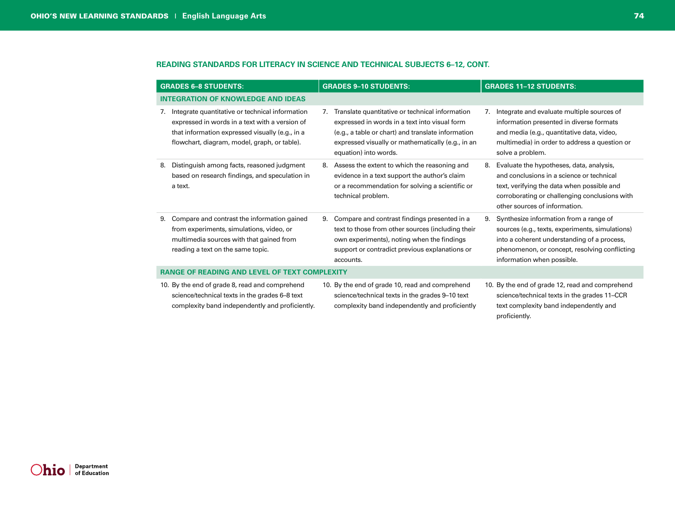### **READING STANDARDS FOR LITERACY IN SCIENCE AND TECHNICAL SUBJECTS 6–12, CONT.**

| <b>GRADES 6-8 STUDENTS:</b>                                                                                                                                                                                | <b>GRADES 9-10 STUDENTS:</b>                                                                                                                                                                                                               | <b>GRADES 11-12 STUDENTS:</b>                                                                                                                                                                                                 |  |
|------------------------------------------------------------------------------------------------------------------------------------------------------------------------------------------------------------|--------------------------------------------------------------------------------------------------------------------------------------------------------------------------------------------------------------------------------------------|-------------------------------------------------------------------------------------------------------------------------------------------------------------------------------------------------------------------------------|--|
| <b>INTEGRATION OF KNOWLEDGE AND IDEAS</b>                                                                                                                                                                  |                                                                                                                                                                                                                                            |                                                                                                                                                                                                                               |  |
| Integrate quantitative or technical information<br>7.<br>expressed in words in a text with a version of<br>that information expressed visually (e.g., in a<br>flowchart, diagram, model, graph, or table). | Translate quantitative or technical information<br>7.<br>expressed in words in a text into visual form<br>(e.g., a table or chart) and translate information<br>expressed visually or mathematically (e.g., in an<br>equation) into words. | Integrate and evaluate multiple sources of<br>7.<br>information presented in diverse formats<br>and media (e.g., quantitative data, video,<br>multimedia) in order to address a question or<br>solve a problem.               |  |
| 8.<br>Distinguish among facts, reasoned judgment<br>based on research findings, and speculation in<br>a text.                                                                                              | Assess the extent to which the reasoning and<br>8.<br>evidence in a text support the author's claim<br>or a recommendation for solving a scientific or<br>technical problem.                                                               | Evaluate the hypotheses, data, analysis,<br>8.<br>and conclusions in a science or technical<br>text, verifying the data when possible and<br>corroborating or challenging conclusions with<br>other sources of information.   |  |
| Compare and contrast the information gained<br>9.<br>from experiments, simulations, video, or<br>multimedia sources with that gained from<br>reading a text on the same topic.                             | Compare and contrast findings presented in a<br>9.<br>text to those from other sources (including their<br>own experiments), noting when the findings<br>support or contradict previous explanations or<br>accounts.                       | Synthesize information from a range of<br>9.<br>sources (e.g., texts, experiments, simulations)<br>into a coherent understanding of a process,<br>phenomenon, or concept, resolving conflicting<br>information when possible. |  |
| <b>RANGE OF READING AND LEVEL OF TEXT COMPLEXITY</b>                                                                                                                                                       |                                                                                                                                                                                                                                            |                                                                                                                                                                                                                               |  |
| 10. By the end of grade 8, read and comprehend<br>science/technical texts in the grades 6-8 text<br>complexity band independently and proficiently.                                                        | 10. By the end of grade 10, read and comprehend<br>science/technical texts in the grades 9-10 text<br>complexity band independently and proficiently                                                                                       | 10. By the end of grade 12, read and comprehend<br>science/technical texts in the grades 11–CCR<br>text complexity band independently and<br>proficiently.                                                                    |  |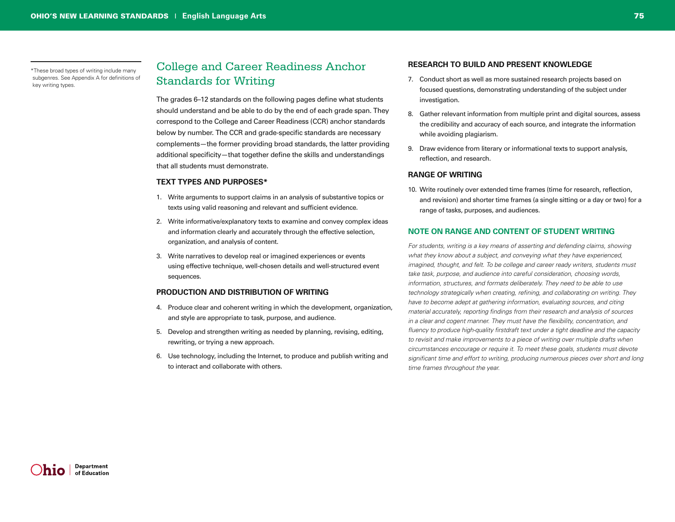\*These broad types of writing include many subgenres. See Appendix A for definitions of key writing types.

# College and Career Readiness Anchor Standards for Writing

The grades 6–12 standards on the following pages define what students should understand and be able to do by the end of each grade span. They correspond to the College and Career Readiness (CCR) anchor standards below by number. The CCR and grade-specific standards are necessary complements—the former providing broad standards, the latter providing additional specificity—that together define the skills and understandings that all students must demonstrate.

#### **TEXT TYPES AND PURPOSES\***

- 1. Write arguments to support claims in an analysis of substantive topics or texts using valid reasoning and relevant and sufficient evidence.
- 2. Write informative/explanatory texts to examine and convey complex ideas and information clearly and accurately through the effective selection, organization, and analysis of content.
- 3. Write narratives to develop real or imagined experiences or events using effective technique, well-chosen details and well-structured event sequences.

#### **PRODUCTION AND DISTRIBUTION OF WRITING**

- 4. Produce clear and coherent writing in which the development, organization, and style are appropriate to task, purpose, and audience.
- 5. Develop and strengthen writing as needed by planning, revising, editing, rewriting, or trying a new approach.
- 6. Use technology, including the Internet, to produce and publish writing and to interact and collaborate with others.

#### **RESEARCH TO BUILD AND PRESENT KNOWLEDGE**

- 7. Conduct short as well as more sustained research projects based on focused questions, demonstrating understanding of the subject under investigation.
- 8. Gather relevant information from multiple print and digital sources, assess the credibility and accuracy of each source, and integrate the information while avoiding plagiarism.
- 9. Draw evidence from literary or informational texts to support analysis, reflection, and research.

#### **RANGE OF WRITING**

10. Write routinely over extended time frames (time for research, reflection, and revision) and shorter time frames (a single sitting or a day or two) for a range of tasks, purposes, and audiences.

#### **NOTE ON RANGE AND CONTENT OF STUDENT WRITING**

*For students, writing is a key means of asserting and defending claims, showing what they know about a subject, and conveying what they have experienced, imagined, thought, and felt. To be college and career ready writers, students must take task, purpose, and audience into careful consideration, choosing words, information, structures, and formats deliberately. They need to be able to use technology strategically when creating, refining, and collaborating on writing. They*  have to become adept at gathering information, evaluating sources, and citing *material accurately, reporting findings from their research and analysis of sources in a clear and cogent manner. They must have the flexibility, concentration, and fluency to produce high-quality firstdraft text under a tight deadline and the capacity to revisit and make improvements to a piece of writing over multiple drafts when circumstances encourage or require it. To meet these goals, students must devote significant time and effort to writing, producing numerous pieces over short and long time frames throughout the year.*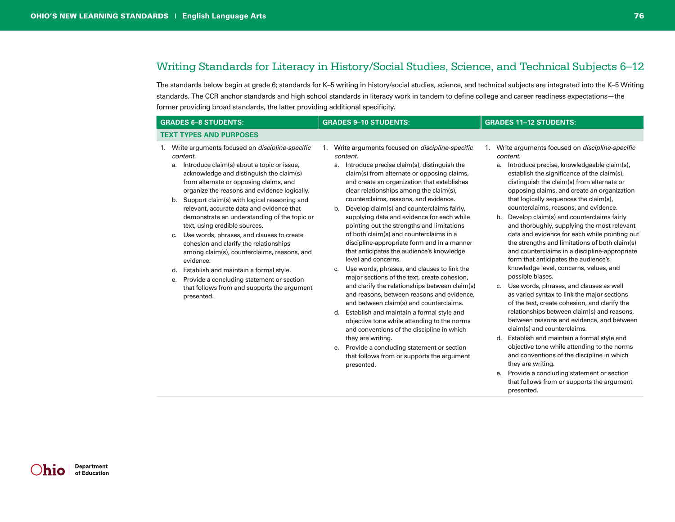## Writing Standards for Literacy in History/Social Studies, Science, and Technical Subjects 6–12

The standards below begin at grade 6; standards for K–5 writing in history/social studies, science, and technical subjects are integrated into the K–5 Writing standards. The CCR anchor standards and high school standards in literacy work in tandem to define college and career readiness expectations—the former providing broad standards, the latter providing additional specificity.

| <b>GRADES 6-8 STUDENTS:</b>                                                                                                                                                                                                                                    | <b>GRADES 9-10 STUDENTS:</b>                                                                                                                                                                                                                                    | <b>GRADES 11-12 STUDENTS:</b>                                                                                                                                                                                                                                     |
|----------------------------------------------------------------------------------------------------------------------------------------------------------------------------------------------------------------------------------------------------------------|-----------------------------------------------------------------------------------------------------------------------------------------------------------------------------------------------------------------------------------------------------------------|-------------------------------------------------------------------------------------------------------------------------------------------------------------------------------------------------------------------------------------------------------------------|
| <b>TEXT TYPES AND PURPOSES</b>                                                                                                                                                                                                                                 |                                                                                                                                                                                                                                                                 |                                                                                                                                                                                                                                                                   |
| 1. Write arguments focused on <i>discipline-specific</i><br>content.<br>Introduce claim(s) about a topic or issue,<br>a.<br>acknowledge and distinguish the claim(s)<br>from alternate or opposing claims, and<br>organize the reasons and evidence logically. | Write arguments focused on <i>discipline-specific</i><br>content.<br>Introduce precise claim(s), distinguish the<br>a.<br>claim(s) from alternate or opposing claims,<br>and create an organization that establishes<br>clear relationships among the claim(s), | Write arguments focused on <i>discipline-specific</i><br>content.<br>Introduce precise, knowledgeable claim(s),<br>a.<br>establish the significance of the claim(s),<br>distinguish the claim(s) from alternate or<br>opposing claims, and create an organization |
| Support claim(s) with logical reasoning and<br>b.<br>relevant, accurate data and evidence that<br>demonstrate an understanding of the topic or<br>text, using credible sources.                                                                                | counterclaims, reasons, and evidence.<br>Develop claim(s) and counterclaims fairly,<br>b.<br>supplying data and evidence for each while<br>pointing out the strengths and limitations<br>of both claim(s) and counterclaims in a                                | that logically sequences the claim(s),<br>counterclaims, reasons, and evidence.<br>Develop claim(s) and counterclaims fairly<br>b.<br>and thoroughly, supplying the most relevant<br>data and evidence for each while pointing out                                |
| Use words, phrases, and clauses to create<br>c.<br>cohesion and clarify the relationships<br>among claim(s), counterclaims, reasons, and<br>evidence.                                                                                                          | discipline-appropriate form and in a manner<br>that anticipates the audience's knowledge<br>level and concerns.                                                                                                                                                 | the strengths and limitations of both claim(s)<br>and counterclaims in a discipline-appropriate<br>form that anticipates the audience's                                                                                                                           |
| Establish and maintain a formal style.<br>d.<br>Provide a concluding statement or section<br>е.<br>that follows from and supports the argument<br>presented.                                                                                                   | Use words, phrases, and clauses to link the<br>c.<br>major sections of the text, create cohesion,<br>and clarify the relationships between claim(s)<br>and reasons, between reasons and evidence,<br>and between claim(s) and counterclaims.                    | knowledge level, concerns, values, and<br>possible biases.<br>Use words, phrases, and clauses as well<br>c.<br>as varied syntax to link the major sections<br>of the text, create cohesion, and clarify the                                                       |
|                                                                                                                                                                                                                                                                | Establish and maintain a formal style and<br>d.<br>objective tone while attending to the norms<br>and conventions of the discipline in which<br>they are writing.                                                                                               | relationships between claim(s) and reasons,<br>between reasons and evidence, and between<br>claim(s) and counterclaims.<br>Establish and maintain a formal style and<br>d.                                                                                        |
|                                                                                                                                                                                                                                                                | Provide a concluding statement or section<br>е.<br>that follows from or supports the argument<br>presented.                                                                                                                                                     | objective tone while attending to the norms<br>and conventions of the discipline in which<br>they are writing.                                                                                                                                                    |
|                                                                                                                                                                                                                                                                |                                                                                                                                                                                                                                                                 | Provide a concluding statement or section<br>$\sim$                                                                                                                                                                                                               |

e. Provide a concluding statement or section that follows from or supports the argument presented.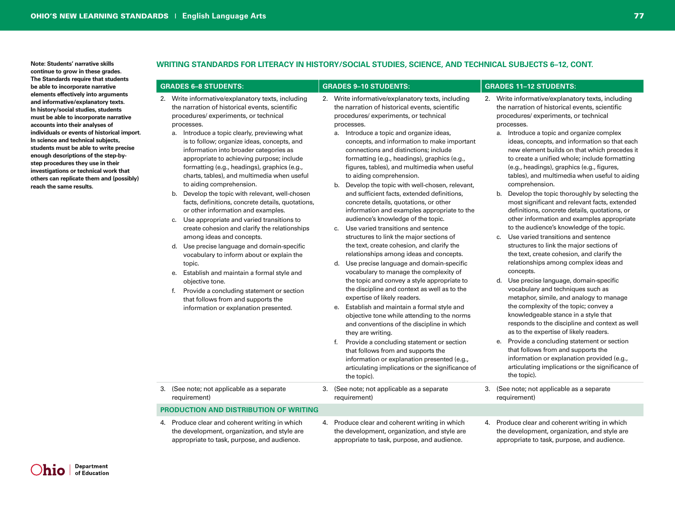**continue to grow in these grades. The Standards require that students be able to incorporate narrative elements effectively into arguments and informative/explanatory texts. In history/social studies, students must be able to incorporate narrative accounts into their analyses of individuals or events of historical import. In science and technical subjects, students must be able to write precise enough descriptions of the step-bystep procedures they use in their investigations or technical work that others can replicate them and (possibly) reach the same results.** 

### **Note: Students' narrative skills WRITING STANDARDS FOR LITERACY IN HISTORY/SOCIAL STUDIES, SCIENCE, AND TECHNICAL SUBJECTS 6–12, CONT.**

|                                        | <b>GRADES 6-8 STUDENTS:</b>                                                                                                                                                                                                                                                                                                                                                                                                                                                                                                                                                                                                                                                                                                                                                                                                                                                                                                                                                                                                                                           |    | <b>GRADES 9-10 STUDENTS:</b>                                                                                                                                                                                                                                                                                                                                                                                                                                                                                                                                                                                                                                                                                                                                                                                                                                                                                                                                                                                                                                                                                                                                                                                                                                                                                                                                                                                                                 | <b>GRADES 11-12 STUDENTS:</b>                                                                                                                                                                                                                                                                                                                                                                                                                                                                                                                                                                                                                                                                                                                                                                                                                                                                                                                                                                                                                                                                                                                                                                                                                                                                                                                                                                                                     |
|----------------------------------------|-----------------------------------------------------------------------------------------------------------------------------------------------------------------------------------------------------------------------------------------------------------------------------------------------------------------------------------------------------------------------------------------------------------------------------------------------------------------------------------------------------------------------------------------------------------------------------------------------------------------------------------------------------------------------------------------------------------------------------------------------------------------------------------------------------------------------------------------------------------------------------------------------------------------------------------------------------------------------------------------------------------------------------------------------------------------------|----|----------------------------------------------------------------------------------------------------------------------------------------------------------------------------------------------------------------------------------------------------------------------------------------------------------------------------------------------------------------------------------------------------------------------------------------------------------------------------------------------------------------------------------------------------------------------------------------------------------------------------------------------------------------------------------------------------------------------------------------------------------------------------------------------------------------------------------------------------------------------------------------------------------------------------------------------------------------------------------------------------------------------------------------------------------------------------------------------------------------------------------------------------------------------------------------------------------------------------------------------------------------------------------------------------------------------------------------------------------------------------------------------------------------------------------------------|-----------------------------------------------------------------------------------------------------------------------------------------------------------------------------------------------------------------------------------------------------------------------------------------------------------------------------------------------------------------------------------------------------------------------------------------------------------------------------------------------------------------------------------------------------------------------------------------------------------------------------------------------------------------------------------------------------------------------------------------------------------------------------------------------------------------------------------------------------------------------------------------------------------------------------------------------------------------------------------------------------------------------------------------------------------------------------------------------------------------------------------------------------------------------------------------------------------------------------------------------------------------------------------------------------------------------------------------------------------------------------------------------------------------------------------|
| 2.<br>f.                               | Write informative/explanatory texts, including<br>the narration of historical events, scientific<br>procedures/experiments, or technical<br>processes.<br>a. Introduce a topic clearly, previewing what<br>is to follow; organize ideas, concepts, and<br>information into broader categories as<br>appropriate to achieving purpose; include<br>formatting (e.g., headings), graphics (e.g.,<br>charts, tables), and multimedia when useful<br>to aiding comprehension.<br>Develop the topic with relevant, well-chosen<br>b.<br>facts, definitions, concrete details, quotations,<br>or other information and examples.<br>Use appropriate and varied transitions to<br>c.<br>create cohesion and clarify the relationships<br>among ideas and concepts.<br>Use precise language and domain-specific<br>d.<br>vocabulary to inform about or explain the<br>topic.<br>Establish and maintain a formal style and<br>e.<br>objective tone.<br>Provide a concluding statement or section<br>that follows from and supports the<br>information or explanation presented. | 2. | Write informative/explanatory texts, including<br>the narration of historical events, scientific<br>procedures/experiments, or technical<br>processes.<br>Introduce a topic and organize ideas,<br>а.<br>concepts, and information to make important<br>connections and distinctions; include<br>formatting (e.g., headings), graphics (e.g.,<br>figures, tables), and multimedia when useful<br>to aiding comprehension.<br>Develop the topic with well-chosen, relevant,<br>b.<br>and sufficient facts, extended definitions,<br>concrete details, quotations, or other<br>information and examples appropriate to the<br>audience's knowledge of the topic.<br>Use varied transitions and sentence<br>c.<br>structures to link the major sections of<br>the text, create cohesion, and clarify the<br>relationships among ideas and concepts.<br>Use precise language and domain-specific<br>d.<br>vocabulary to manage the complexity of<br>the topic and convey a style appropriate to<br>the discipline and context as well as to the<br>expertise of likely readers.<br>Establish and maintain a formal style and<br>е.<br>objective tone while attending to the norms<br>and conventions of the discipline in which<br>they are writing.<br>Provide a concluding statement or section<br>f.<br>that follows from and supports the<br>information or explanation presented (e.g.,<br>articulating implications or the significance of | 2. Write informative/explanatory texts, including<br>the narration of historical events, scientific<br>procedures/experiments, or technical<br>processes.<br>a. Introduce a topic and organize complex<br>ideas, concepts, and information so that each<br>new element builds on that which precedes it<br>to create a unified whole; include formatting<br>(e.g., headings), graphics (e.g., figures,<br>tables), and multimedia when useful to aiding<br>comprehension.<br>Develop the topic thoroughly by selecting the<br>b.<br>most significant and relevant facts, extended<br>definitions, concrete details, quotations, or<br>other information and examples appropriate<br>to the audience's knowledge of the topic.<br>Use varied transitions and sentence<br>C.<br>structures to link the major sections of<br>the text, create cohesion, and clarify the<br>relationships among complex ideas and<br>concepts.<br>d.<br>Use precise language, domain-specific<br>vocabulary and techniques such as<br>metaphor, simile, and analogy to manage<br>the complexity of the topic; convey a<br>knowledgeable stance in a style that<br>responds to the discipline and context as well<br>as to the expertise of likely readers.<br>Provide a concluding statement or section<br>е.<br>that follows from and supports the<br>information or explanation provided (e.g.,<br>articulating implications or the significance of |
| 3.                                     | (See note; not applicable as a separate<br>requirement)                                                                                                                                                                                                                                                                                                                                                                                                                                                                                                                                                                                                                                                                                                                                                                                                                                                                                                                                                                                                               | 3. | the topic).<br>(See note; not applicable as a separate<br>requirement)                                                                                                                                                                                                                                                                                                                                                                                                                                                                                                                                                                                                                                                                                                                                                                                                                                                                                                                                                                                                                                                                                                                                                                                                                                                                                                                                                                       | the topic).<br>3. (See note; not applicable as a separate<br>requirement)                                                                                                                                                                                                                                                                                                                                                                                                                                                                                                                                                                                                                                                                                                                                                                                                                                                                                                                                                                                                                                                                                                                                                                                                                                                                                                                                                         |
| PRODUCTION AND DISTRIBUTION OF WRITING |                                                                                                                                                                                                                                                                                                                                                                                                                                                                                                                                                                                                                                                                                                                                                                                                                                                                                                                                                                                                                                                                       |    |                                                                                                                                                                                                                                                                                                                                                                                                                                                                                                                                                                                                                                                                                                                                                                                                                                                                                                                                                                                                                                                                                                                                                                                                                                                                                                                                                                                                                                              |                                                                                                                                                                                                                                                                                                                                                                                                                                                                                                                                                                                                                                                                                                                                                                                                                                                                                                                                                                                                                                                                                                                                                                                                                                                                                                                                                                                                                                   |
|                                        | 4. Produce clear and coherent writing in which                                                                                                                                                                                                                                                                                                                                                                                                                                                                                                                                                                                                                                                                                                                                                                                                                                                                                                                                                                                                                        |    | 4. Produce clear and coherent writing in which                                                                                                                                                                                                                                                                                                                                                                                                                                                                                                                                                                                                                                                                                                                                                                                                                                                                                                                                                                                                                                                                                                                                                                                                                                                                                                                                                                                               | 4. Produce clear and coherent writing in which                                                                                                                                                                                                                                                                                                                                                                                                                                                                                                                                                                                                                                                                                                                                                                                                                                                                                                                                                                                                                                                                                                                                                                                                                                                                                                                                                                                    |
|                                        | the development, organization, and style are<br>appropriate to task, purpose, and audience.                                                                                                                                                                                                                                                                                                                                                                                                                                                                                                                                                                                                                                                                                                                                                                                                                                                                                                                                                                           |    | the development, organization, and style are<br>appropriate to task, purpose, and audience.                                                                                                                                                                                                                                                                                                                                                                                                                                                                                                                                                                                                                                                                                                                                                                                                                                                                                                                                                                                                                                                                                                                                                                                                                                                                                                                                                  | the development, organization, and style are<br>appropriate to task, purpose, and audience.                                                                                                                                                                                                                                                                                                                                                                                                                                                                                                                                                                                                                                                                                                                                                                                                                                                                                                                                                                                                                                                                                                                                                                                                                                                                                                                                       |